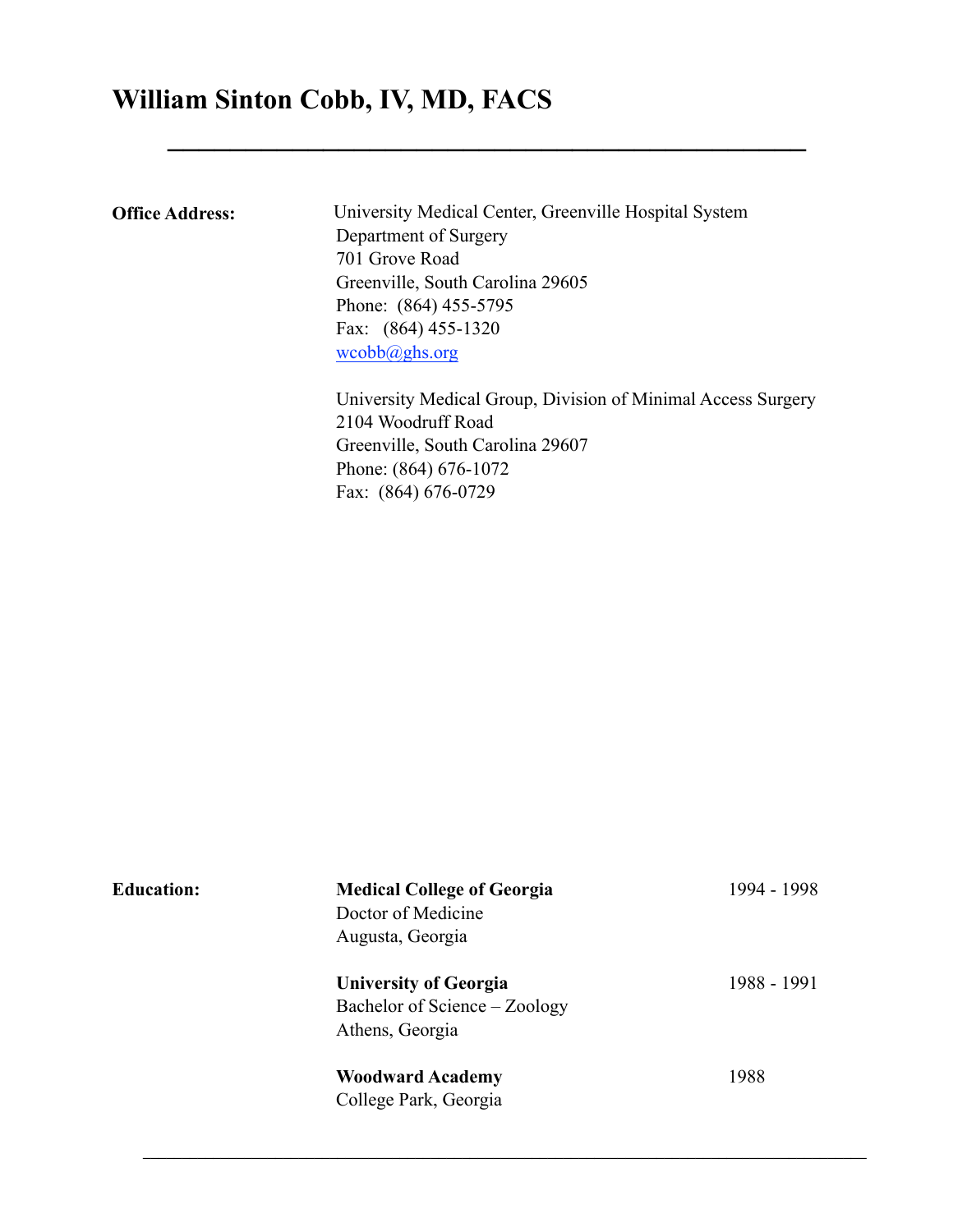# **William Sinton Cobb, IV, MD, FACS**

**Office Address:** University Medical Center, Greenville Hospital System Department of Surgery 701 Grove Road Greenville, South Carolina 29605 Phone: (864) 455-5795 Fax: (864) 455-1320 [wcobb@ghs.org](mailto:wcobb@ghs.org)

**\_\_\_\_\_\_\_\_\_\_\_\_\_\_\_\_\_\_\_\_\_\_\_\_\_\_\_\_\_\_\_\_\_\_\_\_\_\_\_\_\_**

University Medical Group, Division of Minimal Access Surgery 2104 Woodruff Road Greenville, South Carolina 29607 Phone: (864) 676-1072 Fax: (864) 676-0729

| <b>Education:</b> | <b>Medical College of Georgia</b><br>Doctor of Medicine<br>Augusta, Georgia      | 1994 - 1998 |
|-------------------|----------------------------------------------------------------------------------|-------------|
|                   | <b>University of Georgia</b><br>Bachelor of Science – Zoology<br>Athens, Georgia | 1988 - 1991 |
|                   | <b>Woodward Academy</b><br>College Park, Georgia                                 | 1988        |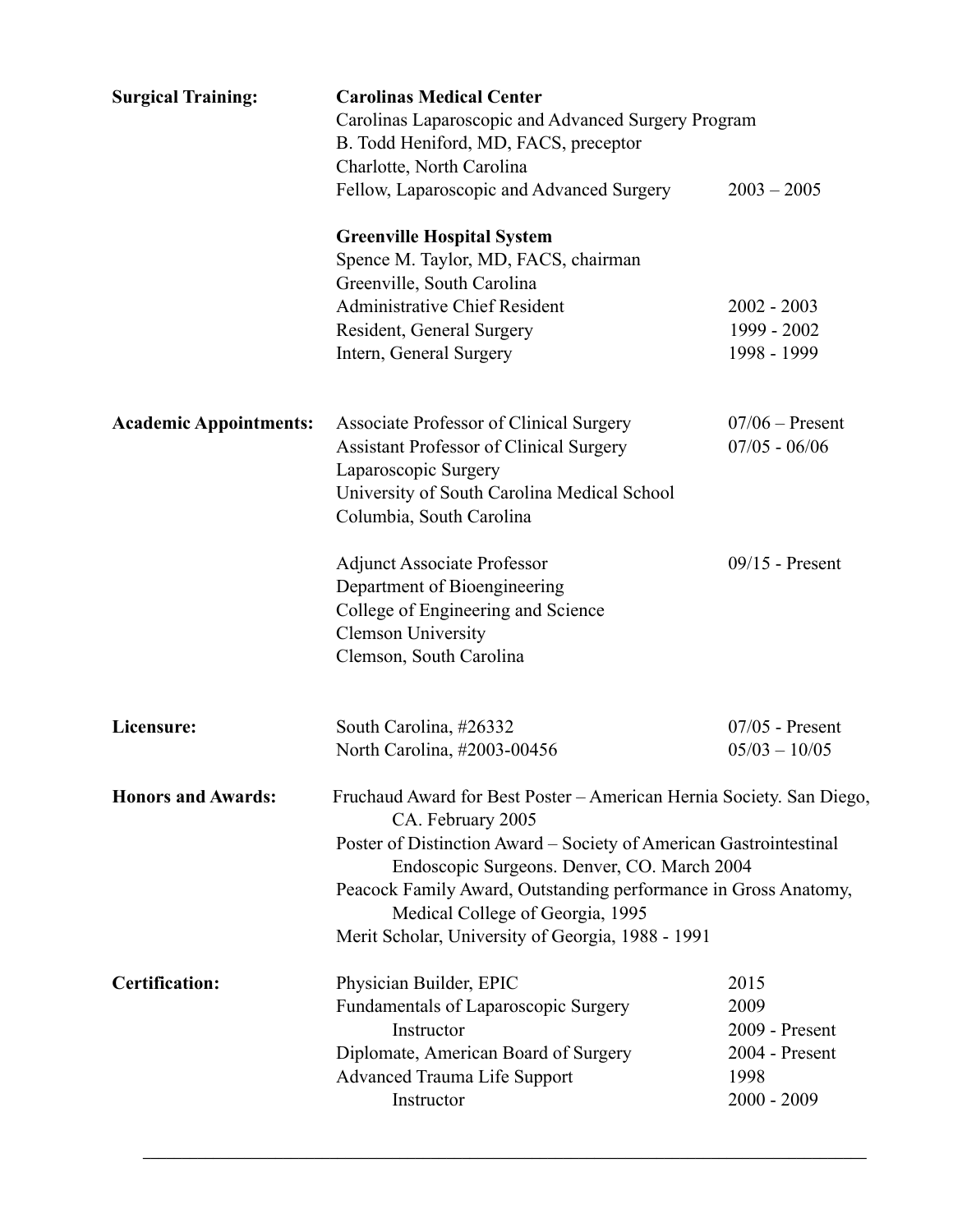| <b>Surgical Training:</b>     | <b>Carolinas Medical Center</b><br>Carolinas Laparoscopic and Advanced Surgery Program<br>B. Todd Heniford, MD, FACS, preceptor<br>Charlotte, North Carolina                                                                                         |                                                                           |
|-------------------------------|------------------------------------------------------------------------------------------------------------------------------------------------------------------------------------------------------------------------------------------------------|---------------------------------------------------------------------------|
|                               | Fellow, Laparoscopic and Advanced Surgery<br><b>Greenville Hospital System</b><br>Spence M. Taylor, MD, FACS, chairman<br>Greenville, South Carolina<br><b>Administrative Chief Resident</b><br>Resident, General Surgery<br>Intern, General Surgery | $2003 - 2005$<br>$2002 - 2003$<br>1999 - 2002<br>1998 - 1999              |
| <b>Academic Appointments:</b> | Associate Professor of Clinical Surgery<br>Assistant Professor of Clinical Surgery<br>Laparoscopic Surgery<br>University of South Carolina Medical School<br>Columbia, South Carolina                                                                | $07/06$ – Present<br>$07/05 - 06/06$                                      |
|                               | <b>Adjunct Associate Professor</b><br>Department of Bioengineering<br>College of Engineering and Science<br><b>Clemson University</b><br>Clemson, South Carolina                                                                                     | $09/15$ - Present                                                         |
| Licensure:                    | South Carolina, #26332<br>North Carolina, #2003-00456                                                                                                                                                                                                | $07/05$ - Present<br>$05/03 - 10/05$                                      |
| <b>Honors and Awards:</b>     | Fruchaud Award for Best Poster – American Hernia Society. San Diego,<br>CA. February 2005<br>Poster of Distinction Award – Society of American Gastrointestinal                                                                                      |                                                                           |
|                               | Endoscopic Surgeons. Denver, CO. March 2004<br>Peacock Family Award, Outstanding performance in Gross Anatomy,<br>Medical College of Georgia, 1995<br>Merit Scholar, University of Georgia, 1988 - 1991                                              |                                                                           |
| <b>Certification:</b>         | Physician Builder, EPIC<br>Fundamentals of Laparoscopic Surgery<br>Instructor<br>Diplomate, American Board of Surgery<br><b>Advanced Trauma Life Support</b><br>Instructor                                                                           | 2015<br>2009<br>2009 - Present<br>2004 - Present<br>1998<br>$2000 - 2009$ |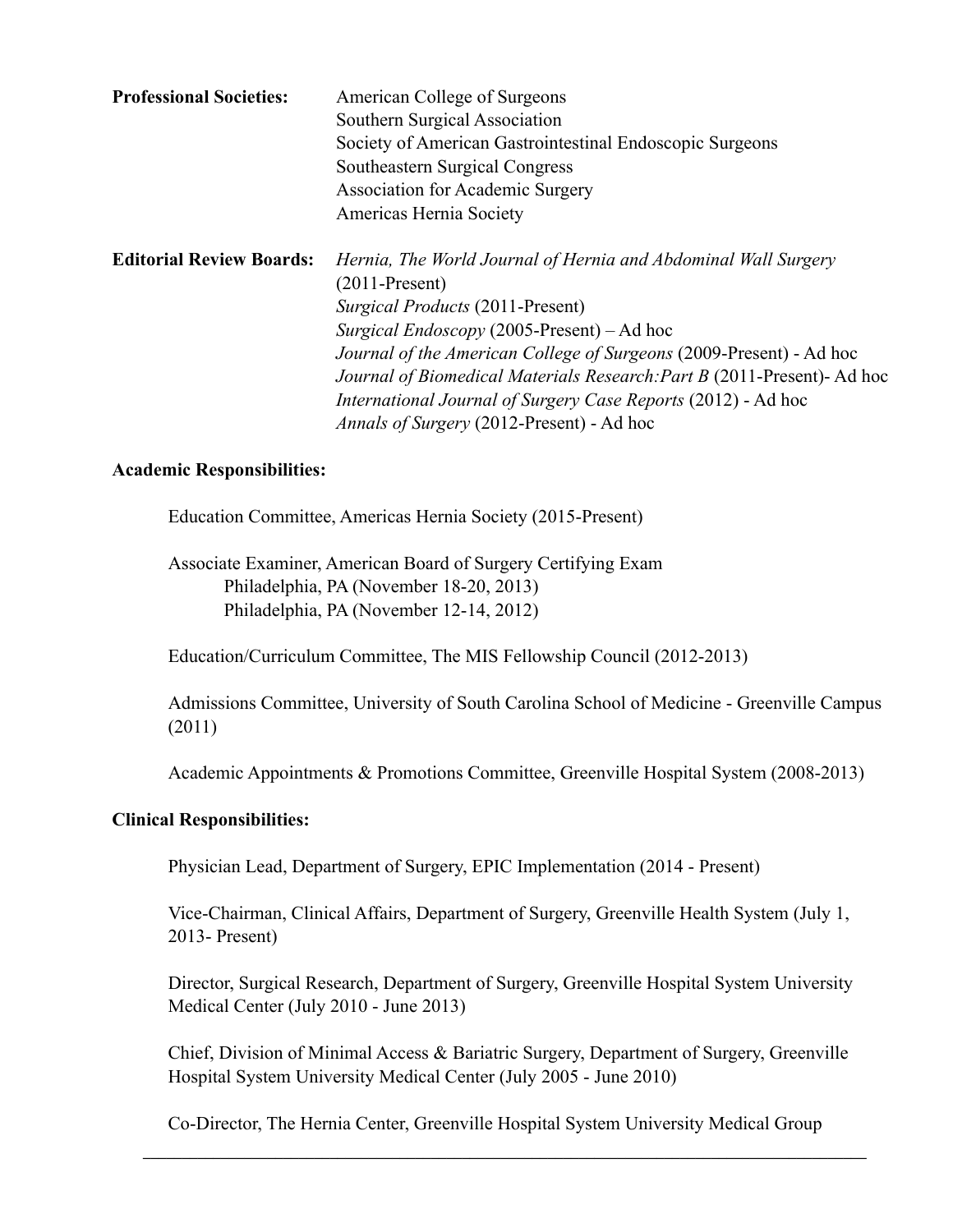| <b>Professional Societies:</b>  | American College of Surgeons<br>Southern Surgical Association<br>Society of American Gastrointestinal Endoscopic Surgeons<br>Southeastern Surgical Congress<br><b>Association for Academic Surgery</b><br>Americas Hernia Society                                                                                                                                                                                                                                       |
|---------------------------------|-------------------------------------------------------------------------------------------------------------------------------------------------------------------------------------------------------------------------------------------------------------------------------------------------------------------------------------------------------------------------------------------------------------------------------------------------------------------------|
| <b>Editorial Review Boards:</b> | Hernia, The World Journal of Hernia and Abdominal Wall Surgery<br>$(2011-Present)$<br><i>Surgical Products (2011-Present)</i><br><i>Surgical Endoscopy</i> (2005-Present) – Ad hoc<br><i>Journal of the American College of Surgeons (2009-Present) - Ad hoc</i><br>Journal of Biomedical Materials Research: Part B (2011-Present)- Ad hoc<br><i>International Journal of Surgery Case Reports</i> (2012) - Ad hoc<br><i>Annals of Surgery</i> (2012-Present) - Ad hoc |

#### **Academic Responsibilities:**

Education Committee, Americas Hernia Society (2015-Present)

Associate Examiner, American Board of Surgery Certifying Exam Philadelphia, PA (November 18-20, 2013) Philadelphia, PA (November 12-14, 2012)

Education/Curriculum Committee, The MIS Fellowship Council (2012-2013)

 Admissions Committee, University of South Carolina School of Medicine - Greenville Campus (2011)

Academic Appointments & Promotions Committee, Greenville Hospital System (2008-2013)

#### **Clinical Responsibilities:**

Physician Lead, Department of Surgery, EPIC Implementation (2014 - Present)

Vice-Chairman, Clinical Affairs, Department of Surgery, Greenville Health System (July 1, 2013- Present)

Director, Surgical Research, Department of Surgery, Greenville Hospital System University Medical Center (July 2010 - June 2013)

Chief, Division of Minimal Access & Bariatric Surgery, Department of Surgery, Greenville Hospital System University Medical Center (July 2005 - June 2010)

Co-Director, The Hernia Center, Greenville Hospital System University Medical Group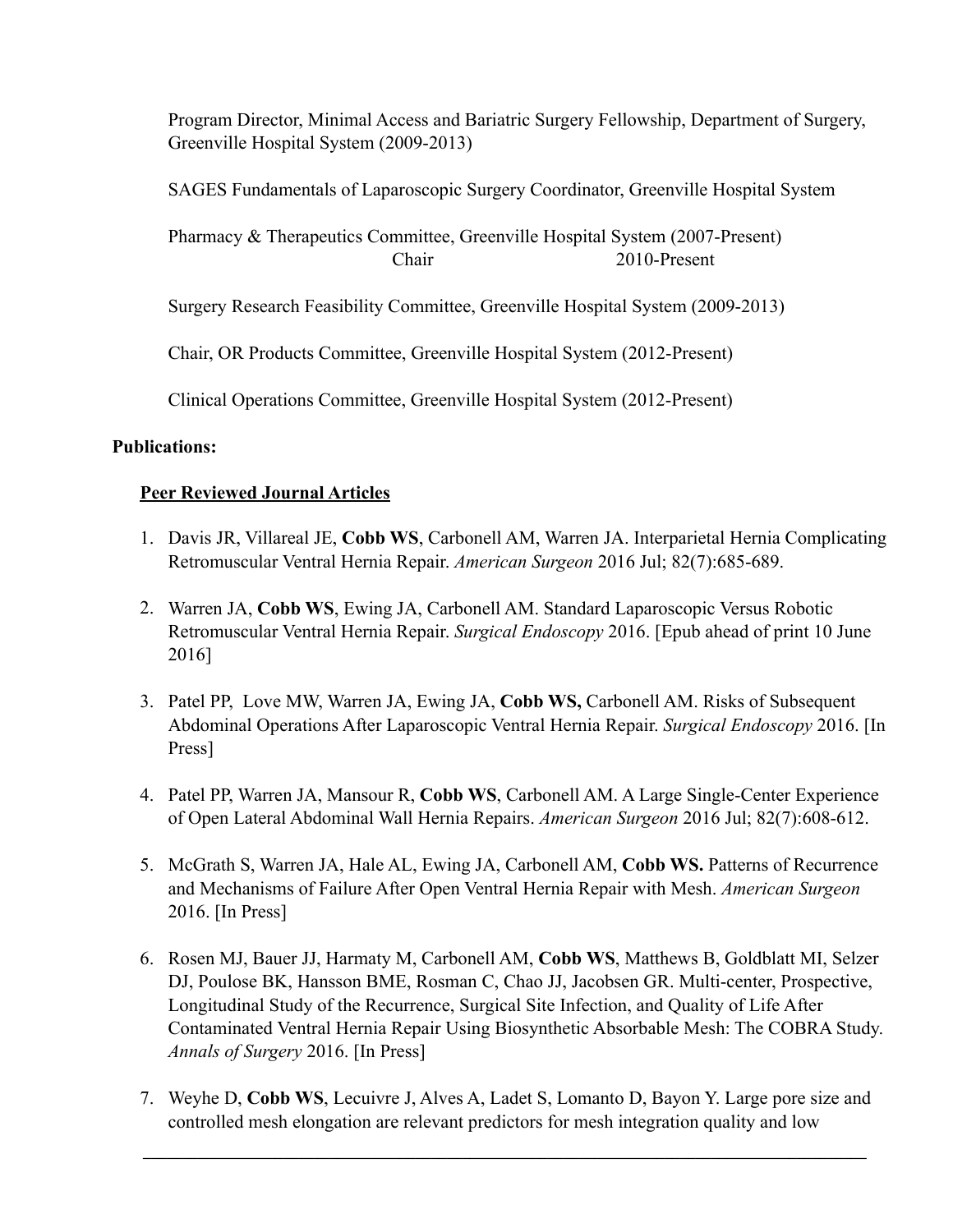Program Director, Minimal Access and Bariatric Surgery Fellowship, Department of Surgery, Greenville Hospital System (2009-2013)

SAGES Fundamentals of Laparoscopic Surgery Coordinator, Greenville Hospital System

Pharmacy & Therapeutics Committee, Greenville Hospital System (2007-Present) Chair 2010-Present

Surgery Research Feasibility Committee, Greenville Hospital System (2009-2013)

Chair, OR Products Committee, Greenville Hospital System (2012-Present)

Clinical Operations Committee, Greenville Hospital System (2012-Present)

#### **Publications:**

#### **Peer Reviewed Journal Articles**

- 1. Davis JR, Villareal JE, **Cobb WS**, Carbonell AM, Warren JA. Interparietal Hernia Complicating Retromuscular Ventral Hernia Repair. *American Surgeon* 2016 Jul; 82(7):685-689.
- 2. Warren JA, **Cobb WS**, Ewing JA, Carbonell AM. Standard Laparoscopic Versus Robotic Retromuscular Ventral Hernia Repair. *Surgical Endoscopy* 2016. [Epub ahead of print 10 June 2016]
- 3. Patel PP, Love MW, Warren JA, Ewing JA, **Cobb WS,** Carbonell AM. Risks of Subsequent Abdominal Operations After Laparoscopic Ventral Hernia Repair. *Surgical Endoscopy* 2016. [In Press]
- 4. Patel PP, Warren JA, Mansour R, **Cobb WS**, Carbonell AM. A Large Single-Center Experience of Open Lateral Abdominal Wall Hernia Repairs. *American Surgeon* 2016 Jul; 82(7):608-612.
- 5. McGrath S, Warren JA, Hale AL, Ewing JA, Carbonell AM, **Cobb WS.** Patterns of Recurrence and Mechanisms of Failure After Open Ventral Hernia Repair with Mesh. *American Surgeon*  2016. [In Press]
- 6. Rosen MJ, Bauer JJ, Harmaty M, Carbonell AM, **Cobb WS**, Matthews B, Goldblatt MI, Selzer DJ, Poulose BK, Hansson BME, Rosman C, Chao JJ, Jacobsen GR. Multi-center, Prospective, Longitudinal Study of the Recurrence, Surgical Site Infection, and Quality of Life After Contaminated Ventral Hernia Repair Using Biosynthetic Absorbable Mesh: The COBRA Study. *Annals of Surgery* 2016. [In Press]
- 7. Weyhe D, **Cobb WS**, Lecuivre J, Alves A, Ladet S, Lomanto D, Bayon Y. Large pore size and controlled mesh elongation are relevant predictors for mesh integration quality and low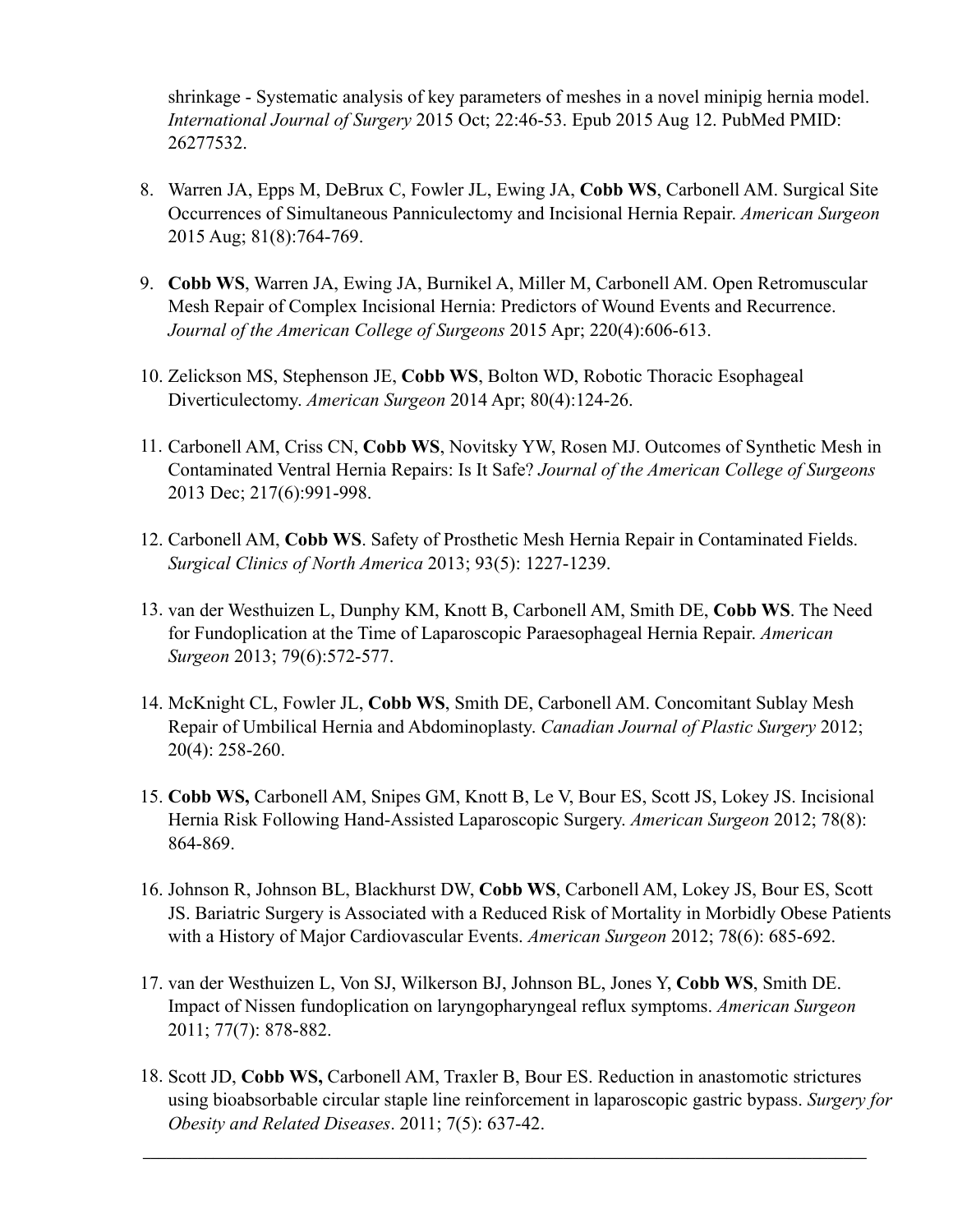shrinkage - Systematic analysis of key parameters of meshes in a novel minipig hernia model. *International Journal of Surgery* 2015 Oct; 22:46-53. Epub 2015 Aug 12. PubMed PMID: 26277532.

- 8. Warren JA, Epps M, DeBrux C, Fowler JL, Ewing JA, **Cobb WS**, Carbonell AM. Surgical Site Occurrences of Simultaneous Panniculectomy and Incisional Hernia Repair. *American Surgeon* 2015 Aug; 81(8):764-769.
- 9. **Cobb WS**, Warren JA, Ewing JA, Burnikel A, Miller M, Carbonell AM. Open Retromuscular Mesh Repair of Complex Incisional Hernia: Predictors of Wound Events and Recurrence. *Journal of the American College of Surgeons* 2015 Apr; 220(4):606-613.
- 10. Zelickson MS, Stephenson JE, **Cobb WS**, Bolton WD, Robotic Thoracic Esophageal Diverticulectomy. *American Surgeon* 2014 Apr; 80(4):124-26.
- 11. Carbonell AM, Criss CN, **Cobb WS**, Novitsky YW, Rosen MJ. Outcomes of Synthetic Mesh in Contaminated Ventral Hernia Repairs: Is It Safe? *Journal of the American College of Surgeons*  2013 Dec; 217(6):991-998.
- 12. Carbonell AM, **Cobb WS**. Safety of Prosthetic Mesh Hernia Repair in Contaminated Fields. *Surgical Clinics of North America* 2013; 93(5): 1227-1239.
- 13. van der Westhuizen L, Dunphy KM, Knott B, Carbonell AM, Smith DE, **Cobb WS**. The Need for Fundoplication at the Time of Laparoscopic Paraesophageal Hernia Repair. *American Surgeon* 2013; 79(6):572-577.
- 14. McKnight CL, Fowler JL, **Cobb WS**, Smith DE, Carbonell AM. Concomitant Sublay Mesh Repair of Umbilical Hernia and Abdominoplasty. *Canadian Journal of Plastic Surgery* 2012; 20(4): 258-260.
- 15. **Cobb WS,** Carbonell AM, Snipes GM, Knott B, Le V, Bour ES, Scott JS, Lokey JS. Incisional Hernia Risk Following Hand-Assisted Laparoscopic Surgery. *American Surgeon* 2012; 78(8): 864-869.
- 16. Johnson R, Johnson BL, Blackhurst DW, **Cobb WS**, Carbonell AM, Lokey JS, Bour ES, Scott JS. Bariatric Surgery is Associated with a Reduced Risk of Mortality in Morbidly Obese Patients with a History of Major Cardiovascular Events. *American Surgeon* 2012; 78(6): 685-692.
- 17. van der Westhuizen L, Von SJ, Wilkerson BJ, Johnson BL, Jones Y, **Cobb WS**, Smith DE. Impact of Nissen fundoplication on laryngopharyngeal reflux symptoms. *American Surgeon* 2011; 77(7): 878-882.
- 18. Scott JD, **Cobb WS,** Carbonell AM, Traxler B, Bour ES. Reduction in anastomotic strictures using bioabsorbable circular staple line reinforcement in laparoscopic gastric bypass. *Surgery for Obesity and Related Diseases*. 2011; 7(5): 637-42.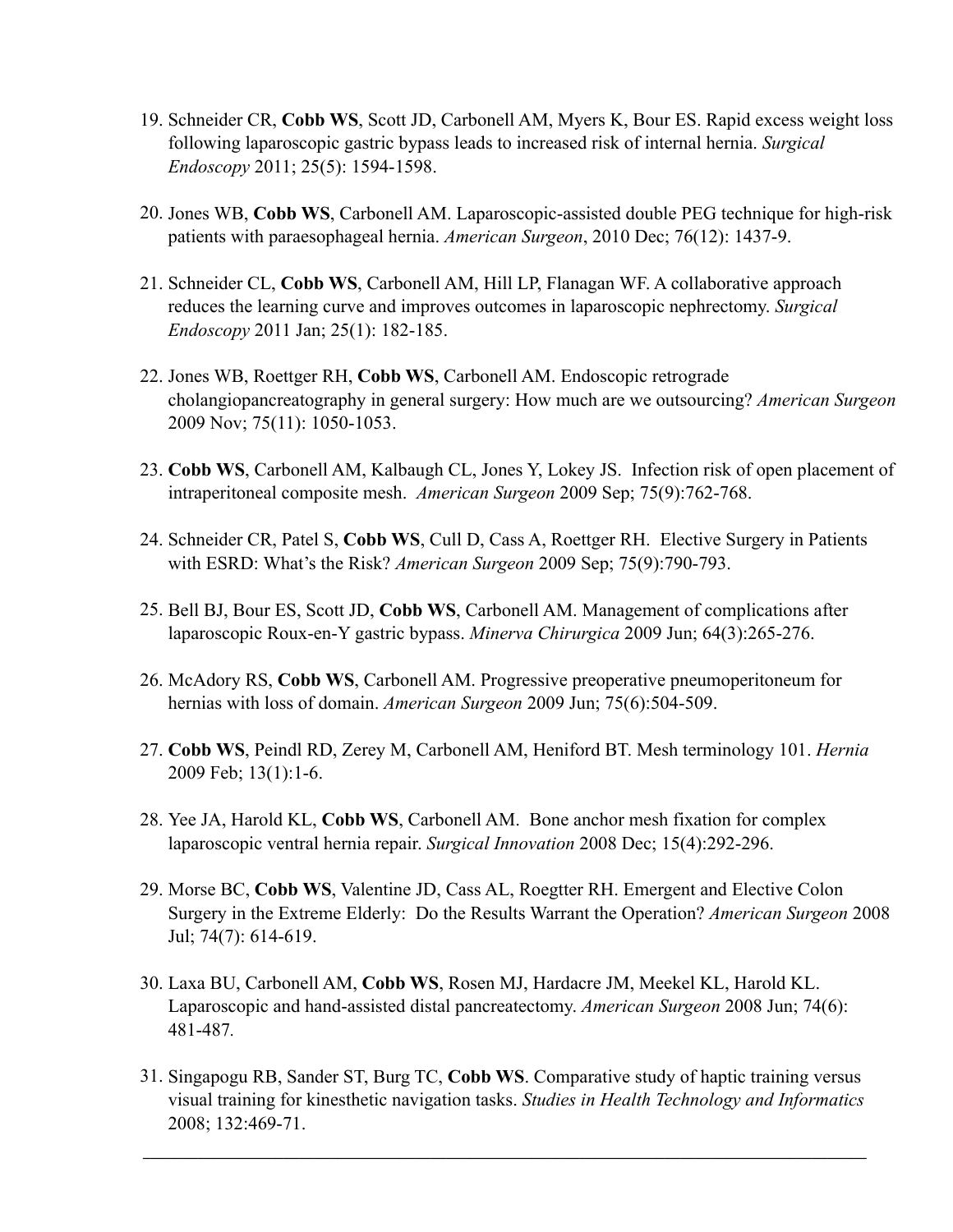- 19. Schneider CR, **Cobb WS**, Scott JD, Carbonell AM, Myers K, Bour ES. Rapid excess weight loss following laparoscopic gastric bypass leads to increased risk of internal hernia. *Surgical Endoscopy* 2011; 25(5): 1594-1598.
- 20. Jones WB, **Cobb WS**, Carbonell AM. Laparoscopic-assisted double PEG technique for high-risk patients with paraesophageal hernia. *American Surgeon*, 2010 Dec; 76(12): 1437-9.
- 21. Schneider CL, **Cobb WS**, Carbonell AM, Hill LP, Flanagan WF. A collaborative approach reduces the learning curve and improves outcomes in laparoscopic nephrectomy. *Surgical Endoscopy* 2011 Jan; 25(1): 182-185.
- 22. Jones WB, Roettger RH, **Cobb WS**, Carbonell AM. Endoscopic retrograde cholangiopancreatography in general surgery: How much are we outsourcing? *American Surgeon*  2009 Nov; 75(11): 1050-1053.
- 23. **Cobb WS**, Carbonell AM, Kalbaugh CL, Jones Y, Lokey JS. Infection risk of open placement of intraperitoneal composite mesh. *American Surgeon* 2009 Sep; 75(9):762-768.
- 24. Schneider CR, Patel S, **Cobb WS**, Cull D, Cass A, Roettger RH. Elective Surgery in Patients with ESRD: What's the Risk? *American Surgeon* 2009 Sep; 75(9):790-793.
- 25. Bell BJ, Bour ES, Scott JD, **Cobb WS**, Carbonell AM. Management of complications after laparoscopic Roux-en-Y gastric bypass. *Minerva Chirurgica* 2009 Jun; 64(3):265-276.
- 26. McAdory RS, **Cobb WS**, Carbonell AM. Progressive preoperative pneumoperitoneum for hernias with loss of domain. *American Surgeon* 2009 Jun; 75(6):504-509.
- 27. **Cobb WS**, Peindl RD, Zerey M, Carbonell AM, Heniford BT. Mesh terminology 101. *Hernia*  2009 Feb; 13(1):1-6.
- 28. Yee JA, Harold KL, **Cobb WS**, Carbonell AM. Bone anchor mesh fixation for complex laparoscopic ventral hernia repair. *Surgical Innovation* 2008 Dec; 15(4):292-296.
- 29. Morse BC, **Cobb WS**, Valentine JD, Cass AL, Roegtter RH. Emergent and Elective Colon Surgery in the Extreme Elderly: Do the Results Warrant the Operation? *American Surgeon* 2008 Jul; 74(7): 614-619.
- 30. Laxa BU, Carbonell AM, **Cobb WS**, Rosen MJ, Hardacre JM, Meekel KL, Harold KL. Laparoscopic and hand-assisted distal pancreatectomy. *American Surgeon* 2008 Jun; 74(6): 481-487*.*
- 31. Singapogu RB, Sander ST, Burg TC, **Cobb WS**. Comparative study of haptic training versus visual training for kinesthetic navigation tasks. *Studies in Health Technology and Informatics* 2008; 132:469-71.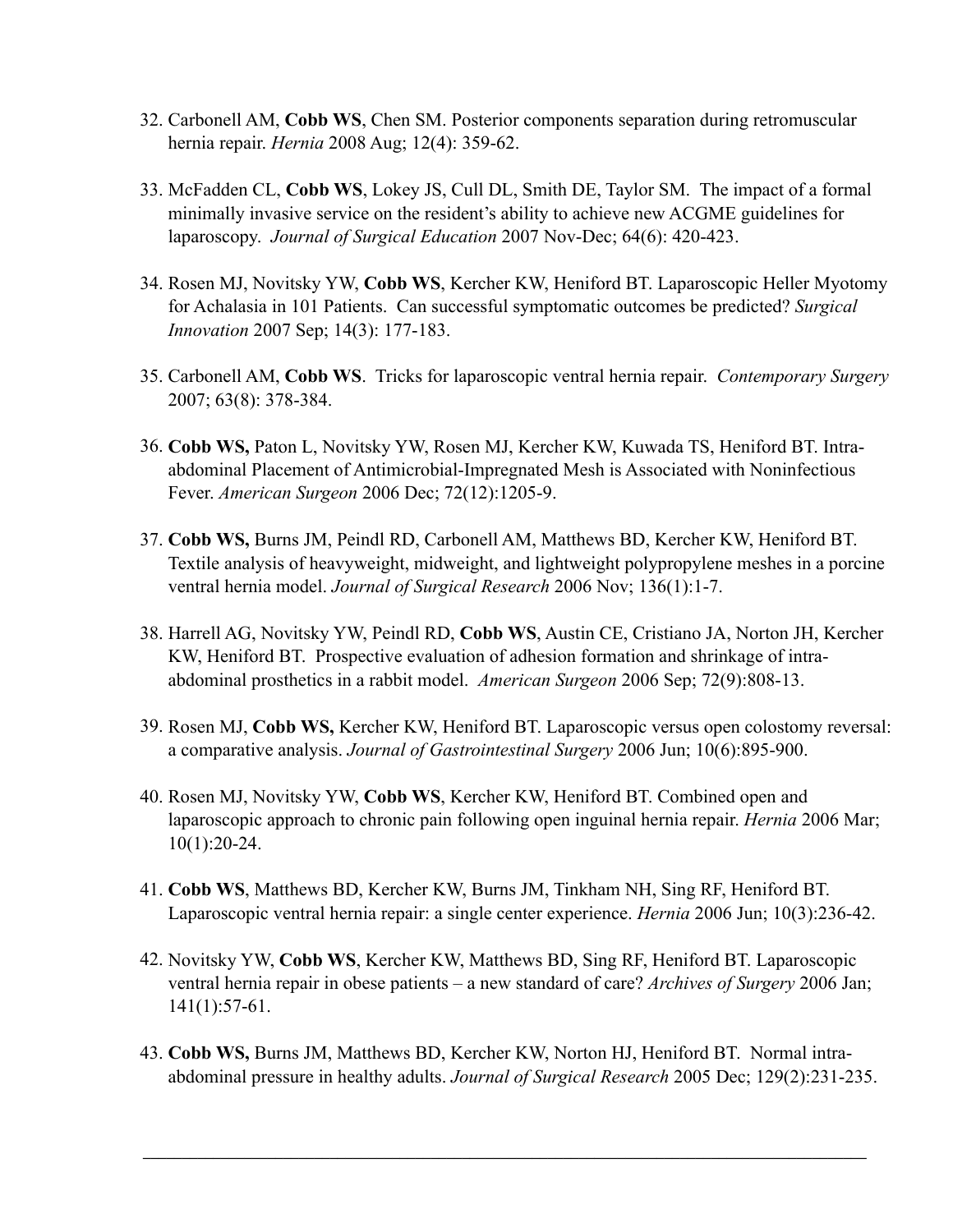- 32. Carbonell AM, **Cobb WS**, Chen SM. Posterior components separation during retromuscular hernia repair. *Hernia* 2008 Aug; 12(4): 359-62.
- 33. McFadden CL, **Cobb WS**, Lokey JS, Cull DL, Smith DE, Taylor SM. The impact of a formal minimally invasive service on the resident's ability to achieve new ACGME guidelines for laparoscopy. *Journal of Surgical Education* 2007 Nov-Dec; 64(6): 420-423.
- 34. Rosen MJ, Novitsky YW, **Cobb WS**, Kercher KW, Heniford BT. Laparoscopic Heller Myotomy for Achalasia in 101 Patients. Can successful symptomatic outcomes be predicted? *Surgical Innovation* 2007 Sep; 14(3): 177-183.
- 35. Carbonell AM, **Cobb WS**. Tricks for laparoscopic ventral hernia repair. *Contemporary Surgery* 2007; 63(8): 378-384.
- 36. **Cobb WS,** Paton L, Novitsky YW, Rosen MJ, Kercher KW, Kuwada TS, Heniford BT. Intraabdominal Placement of Antimicrobial-Impregnated Mesh is Associated with Noninfectious Fever. *American Surgeon* 2006 Dec; 72(12):1205-9.
- 37. **Cobb WS,** Burns JM, Peindl RD, Carbonell AM, Matthews BD, Kercher KW, Heniford BT. Textile analysis of heavyweight, midweight, and lightweight polypropylene meshes in a porcine ventral hernia model. *Journal of Surgical Research* 2006 Nov; 136(1):1-7.
- 38. Harrell AG, Novitsky YW, Peindl RD, **Cobb WS**, Austin CE, Cristiano JA, Norton JH, Kercher KW, Heniford BT. Prospective evaluation of adhesion formation and shrinkage of intraabdominal prosthetics in a rabbit model. *American Surgeon* 2006 Sep; 72(9):808-13.
- 39. Rosen MJ, **Cobb WS,** Kercher KW, Heniford BT. Laparoscopic versus open colostomy reversal: a comparative analysis. *Journal of Gastrointestinal Surgery* 2006 Jun; 10(6):895-900.
- 40. Rosen MJ, Novitsky YW, **Cobb WS**, Kercher KW, Heniford BT. Combined open and laparoscopic approach to chronic pain following open inguinal hernia repair. *Hernia* 2006 Mar; 10(1):20-24.
- 41. **Cobb WS**, Matthews BD, Kercher KW, Burns JM, Tinkham NH, Sing RF, Heniford BT. Laparoscopic ventral hernia repair: a single center experience. *Hernia* 2006 Jun; 10(3):236-42.
- 42. Novitsky YW, **Cobb WS**, Kercher KW, Matthews BD, Sing RF, Heniford BT. Laparoscopic ventral hernia repair in obese patients – a new standard of care? *Archives of Surgery* 2006 Jan; 141(1):57-61.
- 43. **Cobb WS,** Burns JM, Matthews BD, Kercher KW, Norton HJ, Heniford BT. Normal intraabdominal pressure in healthy adults. *Journal of Surgical Research* 2005 Dec; 129(2):231-235.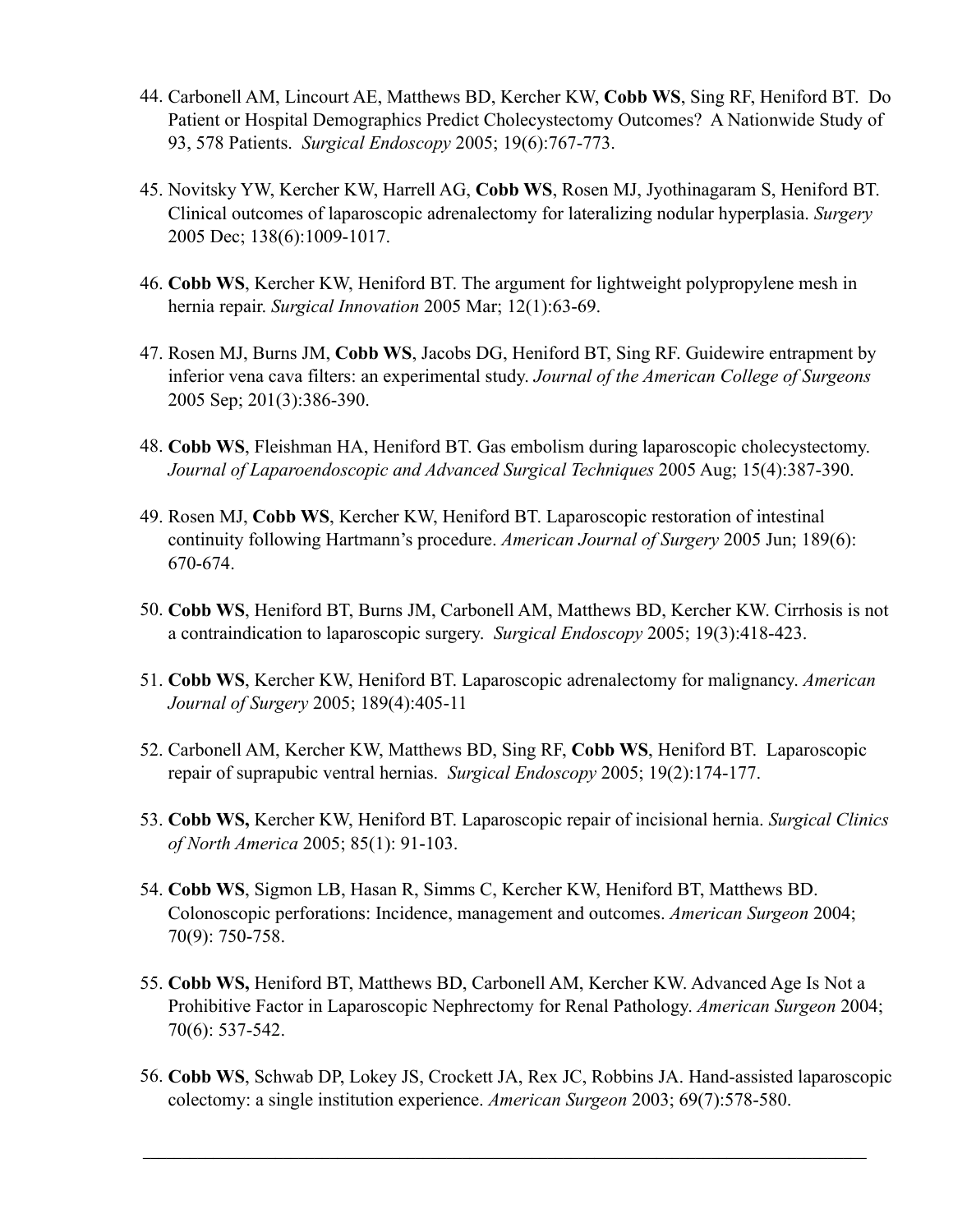- 44. Carbonell AM, Lincourt AE, Matthews BD, Kercher KW, **Cobb WS**, Sing RF, Heniford BT. Do Patient or Hospital Demographics Predict Cholecystectomy Outcomes? A Nationwide Study of 93, 578 Patients. *Surgical Endoscopy* 2005; 19(6):767-773.
- 45. Novitsky YW, Kercher KW, Harrell AG, **Cobb WS**, Rosen MJ, Jyothinagaram S, Heniford BT. Clinical outcomes of laparoscopic adrenalectomy for lateralizing nodular hyperplasia. *Surgery* 2005 Dec; 138(6):1009-1017.
- 46. **Cobb WS**, Kercher KW, Heniford BT. The argument for lightweight polypropylene mesh in hernia repair. *Surgical Innovation* 2005 Mar; 12(1):63-69.
- 47. Rosen MJ, Burns JM, **Cobb WS**, Jacobs DG, Heniford BT, Sing RF. Guidewire entrapment by inferior vena cava filters: an experimental study. *Journal of the American College of Surgeons* 2005 Sep; 201(3):386-390.
- 48. **Cobb WS**, Fleishman HA, Heniford BT. Gas embolism during laparoscopic cholecystectomy. *Journal of Laparoendoscopic and Advanced Surgical Techniques* 2005 Aug; 15(4):387-390.
- 49. Rosen MJ, **Cobb WS**, Kercher KW, Heniford BT. Laparoscopic restoration of intestinal continuity following Hartmann's procedure. *American Journal of Surgery* 2005 Jun; 189(6): 670-674.
- 50. **Cobb WS**, Heniford BT, Burns JM, Carbonell AM, Matthews BD, Kercher KW. Cirrhosis is not a contraindication to laparoscopic surgery. *Surgical Endoscopy* 2005; 19(3):418-423.
- 51. **Cobb WS**, Kercher KW, Heniford BT. Laparoscopic adrenalectomy for malignancy. *American Journal of Surgery* 2005; 189(4):405-11
- 52. Carbonell AM, Kercher KW, Matthews BD, Sing RF, **Cobb WS**, Heniford BT. Laparoscopic repair of suprapubic ventral hernias. *Surgical Endoscopy* 2005; 19(2):174-177.
- 53. **Cobb WS,** Kercher KW, Heniford BT. Laparoscopic repair of incisional hernia. *Surgical Clinics of North America* 2005; 85(1): 91-103.
- 54. **Cobb WS**, Sigmon LB, Hasan R, Simms C, Kercher KW, Heniford BT, Matthews BD. Colonoscopic perforations: Incidence, management and outcomes. *American Surgeon* 2004; 70(9): 750-758.
- 55. **Cobb WS,** Heniford BT, Matthews BD, Carbonell AM, Kercher KW. Advanced Age Is Not a Prohibitive Factor in Laparoscopic Nephrectomy for Renal Pathology. *American Surgeon* 2004; 70(6): 537-542.
- 56. **Cobb WS**, Schwab DP, Lokey JS, Crockett JA, Rex JC, Robbins JA. Hand-assisted laparoscopic colectomy: a single institution experience. *American Surgeon* 2003; 69(7):578-580.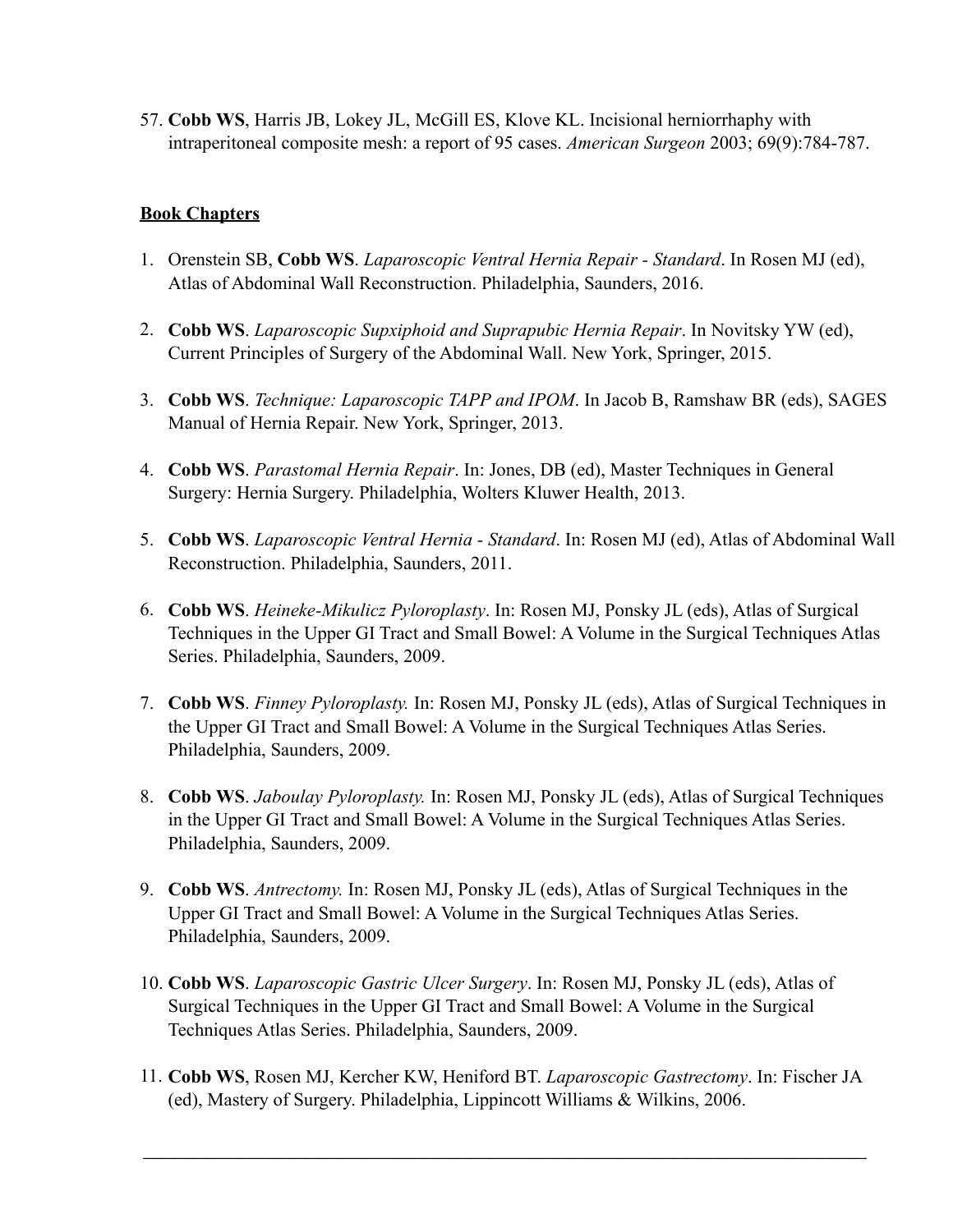57. **Cobb WS**, Harris JB, Lokey JL, McGill ES, Klove KL. Incisional herniorrhaphy with intraperitoneal composite mesh: a report of 95 cases. *American Surgeon* 2003; 69(9):784-787.

# **Book Chapters**

- 1. Orenstein SB, **Cobb WS**. *Laparoscopic Ventral Hernia Repair Standard*. In Rosen MJ (ed), Atlas of Abdominal Wall Reconstruction. Philadelphia, Saunders, 2016.
- 2. **Cobb WS**. *Laparoscopic Supxiphoid and Suprapubic Hernia Repair*. In Novitsky YW (ed), Current Principles of Surgery of the Abdominal Wall. New York, Springer, 2015.
- 3. **Cobb WS**. *Technique: Laparoscopic TAPP and IPOM*. In Jacob B, Ramshaw BR (eds), SAGES Manual of Hernia Repair. New York, Springer, 2013.
- 4. **Cobb WS**. *Parastomal Hernia Repair*. In: Jones, DB (ed), Master Techniques in General Surgery: Hernia Surgery. Philadelphia, Wolters Kluwer Health, 2013.
- 5. **Cobb WS**. *Laparoscopic Ventral Hernia Standard*. In: Rosen MJ (ed), Atlas of Abdominal Wall Reconstruction. Philadelphia, Saunders, 2011.
- 6. **Cobb WS**. *Heineke-Mikulicz Pyloroplasty*. In: Rosen MJ, Ponsky JL (eds), Atlas of Surgical Techniques in the Upper GI Tract and Small Bowel: A Volume in the Surgical Techniques Atlas Series. Philadelphia, Saunders, 2009.
- 7. **Cobb WS**. *Finney Pyloroplasty.* In: Rosen MJ, Ponsky JL (eds), Atlas of Surgical Techniques in the Upper GI Tract and Small Bowel: A Volume in the Surgical Techniques Atlas Series. Philadelphia, Saunders, 2009.
- 8. **Cobb WS**. *Jaboulay Pyloroplasty.* In: Rosen MJ, Ponsky JL (eds), Atlas of Surgical Techniques in the Upper GI Tract and Small Bowel: A Volume in the Surgical Techniques Atlas Series. Philadelphia, Saunders, 2009.
- 9. **Cobb WS**. *Antrectomy.* In: Rosen MJ, Ponsky JL (eds), Atlas of Surgical Techniques in the Upper GI Tract and Small Bowel: A Volume in the Surgical Techniques Atlas Series. Philadelphia, Saunders, 2009.
- 10. **Cobb WS**. *Laparoscopic Gastric Ulcer Surgery*. In: Rosen MJ, Ponsky JL (eds), Atlas of Surgical Techniques in the Upper GI Tract and Small Bowel: A Volume in the Surgical Techniques Atlas Series. Philadelphia, Saunders, 2009.
- 11. **Cobb WS**, Rosen MJ, Kercher KW, Heniford BT. *Laparoscopic Gastrectomy*. In: Fischer JA (ed), Mastery of Surgery. Philadelphia, Lippincott Williams & Wilkins, 2006.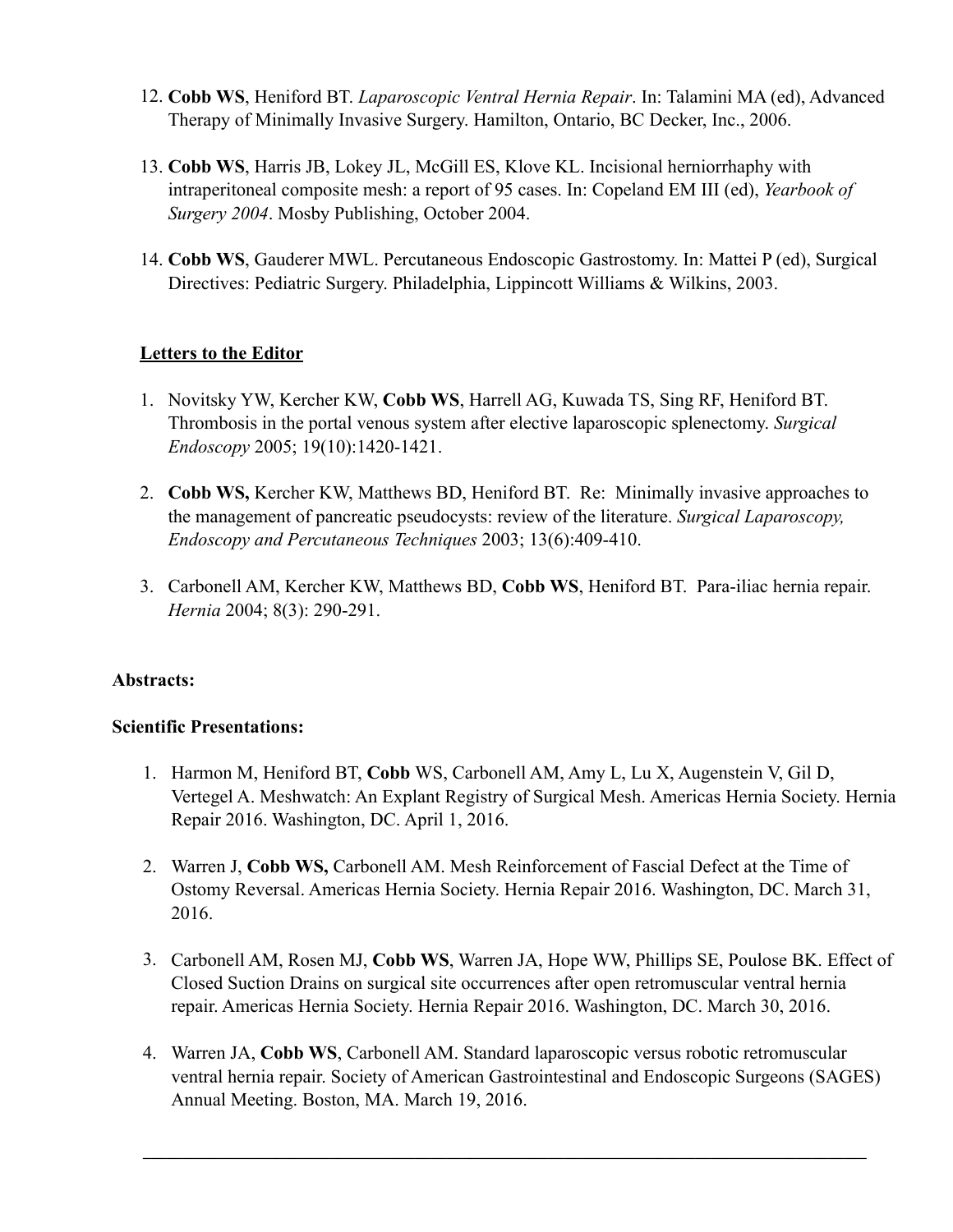- 12. **Cobb WS**, Heniford BT. *Laparoscopic Ventral Hernia Repair*. In: Talamini MA (ed), Advanced Therapy of Minimally Invasive Surgery. Hamilton, Ontario, BC Decker, Inc., 2006.
- 13. **Cobb WS**, Harris JB, Lokey JL, McGill ES, Klove KL. Incisional herniorrhaphy with intraperitoneal composite mesh: a report of 95 cases. In: Copeland EM III (ed), *Yearbook of Surgery 2004*. Mosby Publishing, October 2004.
- 14. **Cobb WS**, Gauderer MWL. Percutaneous Endoscopic Gastrostomy. In: Mattei P (ed), Surgical Directives: Pediatric Surgery. Philadelphia, Lippincott Williams & Wilkins, 2003.

# **Letters to the Editor**

- 1. Novitsky YW, Kercher KW, **Cobb WS**, Harrell AG, Kuwada TS, Sing RF, Heniford BT. Thrombosis in the portal venous system after elective laparoscopic splenectomy. *Surgical Endoscopy* 2005; 19(10):1420-1421.
- 2. **Cobb WS,** Kercher KW, Matthews BD, Heniford BT. Re: Minimally invasive approaches to the management of pancreatic pseudocysts: review of the literature. *Surgical Laparoscopy, Endoscopy and Percutaneous Techniques* 2003; 13(6):409-410.
- 3. Carbonell AM, Kercher KW, Matthews BD, **Cobb WS**, Heniford BT. Para-iliac hernia repair. *Hernia* 2004; 8(3): 290-291.

# **Abstracts:**

## **Scientific Presentations:**

- 1. Harmon M, Heniford BT, **Cobb** WS, Carbonell AM, Amy L, Lu X, Augenstein V, Gil D, Vertegel A. Meshwatch: An Explant Registry of Surgical Mesh. Americas Hernia Society. Hernia Repair 2016. Washington, DC. April 1, 2016.
- 2. Warren J, **Cobb WS,** Carbonell AM. Mesh Reinforcement of Fascial Defect at the Time of Ostomy Reversal. Americas Hernia Society. Hernia Repair 2016. Washington, DC. March 31, 2016.
- 3. Carbonell AM, Rosen MJ, **Cobb WS**, Warren JA, Hope WW, Phillips SE, Poulose BK. Effect of Closed Suction Drains on surgical site occurrences after open retromuscular ventral hernia repair. Americas Hernia Society. Hernia Repair 2016. Washington, DC. March 30, 2016.
- 4. Warren JA, **Cobb WS**, Carbonell AM. Standard laparoscopic versus robotic retromuscular ventral hernia repair. Society of American Gastrointestinal and Endoscopic Surgeons (SAGES) Annual Meeting. Boston, MA. March 19, 2016.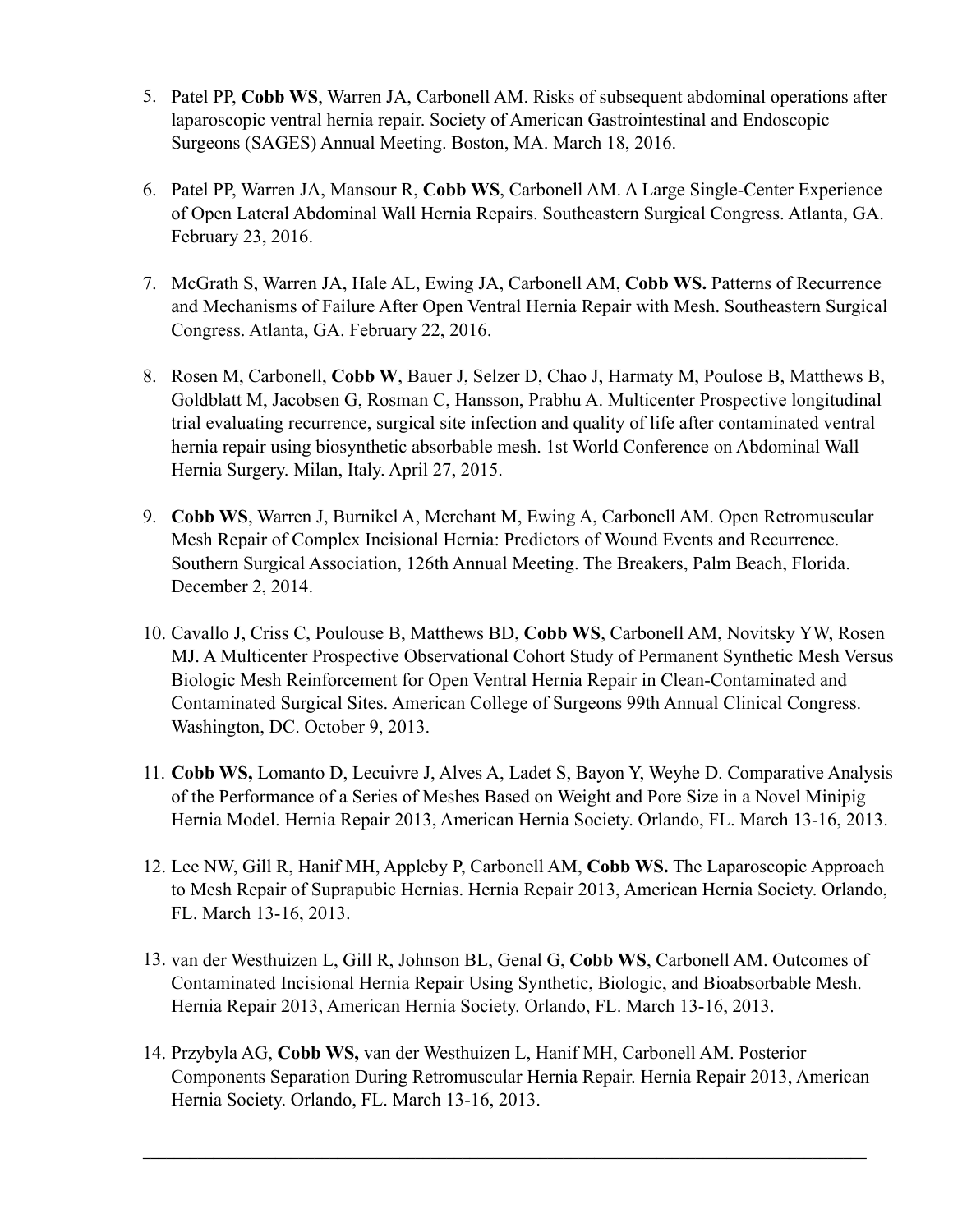- 5. Patel PP, **Cobb WS**, Warren JA, Carbonell AM. Risks of subsequent abdominal operations after laparoscopic ventral hernia repair. Society of American Gastrointestinal and Endoscopic Surgeons (SAGES) Annual Meeting. Boston, MA. March 18, 2016.
- 6. Patel PP, Warren JA, Mansour R, **Cobb WS**, Carbonell AM. A Large Single-Center Experience of Open Lateral Abdominal Wall Hernia Repairs. Southeastern Surgical Congress. Atlanta, GA. February 23, 2016.
- 7. McGrath S, Warren JA, Hale AL, Ewing JA, Carbonell AM, **Cobb WS.** Patterns of Recurrence and Mechanisms of Failure After Open Ventral Hernia Repair with Mesh. Southeastern Surgical Congress. Atlanta, GA. February 22, 2016.
- 8. Rosen M, Carbonell, **Cobb W**, Bauer J, Selzer D, Chao J, Harmaty M, Poulose B, Matthews B, Goldblatt M, Jacobsen G, Rosman C, Hansson, Prabhu A. Multicenter Prospective longitudinal trial evaluating recurrence, surgical site infection and quality of life after contaminated ventral hernia repair using biosynthetic absorbable mesh. 1st World Conference on Abdominal Wall Hernia Surgery. Milan, Italy. April 27, 2015.
- 9. **Cobb WS**, Warren J, Burnikel A, Merchant M, Ewing A, Carbonell AM. Open Retromuscular Mesh Repair of Complex Incisional Hernia: Predictors of Wound Events and Recurrence. Southern Surgical Association, 126th Annual Meeting. The Breakers, Palm Beach, Florida. December 2, 2014.
- 10. Cavallo J, Criss C, Poulouse B, Matthews BD, **Cobb WS**, Carbonell AM, Novitsky YW, Rosen MJ. A Multicenter Prospective Observational Cohort Study of Permanent Synthetic Mesh Versus Biologic Mesh Reinforcement for Open Ventral Hernia Repair in Clean-Contaminated and Contaminated Surgical Sites. American College of Surgeons 99th Annual Clinical Congress. Washington, DC. October 9, 2013.
- 11. **Cobb WS,** Lomanto D, Lecuivre J, Alves A, Ladet S, Bayon Y, Weyhe D. Comparative Analysis of the Performance of a Series of Meshes Based on Weight and Pore Size in a Novel Minipig Hernia Model. Hernia Repair 2013, American Hernia Society. Orlando, FL. March 13-16, 2013.
- 12. Lee NW, Gill R, Hanif MH, Appleby P, Carbonell AM, **Cobb WS.** The Laparoscopic Approach to Mesh Repair of Suprapubic Hernias. Hernia Repair 2013, American Hernia Society. Orlando, FL. March 13-16, 2013.
- 13. van der Westhuizen L, Gill R, Johnson BL, Genal G, **Cobb WS**, Carbonell AM. Outcomes of Contaminated Incisional Hernia Repair Using Synthetic, Biologic, and Bioabsorbable Mesh. Hernia Repair 2013, American Hernia Society. Orlando, FL. March 13-16, 2013.
- 14. Przybyla AG, **Cobb WS,** van der Westhuizen L, Hanif MH, Carbonell AM. Posterior Components Separation During Retromuscular Hernia Repair. Hernia Repair 2013, American Hernia Society. Orlando, FL. March 13-16, 2013.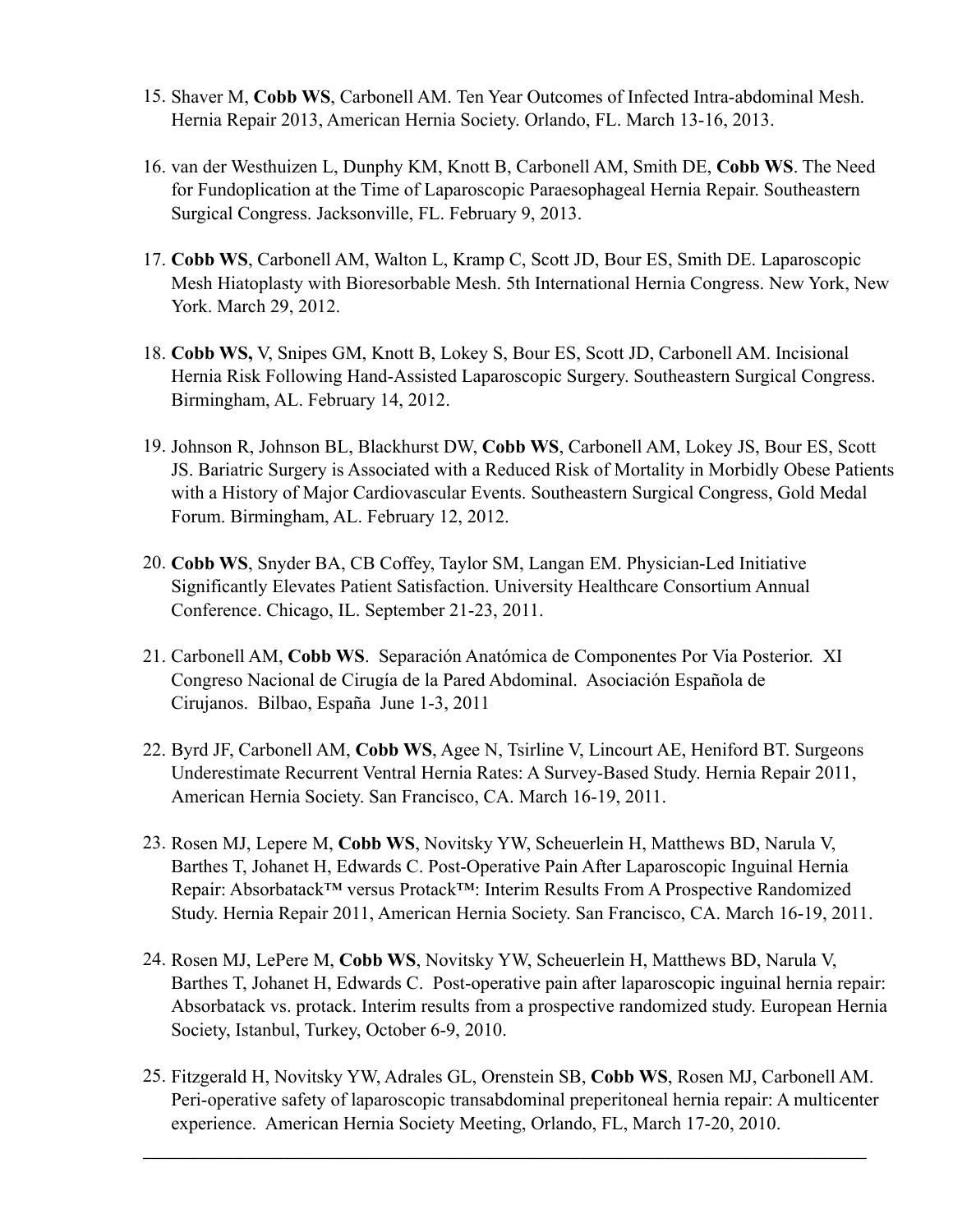- 15. Shaver M, **Cobb WS**, Carbonell AM. Ten Year Outcomes of Infected Intra-abdominal Mesh. Hernia Repair 2013, American Hernia Society. Orlando, FL. March 13-16, 2013.
- 16. van der Westhuizen L, Dunphy KM, Knott B, Carbonell AM, Smith DE, **Cobb WS**. The Need for Fundoplication at the Time of Laparoscopic Paraesophageal Hernia Repair. Southeastern Surgical Congress. Jacksonville, FL. February 9, 2013.
- 17. **Cobb WS**, Carbonell AM, Walton L, Kramp C, Scott JD, Bour ES, Smith DE. Laparoscopic Mesh Hiatoplasty with Bioresorbable Mesh. 5th International Hernia Congress. New York, New York. March 29, 2012.
- 18. **Cobb WS,** V, Snipes GM, Knott B, Lokey S, Bour ES, Scott JD, Carbonell AM. Incisional Hernia Risk Following Hand-Assisted Laparoscopic Surgery. Southeastern Surgical Congress. Birmingham, AL. February 14, 2012.
- 19. Johnson R, Johnson BL, Blackhurst DW, **Cobb WS**, Carbonell AM, Lokey JS, Bour ES, Scott JS. Bariatric Surgery is Associated with a Reduced Risk of Mortality in Morbidly Obese Patients with a History of Major Cardiovascular Events. Southeastern Surgical Congress, Gold Medal Forum. Birmingham, AL. February 12, 2012.
- 20. **Cobb WS**, Snyder BA, CB Coffey, Taylor SM, Langan EM. Physician-Led Initiative Significantly Elevates Patient Satisfaction. University Healthcare Consortium Annual Conference. Chicago, IL. September 21-23, 2011.
- 21. Carbonell AM, **Cobb WS**. Separación Anatómica de Componentes Por Via Posterior. XI Congreso Nacional de Cirugía de la Pared Abdominal. Asociación Española de Cirujanos. Bilbao, España June 1-3, 2011
- 22. Byrd JF, Carbonell AM, **Cobb WS**, Agee N, Tsirline V, Lincourt AE, Heniford BT. Surgeons Underestimate Recurrent Ventral Hernia Rates: A Survey-Based Study. Hernia Repair 2011, American Hernia Society. San Francisco, CA. March 16-19, 2011.
- 23. Rosen MJ, Lepere M, **Cobb WS**, Novitsky YW, Scheuerlein H, Matthews BD, Narula V, Barthes T, Johanet H, Edwards C. Post-Operative Pain After Laparoscopic Inguinal Hernia Repair: Absorbatack™ versus Protack™: Interim Results From A Prospective Randomized Study. Hernia Repair 2011, American Hernia Society. San Francisco, CA. March 16-19, 2011.
- 24. Rosen MJ, LePere M, **Cobb WS**, Novitsky YW, Scheuerlein H, Matthews BD, Narula V, Barthes T, Johanet H, Edwards C. Post-operative pain after laparoscopic inguinal hernia repair: Absorbatack vs. protack. Interim results from a prospective randomized study. European Hernia Society, Istanbul, Turkey, October 6-9, 2010.
- 25. Fitzgerald H, Novitsky YW, Adrales GL, Orenstein SB, **Cobb WS**, Rosen MJ, Carbonell AM. Peri-operative safety of laparoscopic transabdominal preperitoneal hernia repair: A multicenter experience. American Hernia Society Meeting, Orlando, FL, March 17-20, 2010.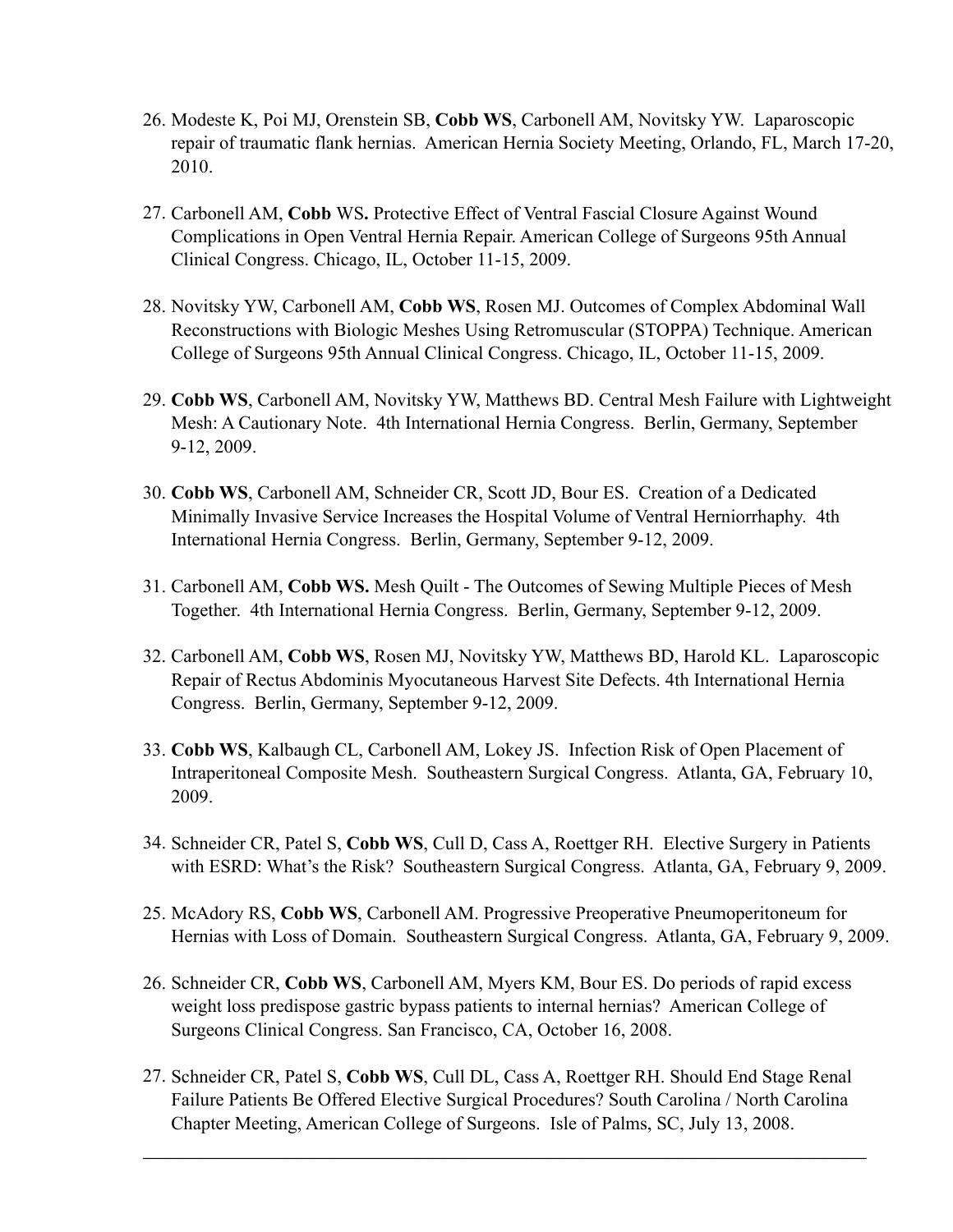- 26. Modeste K, Poi MJ, Orenstein SB, **Cobb WS**, Carbonell AM, Novitsky YW. Laparoscopic repair of traumatic flank hernias. American Hernia Society Meeting, Orlando, FL, March 17-20, 2010.
- 27. Carbonell AM, **Cobb** WS**.** Protective Effect of Ventral Fascial Closure Against Wound Complications in Open Ventral Hernia Repair. American College of Surgeons 95th Annual Clinical Congress. Chicago, IL, October 11-15, 2009.
- 28. Novitsky YW, Carbonell AM, **Cobb WS**, Rosen MJ. Outcomes of Complex Abdominal Wall Reconstructions with Biologic Meshes Using Retromuscular (STOPPA) Technique. American College of Surgeons 95th Annual Clinical Congress. Chicago, IL, October 11-15, 2009.
- 29. **Cobb WS**, Carbonell AM, Novitsky YW, Matthews BD. Central Mesh Failure with Lightweight Mesh: A Cautionary Note. 4th International Hernia Congress. Berlin, Germany, September 9-12, 2009.
- 30. **Cobb WS**, Carbonell AM, Schneider CR, Scott JD, Bour ES. Creation of a Dedicated Minimally Invasive Service Increases the Hospital Volume of Ventral Herniorrhaphy. 4th International Hernia Congress. Berlin, Germany, September 9-12, 2009.
- 31. Carbonell AM, **Cobb WS.** Mesh Quilt The Outcomes of Sewing Multiple Pieces of Mesh Together. 4th International Hernia Congress. Berlin, Germany, September 9-12, 2009.
- 32. Carbonell AM, **Cobb WS**, Rosen MJ, Novitsky YW, Matthews BD, Harold KL. Laparoscopic Repair of Rectus Abdominis Myocutaneous Harvest Site Defects. 4th International Hernia Congress. Berlin, Germany, September 9-12, 2009.
- 33. **Cobb WS**, Kalbaugh CL, Carbonell AM, Lokey JS. Infection Risk of Open Placement of Intraperitoneal Composite Mesh. Southeastern Surgical Congress. Atlanta, GA, February 10, 2009.
- 34. Schneider CR, Patel S, **Cobb WS**, Cull D, Cass A, Roettger RH. Elective Surgery in Patients with ESRD: What's the Risk? Southeastern Surgical Congress. Atlanta, GA, February 9, 2009.
- 25. McAdory RS, **Cobb WS**, Carbonell AM. Progressive Preoperative Pneumoperitoneum for Hernias with Loss of Domain. Southeastern Surgical Congress. Atlanta, GA, February 9, 2009.
- 26. Schneider CR, **Cobb WS**, Carbonell AM, Myers KM, Bour ES. Do periods of rapid excess weight loss predispose gastric bypass patients to internal hernias? American College of Surgeons Clinical Congress. San Francisco, CA, October 16, 2008.
- 27. Schneider CR, Patel S, **Cobb WS**, Cull DL, Cass A, Roettger RH. Should End Stage Renal Failure Patients Be Offered Elective Surgical Procedures? South Carolina / North Carolina Chapter Meeting, American College of Surgeons. Isle of Palms, SC, July 13, 2008.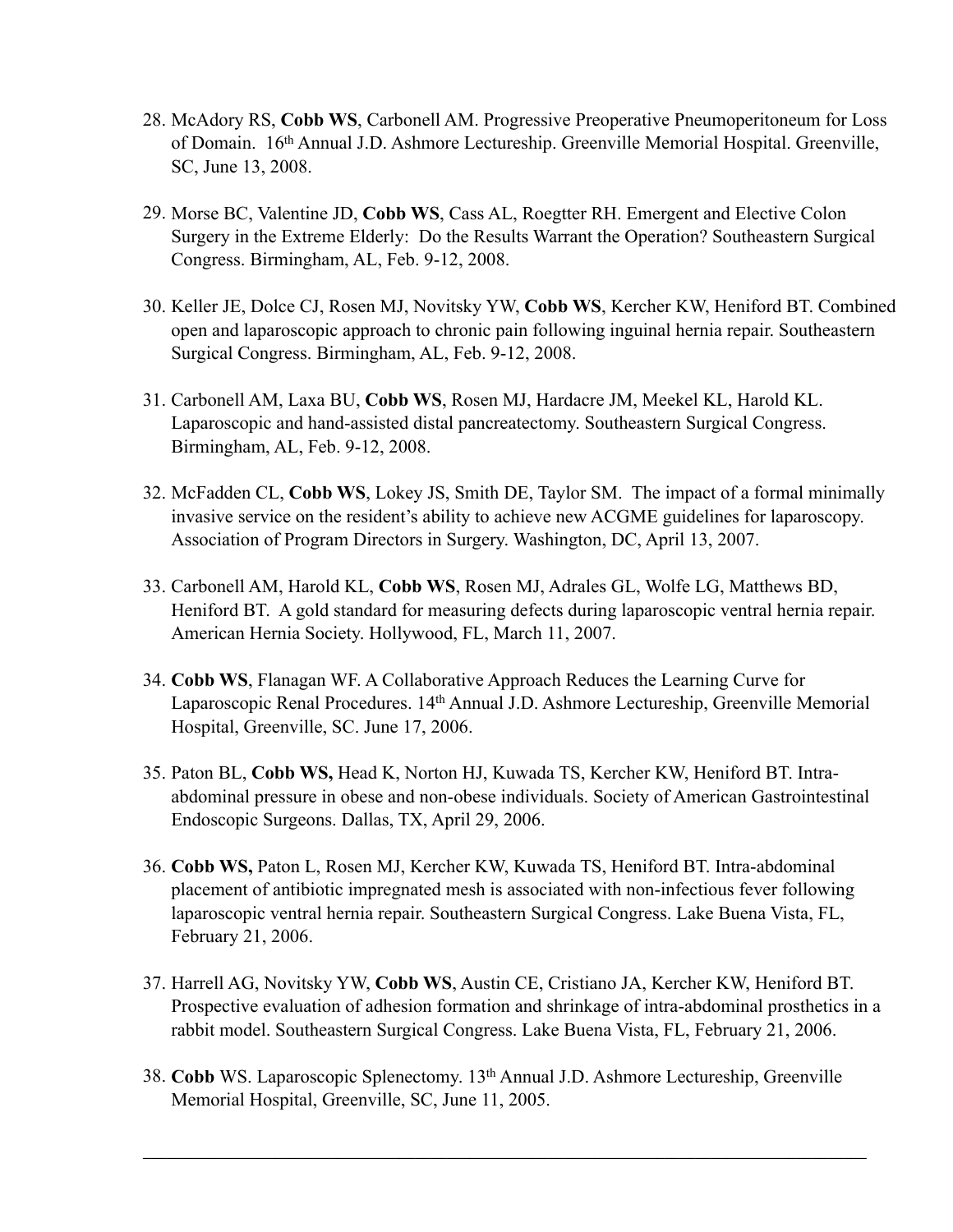- 28. McAdory RS, **Cobb WS**, Carbonell AM. Progressive Preoperative Pneumoperitoneum for Loss of Domain. 16th Annual J.D. Ashmore Lectureship. Greenville Memorial Hospital. Greenville, SC, June 13, 2008.
- 29. Morse BC, Valentine JD, **Cobb WS**, Cass AL, Roegtter RH. Emergent and Elective Colon Surgery in the Extreme Elderly: Do the Results Warrant the Operation? Southeastern Surgical Congress. Birmingham, AL, Feb. 9-12, 2008.
- 30. Keller JE, Dolce CJ, Rosen MJ, Novitsky YW, **Cobb WS**, Kercher KW, Heniford BT. Combined open and laparoscopic approach to chronic pain following inguinal hernia repair. Southeastern Surgical Congress. Birmingham, AL, Feb. 9-12, 2008.
- 31. Carbonell AM, Laxa BU, **Cobb WS**, Rosen MJ, Hardacre JM, Meekel KL, Harold KL. Laparoscopic and hand-assisted distal pancreatectomy. Southeastern Surgical Congress. Birmingham, AL, Feb. 9-12, 2008.
- 32. McFadden CL, **Cobb WS**, Lokey JS, Smith DE, Taylor SM. The impact of a formal minimally invasive service on the resident's ability to achieve new ACGME guidelines for laparoscopy. Association of Program Directors in Surgery. Washington, DC, April 13, 2007.
- 33. Carbonell AM, Harold KL, **Cobb WS**, Rosen MJ, Adrales GL, Wolfe LG, Matthews BD, Heniford BT. A gold standard for measuring defects during laparoscopic ventral hernia repair. American Hernia Society. Hollywood, FL, March 11, 2007.
- 34. **Cobb WS**, Flanagan WF. A Collaborative Approach Reduces the Learning Curve for Laparoscopic Renal Procedures. 14<sup>th</sup> Annual J.D. Ashmore Lectureship, Greenville Memorial Hospital, Greenville, SC. June 17, 2006.
- 35. Paton BL, **Cobb WS,** Head K, Norton HJ, Kuwada TS, Kercher KW, Heniford BT. Intraabdominal pressure in obese and non-obese individuals. Society of American Gastrointestinal Endoscopic Surgeons. Dallas, TX, April 29, 2006.
- 36. **Cobb WS,** Paton L, Rosen MJ, Kercher KW, Kuwada TS, Heniford BT. Intra-abdominal placement of antibiotic impregnated mesh is associated with non-infectious fever following laparoscopic ventral hernia repair. Southeastern Surgical Congress. Lake Buena Vista, FL, February 21, 2006.
- 37. Harrell AG, Novitsky YW, **Cobb WS**, Austin CE, Cristiano JA, Kercher KW, Heniford BT. Prospective evaluation of adhesion formation and shrinkage of intra-abdominal prosthetics in a rabbit model. Southeastern Surgical Congress. Lake Buena Vista, FL, February 21, 2006.
- 38. **Cobb** WS. Laparoscopic Splenectomy. 13th Annual J.D. Ashmore Lectureship, Greenville Memorial Hospital, Greenville, SC, June 11, 2005.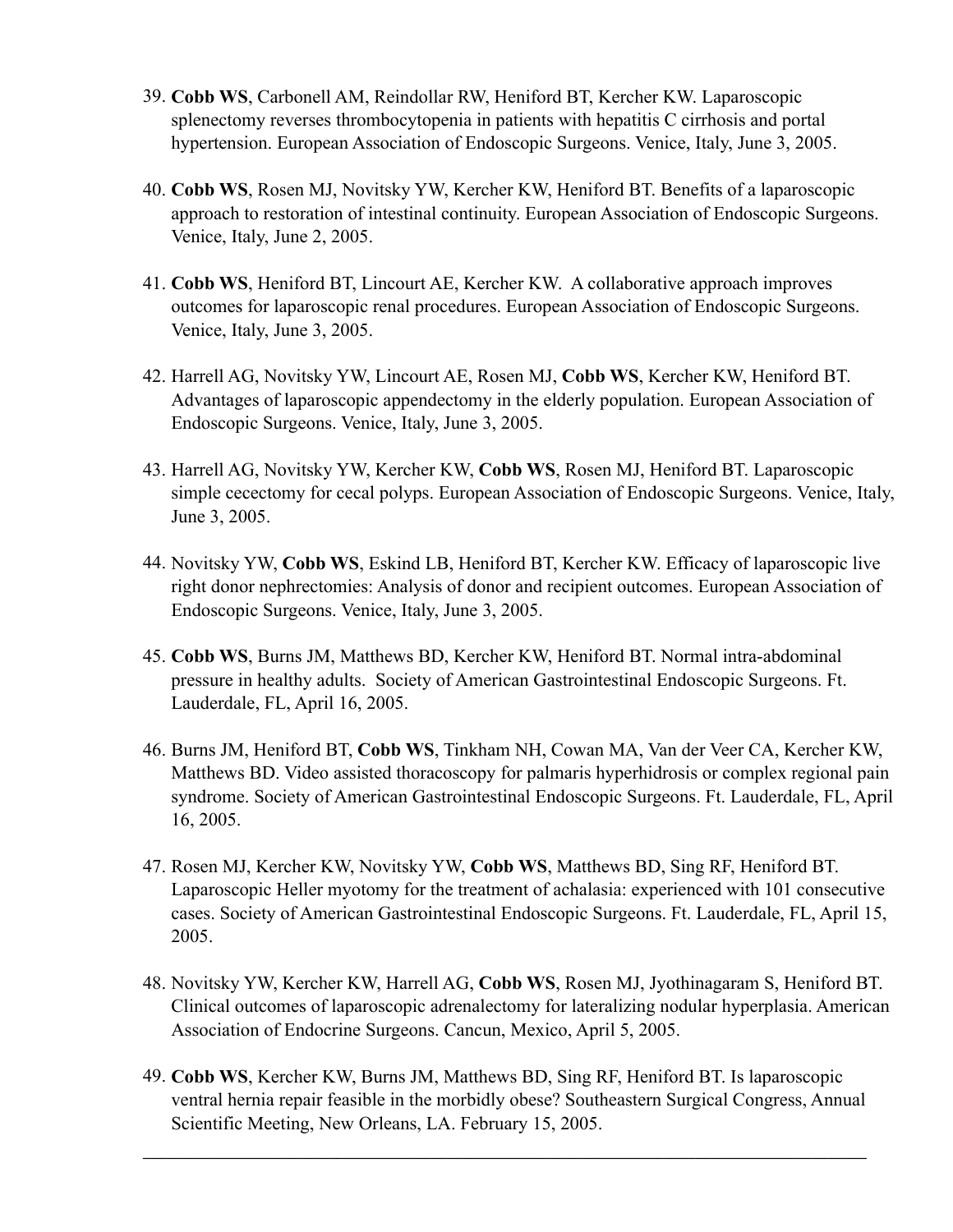- 39. **Cobb WS**, Carbonell AM, Reindollar RW, Heniford BT, Kercher KW. Laparoscopic splenectomy reverses thrombocytopenia in patients with hepatitis C cirrhosis and portal hypertension. European Association of Endoscopic Surgeons. Venice, Italy, June 3, 2005.
- 40. **Cobb WS**, Rosen MJ, Novitsky YW, Kercher KW, Heniford BT. Benefits of a laparoscopic approach to restoration of intestinal continuity. European Association of Endoscopic Surgeons. Venice, Italy, June 2, 2005.
- 41. **Cobb WS**, Heniford BT, Lincourt AE, Kercher KW. A collaborative approach improves outcomes for laparoscopic renal procedures. European Association of Endoscopic Surgeons. Venice, Italy, June 3, 2005.
- 42. Harrell AG, Novitsky YW, Lincourt AE, Rosen MJ, **Cobb WS**, Kercher KW, Heniford BT. Advantages of laparoscopic appendectomy in the elderly population. European Association of Endoscopic Surgeons. Venice, Italy, June 3, 2005.
- 43. Harrell AG, Novitsky YW, Kercher KW, **Cobb WS**, Rosen MJ, Heniford BT. Laparoscopic simple cecectomy for cecal polyps. European Association of Endoscopic Surgeons. Venice, Italy, June 3, 2005.
- 44. Novitsky YW, **Cobb WS**, Eskind LB, Heniford BT, Kercher KW. Efficacy of laparoscopic live right donor nephrectomies: Analysis of donor and recipient outcomes. European Association of Endoscopic Surgeons. Venice, Italy, June 3, 2005.
- 45. **Cobb WS**, Burns JM, Matthews BD, Kercher KW, Heniford BT. Normal intra-abdominal pressure in healthy adults. Society of American Gastrointestinal Endoscopic Surgeons. Ft. Lauderdale, FL, April 16, 2005.
- 46. Burns JM, Heniford BT, **Cobb WS**, Tinkham NH, Cowan MA, Van der Veer CA, Kercher KW, Matthews BD. Video assisted thoracoscopy for palmaris hyperhidrosis or complex regional pain syndrome. Society of American Gastrointestinal Endoscopic Surgeons. Ft. Lauderdale, FL, April 16, 2005.
- 47. Rosen MJ, Kercher KW, Novitsky YW, **Cobb WS**, Matthews BD, Sing RF, Heniford BT. Laparoscopic Heller myotomy for the treatment of achalasia: experienced with 101 consecutive cases. Society of American Gastrointestinal Endoscopic Surgeons. Ft. Lauderdale, FL, April 15, 2005.
- 48. Novitsky YW, Kercher KW, Harrell AG, **Cobb WS**, Rosen MJ, Jyothinagaram S, Heniford BT. Clinical outcomes of laparoscopic adrenalectomy for lateralizing nodular hyperplasia. American Association of Endocrine Surgeons. Cancun, Mexico, April 5, 2005.
- 49. **Cobb WS**, Kercher KW, Burns JM, Matthews BD, Sing RF, Heniford BT. Is laparoscopic ventral hernia repair feasible in the morbidly obese? Southeastern Surgical Congress, Annual Scientific Meeting, New Orleans, LA. February 15, 2005.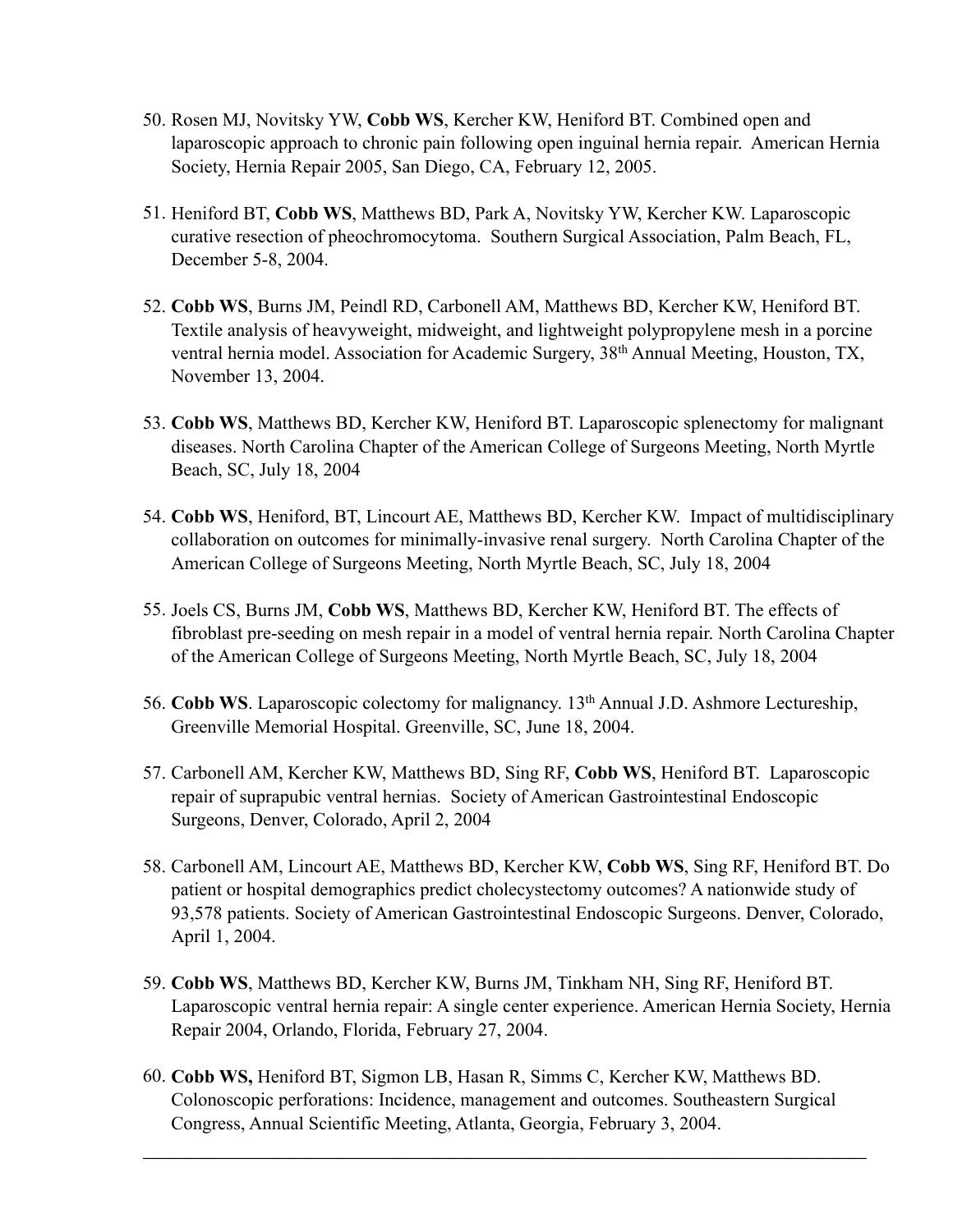- 50. Rosen MJ, Novitsky YW, **Cobb WS**, Kercher KW, Heniford BT. Combined open and laparoscopic approach to chronic pain following open inguinal hernia repair. American Hernia Society, Hernia Repair 2005, San Diego, CA, February 12, 2005.
- 51. Heniford BT, **Cobb WS**, Matthews BD, Park A, Novitsky YW, Kercher KW. Laparoscopic curative resection of pheochromocytoma. Southern Surgical Association, Palm Beach, FL, December 5-8, 2004.
- 52. **Cobb WS**, Burns JM, Peindl RD, Carbonell AM, Matthews BD, Kercher KW, Heniford BT. Textile analysis of heavyweight, midweight, and lightweight polypropylene mesh in a porcine ventral hernia model. Association for Academic Surgery, 38<sup>th</sup> Annual Meeting, Houston, TX, November 13, 2004.
- 53. **Cobb WS**, Matthews BD, Kercher KW, Heniford BT. Laparoscopic splenectomy for malignant diseases. North Carolina Chapter of the American College of Surgeons Meeting, North Myrtle Beach, SC, July 18, 2004
- 54. **Cobb WS**, Heniford, BT, Lincourt AE, Matthews BD, Kercher KW. Impact of multidisciplinary collaboration on outcomes for minimally-invasive renal surgery. North Carolina Chapter of the American College of Surgeons Meeting, North Myrtle Beach, SC, July 18, 2004
- 55. Joels CS, Burns JM, **Cobb WS**, Matthews BD, Kercher KW, Heniford BT. The effects of fibroblast pre-seeding on mesh repair in a model of ventral hernia repair. North Carolina Chapter of the American College of Surgeons Meeting, North Myrtle Beach, SC, July 18, 2004
- 56. **Cobb WS**. Laparoscopic colectomy for malignancy. 13th Annual J.D. Ashmore Lectureship, Greenville Memorial Hospital. Greenville, SC, June 18, 2004.
- 57. Carbonell AM, Kercher KW, Matthews BD, Sing RF, **Cobb WS**, Heniford BT. Laparoscopic repair of suprapubic ventral hernias. Society of American Gastrointestinal Endoscopic Surgeons, Denver, Colorado, April 2, 2004
- 58. Carbonell AM, Lincourt AE, Matthews BD, Kercher KW, **Cobb WS**, Sing RF, Heniford BT. Do patient or hospital demographics predict cholecystectomy outcomes? A nationwide study of 93,578 patients. Society of American Gastrointestinal Endoscopic Surgeons. Denver, Colorado, April 1, 2004.
- 59. **Cobb WS**, Matthews BD, Kercher KW, Burns JM, Tinkham NH, Sing RF, Heniford BT. Laparoscopic ventral hernia repair: A single center experience. American Hernia Society, Hernia Repair 2004, Orlando, Florida, February 27, 2004.
- 60. **Cobb WS,** Heniford BT, Sigmon LB, Hasan R, Simms C, Kercher KW, Matthews BD. Colonoscopic perforations: Incidence, management and outcomes. Southeastern Surgical Congress, Annual Scientific Meeting, Atlanta, Georgia, February 3, 2004.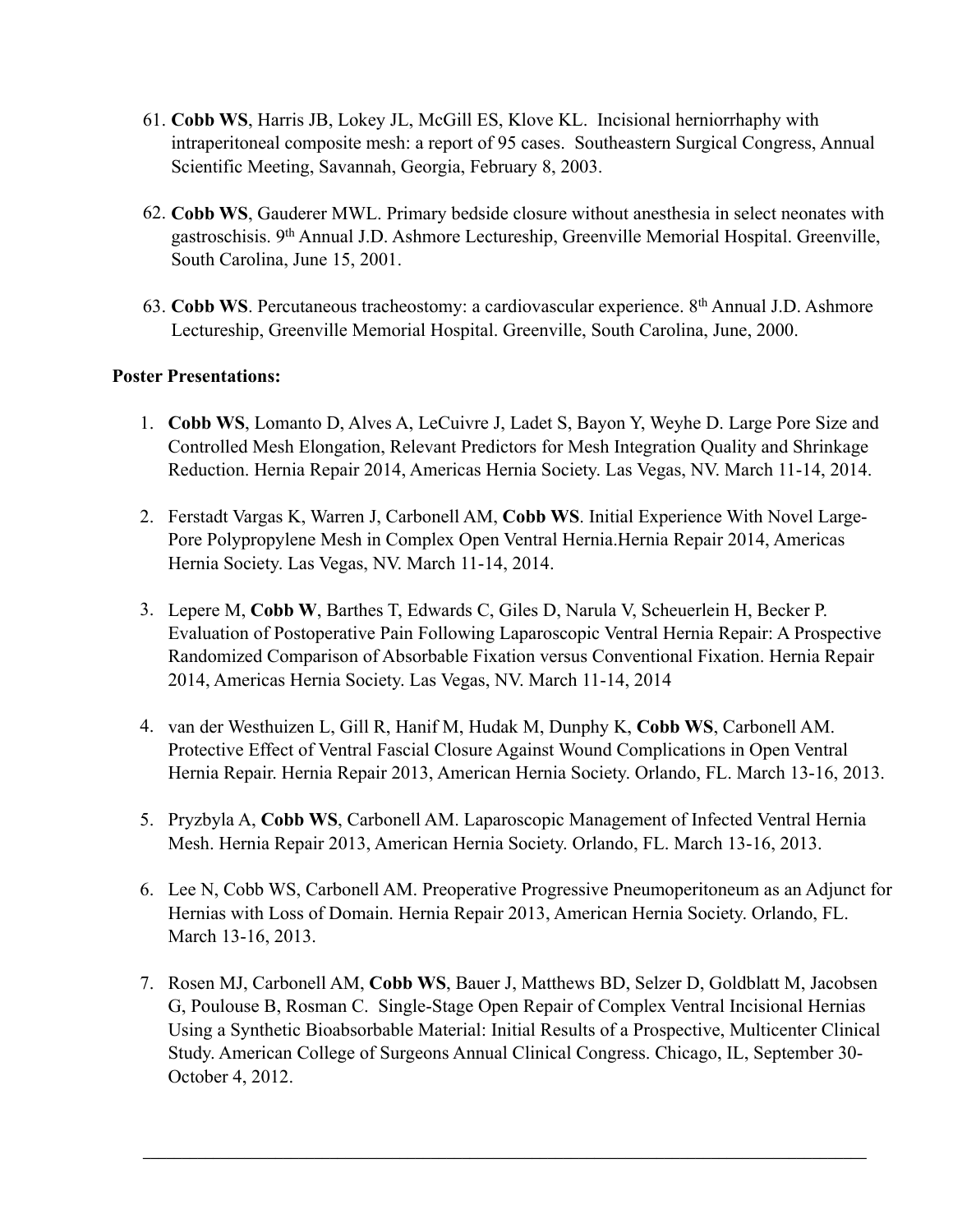- 61. **Cobb WS**, Harris JB, Lokey JL, McGill ES, Klove KL. Incisional herniorrhaphy with intraperitoneal composite mesh: a report of 95 cases. Southeastern Surgical Congress, Annual Scientific Meeting, Savannah, Georgia, February 8, 2003.
- 62. **Cobb WS**, Gauderer MWL. Primary bedside closure without anesthesia in select neonates with gastroschisis. 9th Annual J.D. Ashmore Lectureship, Greenville Memorial Hospital. Greenville, South Carolina, June 15, 2001.
- 63. **Cobb WS**. Percutaneous tracheostomy: a cardiovascular experience. 8th Annual J.D. Ashmore Lectureship, Greenville Memorial Hospital. Greenville, South Carolina, June, 2000.

## **Poster Presentations:**

- 1. **Cobb WS**, Lomanto D, Alves A, LeCuivre J, Ladet S, Bayon Y, Weyhe D. Large Pore Size and Controlled Mesh Elongation, Relevant Predictors for Mesh Integration Quality and Shrinkage Reduction. Hernia Repair 2014, Americas Hernia Society. Las Vegas, NV. March 11-14, 2014.
- 2. Ferstadt Vargas K, Warren J, Carbonell AM, **Cobb WS**. Initial Experience With Novel Large-Pore Polypropylene Mesh in Complex Open Ventral Hernia.Hernia Repair 2014, Americas Hernia Society. Las Vegas, NV. March 11-14, 2014.
- 3. Lepere M, **Cobb W**, Barthes T, Edwards C, Giles D, Narula V, Scheuerlein H, Becker P. Evaluation of Postoperative Pain Following Laparoscopic Ventral Hernia Repair: A Prospective Randomized Comparison of Absorbable Fixation versus Conventional Fixation. Hernia Repair 2014, Americas Hernia Society. Las Vegas, NV. March 11-14, 2014
- 4. van der Westhuizen L, Gill R, Hanif M, Hudak M, Dunphy K, **Cobb WS**, Carbonell AM. Protective Effect of Ventral Fascial Closure Against Wound Complications in Open Ventral Hernia Repair. Hernia Repair 2013, American Hernia Society. Orlando, FL. March 13-16, 2013.
- 5. Pryzbyla A, **Cobb WS**, Carbonell AM. Laparoscopic Management of Infected Ventral Hernia Mesh. Hernia Repair 2013, American Hernia Society. Orlando, FL. March 13-16, 2013.
- 6. Lee N, Cobb WS, Carbonell AM. Preoperative Progressive Pneumoperitoneum as an Adjunct for Hernias with Loss of Domain. Hernia Repair 2013, American Hernia Society. Orlando, FL. March 13-16, 2013.
- 7. Rosen MJ, Carbonell AM, **Cobb WS**, Bauer J, Matthews BD, Selzer D, Goldblatt M, Jacobsen G, Poulouse B, Rosman C. Single-Stage Open Repair of Complex Ventral Incisional Hernias Using a Synthetic Bioabsorbable Material: Initial Results of a Prospective, Multicenter Clinical Study. American College of Surgeons Annual Clinical Congress. Chicago, IL, September 30- October 4, 2012.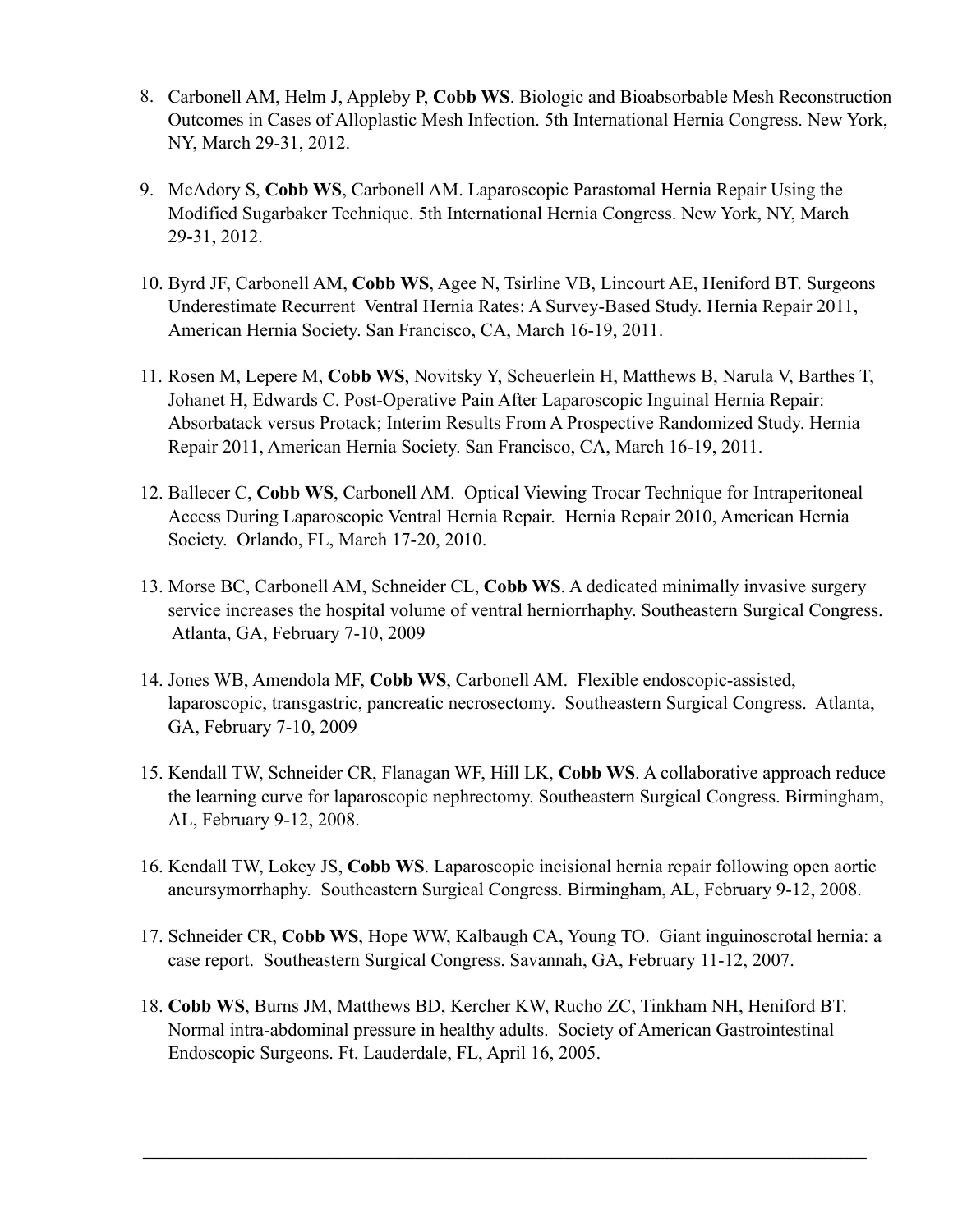- 8. Carbonell AM, Helm J, Appleby P, **Cobb WS**. Biologic and Bioabsorbable Mesh Reconstruction Outcomes in Cases of Alloplastic Mesh Infection. 5th International Hernia Congress. New York, NY, March 29-31, 2012.
- 9. McAdory S, **Cobb WS**, Carbonell AM. Laparoscopic Parastomal Hernia Repair Using the Modified Sugarbaker Technique. 5th International Hernia Congress. New York, NY, March 29-31, 2012.
- 10. Byrd JF, Carbonell AM, **Cobb WS**, Agee N, Tsirline VB, Lincourt AE, Heniford BT. Surgeons Underestimate Recurrent Ventral Hernia Rates: A Survey-Based Study. Hernia Repair 2011, American Hernia Society. San Francisco, CA, March 16-19, 2011.
- 11. Rosen M, Lepere M, **Cobb WS**, Novitsky Y, Scheuerlein H, Matthews B, Narula V, Barthes T, Johanet H, Edwards C. Post-Operative Pain After Laparoscopic Inguinal Hernia Repair: Absorbatack versus Protack; Interim Results From A Prospective Randomized Study. Hernia Repair 2011, American Hernia Society. San Francisco, CA, March 16-19, 2011.
- 12. Ballecer C, **Cobb WS**, Carbonell AM. Optical Viewing Trocar Technique for Intraperitoneal Access During Laparoscopic Ventral Hernia Repair. Hernia Repair 2010, American Hernia Society. Orlando, FL, March 17-20, 2010.
- 13. Morse BC, Carbonell AM, Schneider CL, **Cobb WS**. A dedicated minimally invasive surgery service increases the hospital volume of ventral herniorrhaphy. Southeastern Surgical Congress. Atlanta, GA, February 7-10, 2009
- 14. Jones WB, Amendola MF, **Cobb WS**, Carbonell AM. Flexible endoscopic-assisted, laparoscopic, transgastric, pancreatic necrosectomy. Southeastern Surgical Congress. Atlanta, GA, February 7-10, 2009
- 15. Kendall TW, Schneider CR, Flanagan WF, Hill LK, **Cobb WS**. A collaborative approach reduce the learning curve for laparoscopic nephrectomy. Southeastern Surgical Congress. Birmingham, AL, February 9-12, 2008.
- 16. Kendall TW, Lokey JS, **Cobb WS**. Laparoscopic incisional hernia repair following open aortic aneursymorrhaphy. Southeastern Surgical Congress. Birmingham, AL, February 9-12, 2008.
- 17. Schneider CR, **Cobb WS**, Hope WW, Kalbaugh CA, Young TO. Giant inguinoscrotal hernia: a case report. Southeastern Surgical Congress. Savannah, GA, February 11-12, 2007.
- 18. **Cobb WS**, Burns JM, Matthews BD, Kercher KW, Rucho ZC, Tinkham NH, Heniford BT. Normal intra-abdominal pressure in healthy adults. Society of American Gastrointestinal Endoscopic Surgeons. Ft. Lauderdale, FL, April 16, 2005.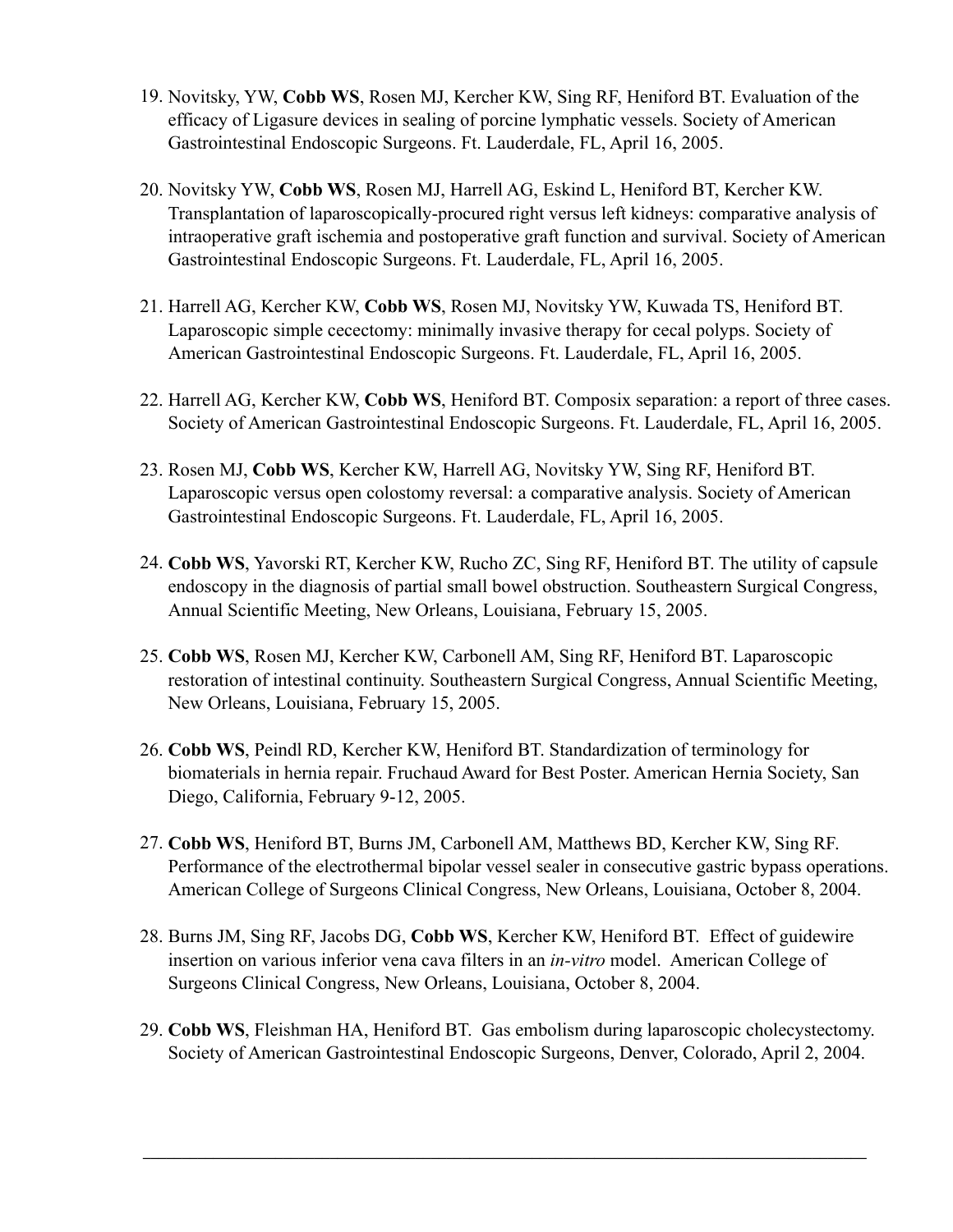- 19. Novitsky, YW, **Cobb WS**, Rosen MJ, Kercher KW, Sing RF, Heniford BT. Evaluation of the efficacy of Ligasure devices in sealing of porcine lymphatic vessels. Society of American Gastrointestinal Endoscopic Surgeons. Ft. Lauderdale, FL, April 16, 2005.
- 20. Novitsky YW, **Cobb WS**, Rosen MJ, Harrell AG, Eskind L, Heniford BT, Kercher KW. Transplantation of laparoscopically-procured right versus left kidneys: comparative analysis of intraoperative graft ischemia and postoperative graft function and survival. Society of American Gastrointestinal Endoscopic Surgeons. Ft. Lauderdale, FL, April 16, 2005.
- 21. Harrell AG, Kercher KW, **Cobb WS**, Rosen MJ, Novitsky YW, Kuwada TS, Heniford BT. Laparoscopic simple cecectomy: minimally invasive therapy for cecal polyps. Society of American Gastrointestinal Endoscopic Surgeons. Ft. Lauderdale, FL, April 16, 2005.
- 22. Harrell AG, Kercher KW, **Cobb WS**, Heniford BT. Composix separation: a report of three cases. Society of American Gastrointestinal Endoscopic Surgeons. Ft. Lauderdale, FL, April 16, 2005.
- 23. Rosen MJ, **Cobb WS**, Kercher KW, Harrell AG, Novitsky YW, Sing RF, Heniford BT. Laparoscopic versus open colostomy reversal: a comparative analysis. Society of American Gastrointestinal Endoscopic Surgeons. Ft. Lauderdale, FL, April 16, 2005.
- 24. **Cobb WS**, Yavorski RT, Kercher KW, Rucho ZC, Sing RF, Heniford BT. The utility of capsule endoscopy in the diagnosis of partial small bowel obstruction. Southeastern Surgical Congress, Annual Scientific Meeting, New Orleans, Louisiana, February 15, 2005.
- 25. **Cobb WS**, Rosen MJ, Kercher KW, Carbonell AM, Sing RF, Heniford BT. Laparoscopic restoration of intestinal continuity. Southeastern Surgical Congress, Annual Scientific Meeting, New Orleans, Louisiana, February 15, 2005.
- 26. **Cobb WS**, Peindl RD, Kercher KW, Heniford BT. Standardization of terminology for biomaterials in hernia repair. Fruchaud Award for Best Poster. American Hernia Society, San Diego, California, February 9-12, 2005.
- 27. **Cobb WS**, Heniford BT, Burns JM, Carbonell AM, Matthews BD, Kercher KW, Sing RF. Performance of the electrothermal bipolar vessel sealer in consecutive gastric bypass operations. American College of Surgeons Clinical Congress, New Orleans, Louisiana, October 8, 2004.
- 28. Burns JM, Sing RF, Jacobs DG, **Cobb WS**, Kercher KW, Heniford BT. Effect of guidewire insertion on various inferior vena cava filters in an *in-vitro* model. American College of Surgeons Clinical Congress, New Orleans, Louisiana, October 8, 2004.
- 29. **Cobb WS**, Fleishman HA, Heniford BT. Gas embolism during laparoscopic cholecystectomy. Society of American Gastrointestinal Endoscopic Surgeons, Denver, Colorado, April 2, 2004.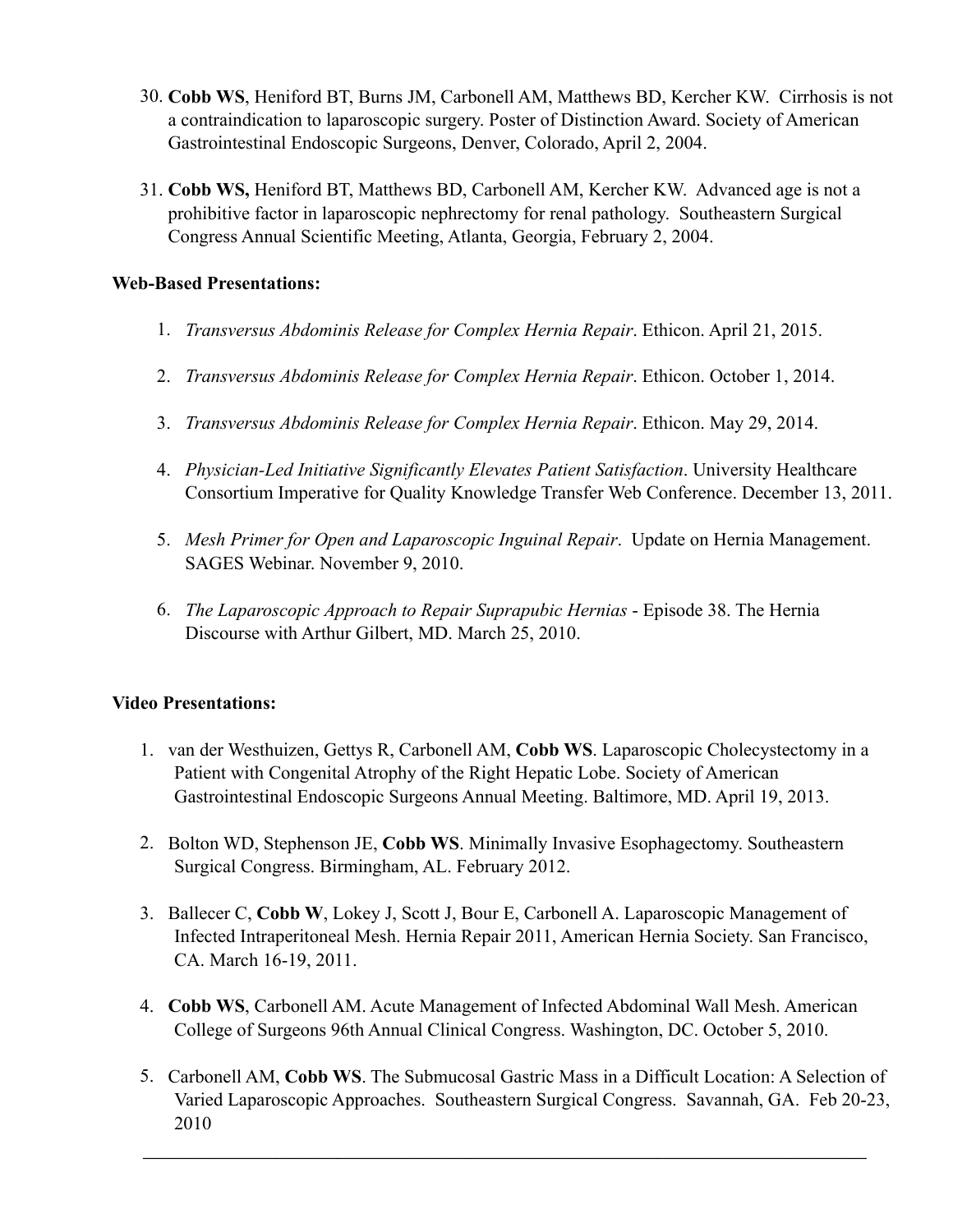- 30. **Cobb WS**, Heniford BT, Burns JM, Carbonell AM, Matthews BD, Kercher KW. Cirrhosis is not a contraindication to laparoscopic surgery. Poster of Distinction Award. Society of American Gastrointestinal Endoscopic Surgeons, Denver, Colorado, April 2, 2004.
- 31. **Cobb WS,** Heniford BT, Matthews BD, Carbonell AM, Kercher KW. Advanced age is not a prohibitive factor in laparoscopic nephrectomy for renal pathology. Southeastern Surgical Congress Annual Scientific Meeting, Atlanta, Georgia, February 2, 2004.

## **Web-Based Presentations:**

- 1. *Transversus Abdominis Release for Complex Hernia Repair*. Ethicon. April 21, 2015.
- 2. *Transversus Abdominis Release for Complex Hernia Repair*. Ethicon. October 1, 2014.
- 3. *Transversus Abdominis Release for Complex Hernia Repair*. Ethicon. May 29, 2014.
- 4. *Physician-Led Initiative Significantly Elevates Patient Satisfaction*. University Healthcare Consortium Imperative for Quality Knowledge Transfer Web Conference. December 13, 2011.
- 5. *Mesh Primer for Open and Laparoscopic Inguinal Repair*. Update on Hernia Management. SAGES Webinar. November 9, 2010.
- 6. *The Laparoscopic Approach to Repair Suprapubic Hernias* Episode 38. The Hernia Discourse with Arthur Gilbert, MD. March 25, 2010.

## **Video Presentations:**

- 1. van der Westhuizen, Gettys R, Carbonell AM, **Cobb WS**. Laparoscopic Cholecystectomy in a Patient with Congenital Atrophy of the Right Hepatic Lobe. Society of American Gastrointestinal Endoscopic Surgeons Annual Meeting. Baltimore, MD. April 19, 2013.
- 2. Bolton WD, Stephenson JE, **Cobb WS**. Minimally Invasive Esophagectomy. Southeastern Surgical Congress. Birmingham, AL. February 2012.
- 3. Ballecer C, **Cobb W**, Lokey J, Scott J, Bour E, Carbonell A. Laparoscopic Management of Infected Intraperitoneal Mesh. Hernia Repair 2011, American Hernia Society. San Francisco, CA. March 16-19, 2011.
- 4. **Cobb WS**, Carbonell AM. Acute Management of Infected Abdominal Wall Mesh. American College of Surgeons 96th Annual Clinical Congress. Washington, DC. October 5, 2010.
- 5. Carbonell AM, **Cobb WS**. The Submucosal Gastric Mass in a Difficult Location: A Selection of Varied Laparoscopic Approaches. Southeastern Surgical Congress. Savannah, GA. Feb 20-23, 2010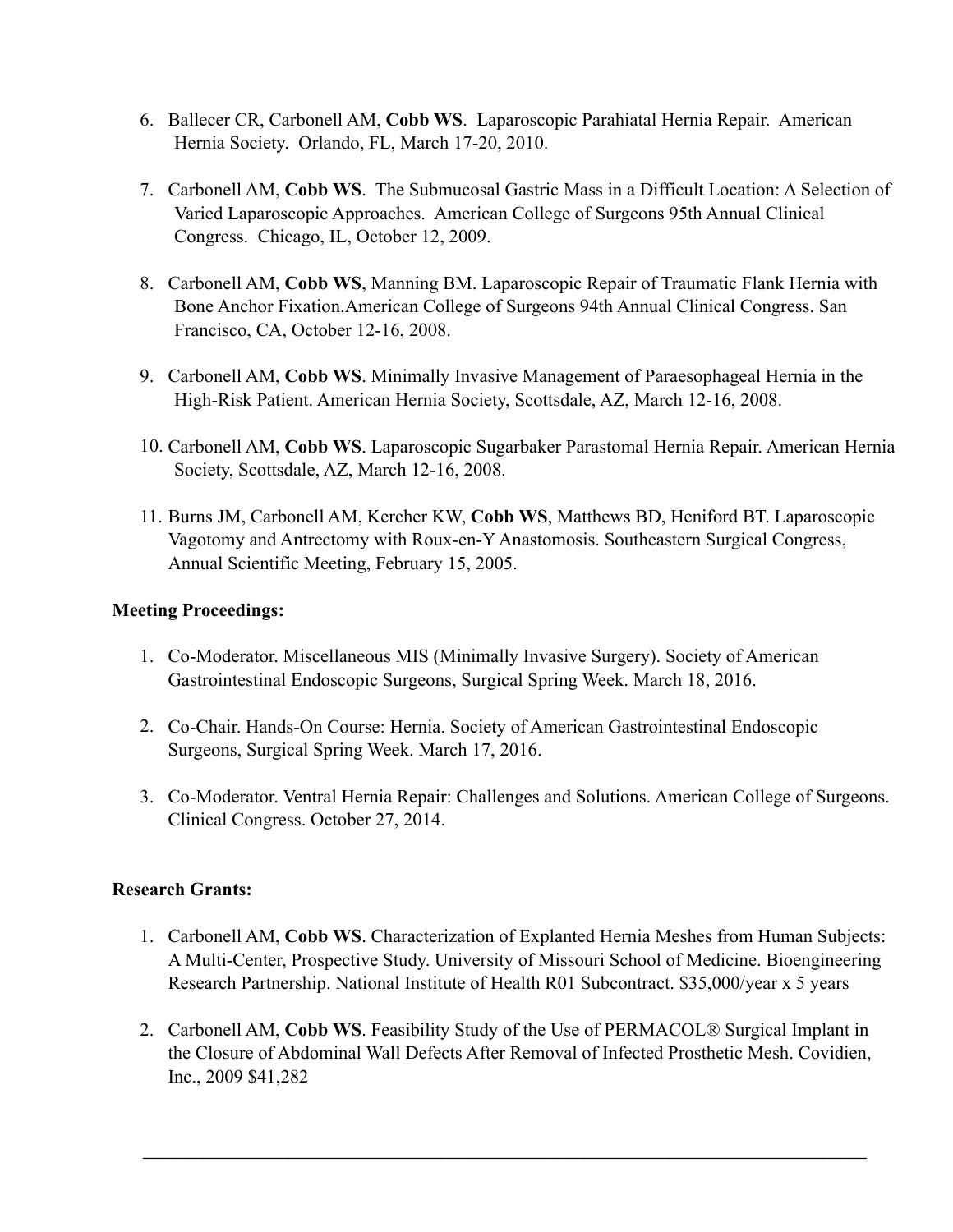- 6. Ballecer CR, Carbonell AM, **Cobb WS**. Laparoscopic Parahiatal Hernia Repair. American Hernia Society. Orlando, FL, March 17-20, 2010.
- 7. Carbonell AM, **Cobb WS**. The Submucosal Gastric Mass in a Difficult Location: A Selection of Varied Laparoscopic Approaches. American College of Surgeons 95th Annual Clinical Congress. Chicago, IL, October 12, 2009.
- 8. Carbonell AM, **Cobb WS**, Manning BM. Laparoscopic Repair of Traumatic Flank Hernia with Bone Anchor Fixation.American College of Surgeons 94th Annual Clinical Congress. San Francisco, CA, October 12-16, 2008.
- 9. Carbonell AM, **Cobb WS**. Minimally Invasive Management of Paraesophageal Hernia in the High-Risk Patient. American Hernia Society, Scottsdale, AZ, March 12-16, 2008.
- 10. Carbonell AM, **Cobb WS**. Laparoscopic Sugarbaker Parastomal Hernia Repair. American Hernia Society, Scottsdale, AZ, March 12-16, 2008.
- 11. Burns JM, Carbonell AM, Kercher KW, **Cobb WS**, Matthews BD, Heniford BT. Laparoscopic Vagotomy and Antrectomy with Roux-en-Y Anastomosis. Southeastern Surgical Congress, Annual Scientific Meeting, February 15, 2005.

# **Meeting Proceedings:**

- 1. Co-Moderator. Miscellaneous MIS (Minimally Invasive Surgery). Society of American Gastrointestinal Endoscopic Surgeons, Surgical Spring Week. March 18, 2016.
- 2. Co-Chair. Hands-On Course: Hernia. Society of American Gastrointestinal Endoscopic Surgeons, Surgical Spring Week. March 17, 2016.
- 3. Co-Moderator. Ventral Hernia Repair: Challenges and Solutions. American College of Surgeons. Clinical Congress. October 27, 2014.

## **Research Grants:**

- 1. Carbonell AM, **Cobb WS**. Characterization of Explanted Hernia Meshes from Human Subjects: A Multi-Center, Prospective Study. University of Missouri School of Medicine. Bioengineering Research Partnership. National Institute of Health R01 Subcontract. \$35,000/year x 5 years
- 2. Carbonell AM, **Cobb WS**. Feasibility Study of the Use of PERMACOL® Surgical Implant in the Closure of Abdominal Wall Defects After Removal of Infected Prosthetic Mesh. Covidien, Inc., 2009 \$41,282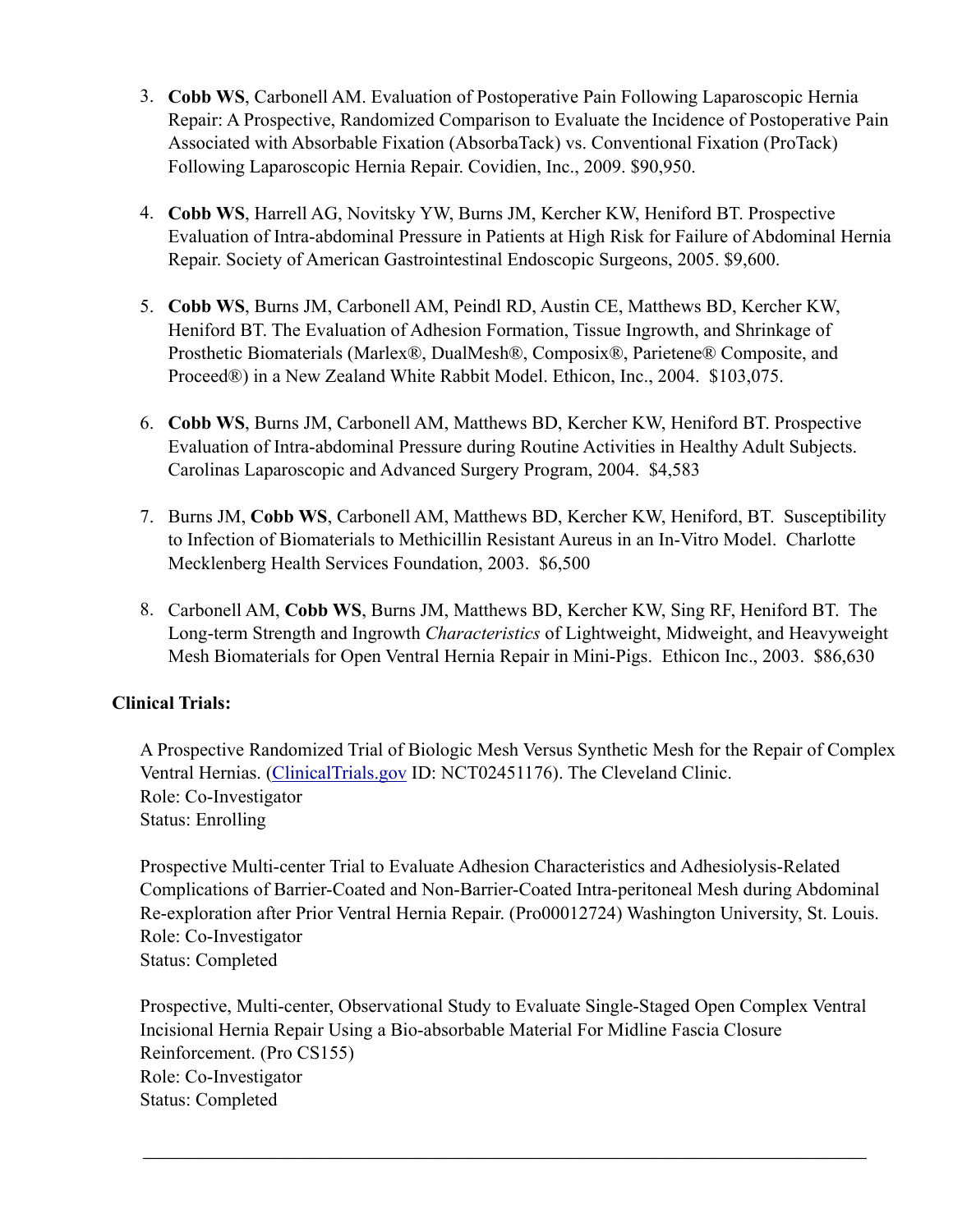- 3. **Cobb WS**, Carbonell AM. Evaluation of Postoperative Pain Following Laparoscopic Hernia Repair: A Prospective, Randomized Comparison to Evaluate the Incidence of Postoperative Pain Associated with Absorbable Fixation (AbsorbaTack) vs. Conventional Fixation (ProTack) Following Laparoscopic Hernia Repair. Covidien, Inc., 2009. \$90,950.
- 4. **Cobb WS**, Harrell AG, Novitsky YW, Burns JM, Kercher KW, Heniford BT. Prospective Evaluation of Intra-abdominal Pressure in Patients at High Risk for Failure of Abdominal Hernia Repair. Society of American Gastrointestinal Endoscopic Surgeons, 2005. \$9,600.
- 5. **Cobb WS**, Burns JM, Carbonell AM, Peindl RD, Austin CE, Matthews BD, Kercher KW, Heniford BT. The Evaluation of Adhesion Formation, Tissue Ingrowth, and Shrinkage of Prosthetic Biomaterials (Marlex®, DualMesh®, Composix®, Parietene® Composite, and Proceed®) in a New Zealand White Rabbit Model. Ethicon, Inc., 2004. \$103,075.
- 6. **Cobb WS**, Burns JM, Carbonell AM, Matthews BD, Kercher KW, Heniford BT. Prospective Evaluation of Intra-abdominal Pressure during Routine Activities in Healthy Adult Subjects. Carolinas Laparoscopic and Advanced Surgery Program, 2004. \$4,583
- 7. Burns JM, **Cobb WS**, Carbonell AM, Matthews BD, Kercher KW, Heniford, BT. Susceptibility to Infection of Biomaterials to Methicillin Resistant Aureus in an In-Vitro Model. Charlotte Mecklenberg Health Services Foundation, 2003. \$6,500
- 8. Carbonell AM, **Cobb WS**, Burns JM, Matthews BD, Kercher KW, Sing RF, Heniford BT. The Long-term Strength and Ingrowth *Characteristics* of Lightweight, Midweight, and Heavyweight Mesh Biomaterials for Open Ventral Hernia Repair in Mini-Pigs. Ethicon Inc., 2003. \$86,630

# **Clinical Trials:**

A Prospective Randomized Trial of Biologic Mesh Versus Synthetic Mesh for the Repair of Complex Ventral Hernias. ([ClinicalTrials.gov](http://clinicaltrials.gov) ID: NCT02451176). The Cleveland Clinic. Role: Co-Investigator Status: Enrolling

Prospective Multi-center Trial to Evaluate Adhesion Characteristics and Adhesiolysis-Related Complications of Barrier-Coated and Non-Barrier-Coated Intra-peritoneal Mesh during Abdominal Re-exploration after Prior Ventral Hernia Repair. (Pro00012724) Washington University, St. Louis. Role: Co-Investigator Status: Completed

Prospective, Multi-center, Observational Study to Evaluate Single-Staged Open Complex Ventral Incisional Hernia Repair Using a Bio-absorbable Material For Midline Fascia Closure Reinforcement. (Pro CS155) Role: Co-Investigator Status: Completed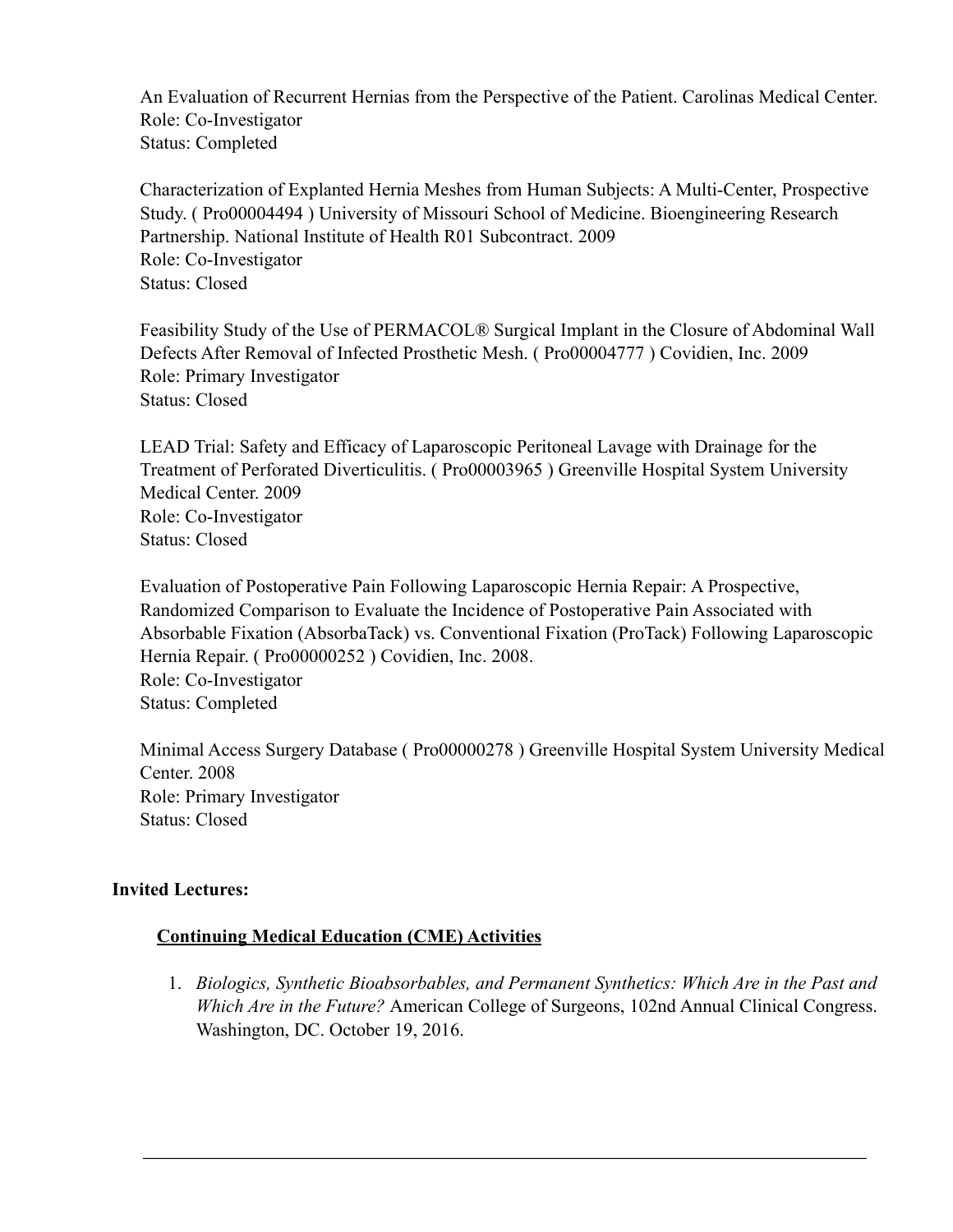An Evaluation of Recurrent Hernias from the Perspective of the Patient. Carolinas Medical Center. Role: Co-Investigator Status: Completed

Characterization of Explanted Hernia Meshes from Human Subjects: A Multi-Center, Prospective Study. ( Pro00004494 ) University of Missouri School of Medicine. Bioengineering Research Partnership. National Institute of Health R01 Subcontract. 2009 Role: Co-Investigator Status: Closed

Feasibility Study of the Use of PERMACOL® Surgical Implant in the Closure of Abdominal Wall Defects After Removal of Infected Prosthetic Mesh. ( Pro00004777 ) Covidien, Inc. 2009 Role: Primary Investigator Status: Closed

LEAD Trial: Safety and Efficacy of Laparoscopic Peritoneal Lavage with Drainage for the Treatment of Perforated Diverticulitis. ( Pro00003965 ) Greenville Hospital System University Medical Center. 2009 Role: Co-Investigator Status: Closed

Evaluation of Postoperative Pain Following Laparoscopic Hernia Repair: A Prospective, Randomized Comparison to Evaluate the Incidence of Postoperative Pain Associated with Absorbable Fixation (AbsorbaTack) vs. Conventional Fixation (ProTack) Following Laparoscopic Hernia Repair. ( Pro00000252 ) Covidien, Inc. 2008. Role: Co-Investigator Status: Completed

Minimal Access Surgery Database ( Pro00000278 ) Greenville Hospital System University Medical Center. 2008 Role: Primary Investigator Status: Closed

## **Invited Lectures:**

## **Continuing Medical Education (CME) Activities**

1. *Biologics, Synthetic Bioabsorbables, and Permanent Synthetics: Which Are in the Past and Which Are in the Future?* American College of Surgeons, 102nd Annual Clinical Congress. Washington, DC. October 19, 2016.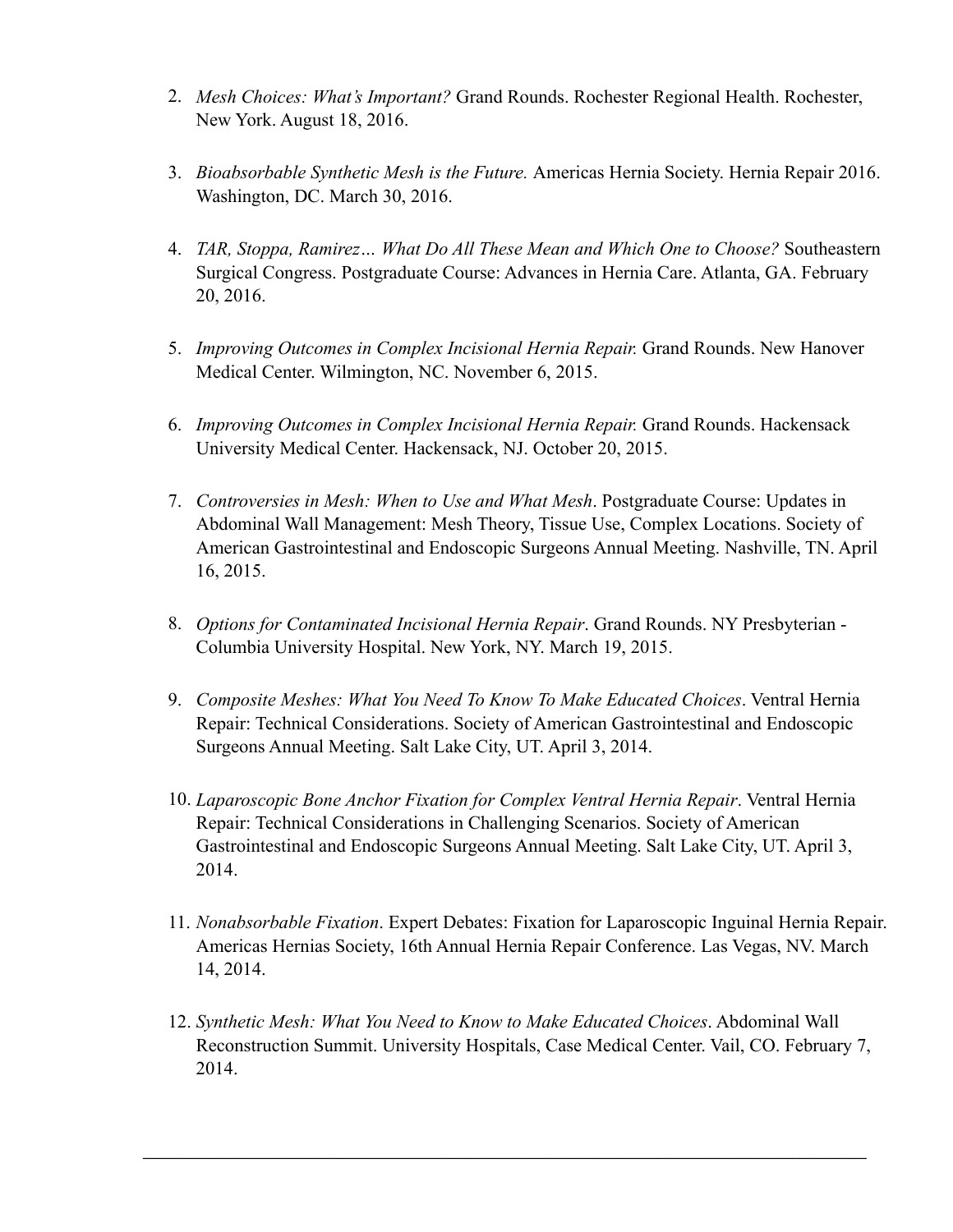- 2. *Mesh Choices: What's Important?* Grand Rounds. Rochester Regional Health. Rochester, New York. August 18, 2016.
- 3. *Bioabsorbable Synthetic Mesh is the Future.* Americas Hernia Society. Hernia Repair 2016. Washington, DC. March 30, 2016.
- 4. *TAR, Stoppa, Ramirez… What Do All These Mean and Which One to Choose?* Southeastern Surgical Congress. Postgraduate Course: Advances in Hernia Care. Atlanta, GA. February 20, 2016.
- 5. *Improving Outcomes in Complex Incisional Hernia Repair.* Grand Rounds. New Hanover Medical Center. Wilmington, NC. November 6, 2015.
- 6. *Improving Outcomes in Complex Incisional Hernia Repair.* Grand Rounds. Hackensack University Medical Center. Hackensack, NJ. October 20, 2015.
- 7. *Controversies in Mesh: When to Use and What Mesh*. Postgraduate Course: Updates in Abdominal Wall Management: Mesh Theory, Tissue Use, Complex Locations. Society of American Gastrointestinal and Endoscopic Surgeons Annual Meeting. Nashville, TN. April 16, 2015.
- 8. *Options for Contaminated Incisional Hernia Repair*. Grand Rounds. NY Presbyterian Columbia University Hospital. New York, NY. March 19, 2015.
- 9. *Composite Meshes: What You Need To Know To Make Educated Choices*. Ventral Hernia Repair: Technical Considerations. Society of American Gastrointestinal and Endoscopic Surgeons Annual Meeting. Salt Lake City, UT. April 3, 2014.
- 10. *Laparoscopic Bone Anchor Fixation for Complex Ventral Hernia Repair*. Ventral Hernia Repair: Technical Considerations in Challenging Scenarios. Society of American Gastrointestinal and Endoscopic Surgeons Annual Meeting. Salt Lake City, UT. April 3, 2014.
- 11. *Nonabsorbable Fixation*. Expert Debates: Fixation for Laparoscopic Inguinal Hernia Repair. Americas Hernias Society, 16th Annual Hernia Repair Conference. Las Vegas, NV. March 14, 2014.
- 12. *Synthetic Mesh: What You Need to Know to Make Educated Choices*. Abdominal Wall Reconstruction Summit. University Hospitals, Case Medical Center. Vail, CO. February 7, 2014.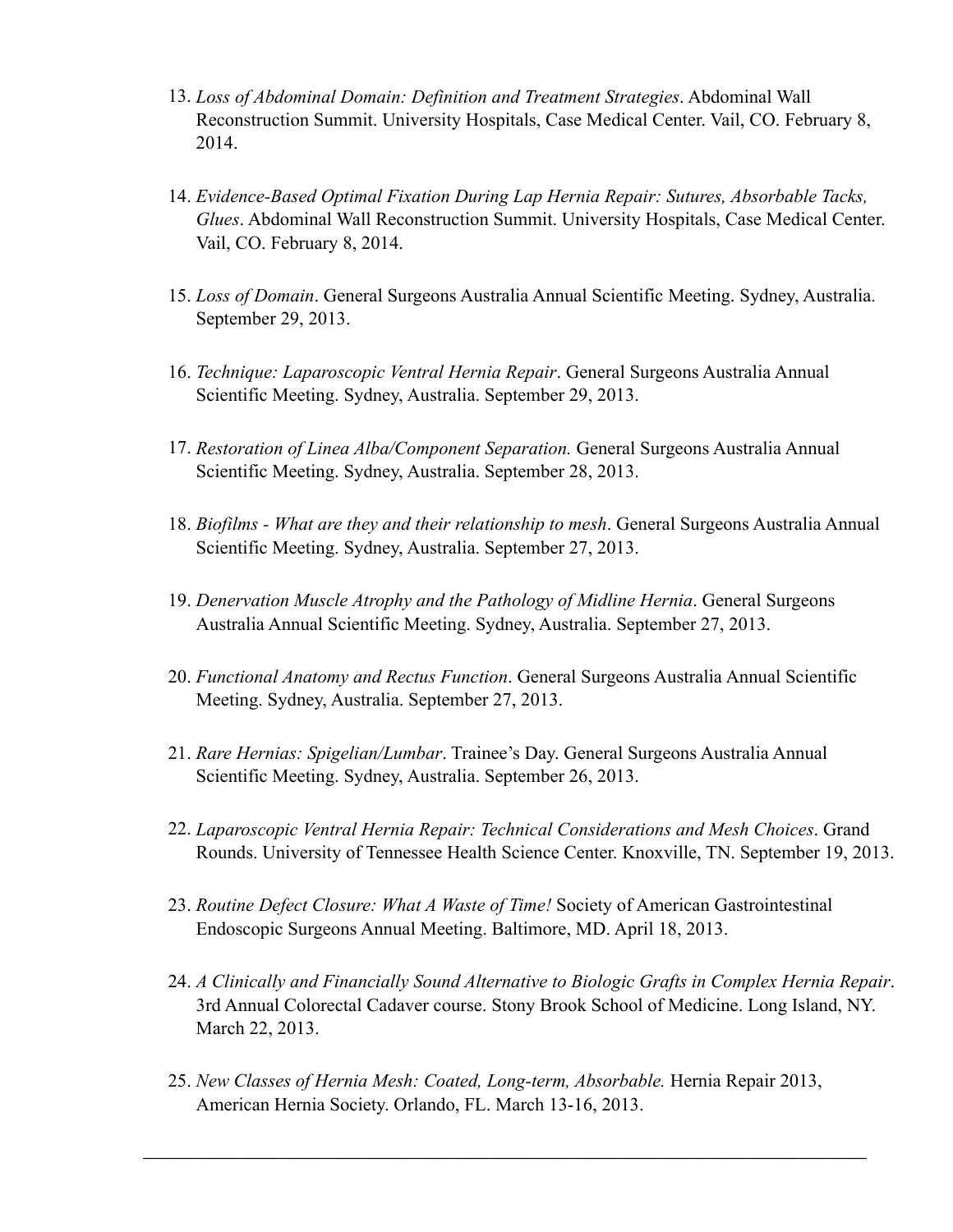- 13. *Loss of Abdominal Domain: Definition and Treatment Strategies*. Abdominal Wall Reconstruction Summit. University Hospitals, Case Medical Center. Vail, CO. February 8, 2014.
- 14. *Evidence-Based Optimal Fixation During Lap Hernia Repair: Sutures, Absorbable Tacks, Glues*. Abdominal Wall Reconstruction Summit. University Hospitals, Case Medical Center. Vail, CO. February 8, 2014.
- 15. *Loss of Domain*. General Surgeons Australia Annual Scientific Meeting. Sydney, Australia. September 29, 2013.
- 16. *Technique: Laparoscopic Ventral Hernia Repair*. General Surgeons Australia Annual Scientific Meeting. Sydney, Australia. September 29, 2013.
- 17. *Restoration of Linea Alba/Component Separation.* General Surgeons Australia Annual Scientific Meeting. Sydney, Australia. September 28, 2013.
- 18. *Biofilms What are they and their relationship to mesh*. General Surgeons Australia Annual Scientific Meeting. Sydney, Australia. September 27, 2013.
- 19. *Denervation Muscle Atrophy and the Pathology of Midline Hernia*. General Surgeons Australia Annual Scientific Meeting. Sydney, Australia. September 27, 2013.
- 20. *Functional Anatomy and Rectus Function*. General Surgeons Australia Annual Scientific Meeting. Sydney, Australia. September 27, 2013.
- 21. *Rare Hernias: Spigelian/Lumbar*. Trainee's Day. General Surgeons Australia Annual Scientific Meeting. Sydney, Australia. September 26, 2013.
- 22. *Laparoscopic Ventral Hernia Repair: Technical Considerations and Mesh Choices*. Grand Rounds. University of Tennessee Health Science Center. Knoxville, TN. September 19, 2013.
- 23. *Routine Defect Closure: What A Waste of Time!* Society of American Gastrointestinal Endoscopic Surgeons Annual Meeting. Baltimore, MD. April 18, 2013.
- 24. *A Clinically and Financially Sound Alternative to Biologic Grafts in Complex Hernia Repair*. 3rd Annual Colorectal Cadaver course. Stony Brook School of Medicine. Long Island, NY. March 22, 2013.
- 25. *New Classes of Hernia Mesh: Coated, Long-term, Absorbable.* Hernia Repair 2013, American Hernia Society. Orlando, FL. March 13-16, 2013.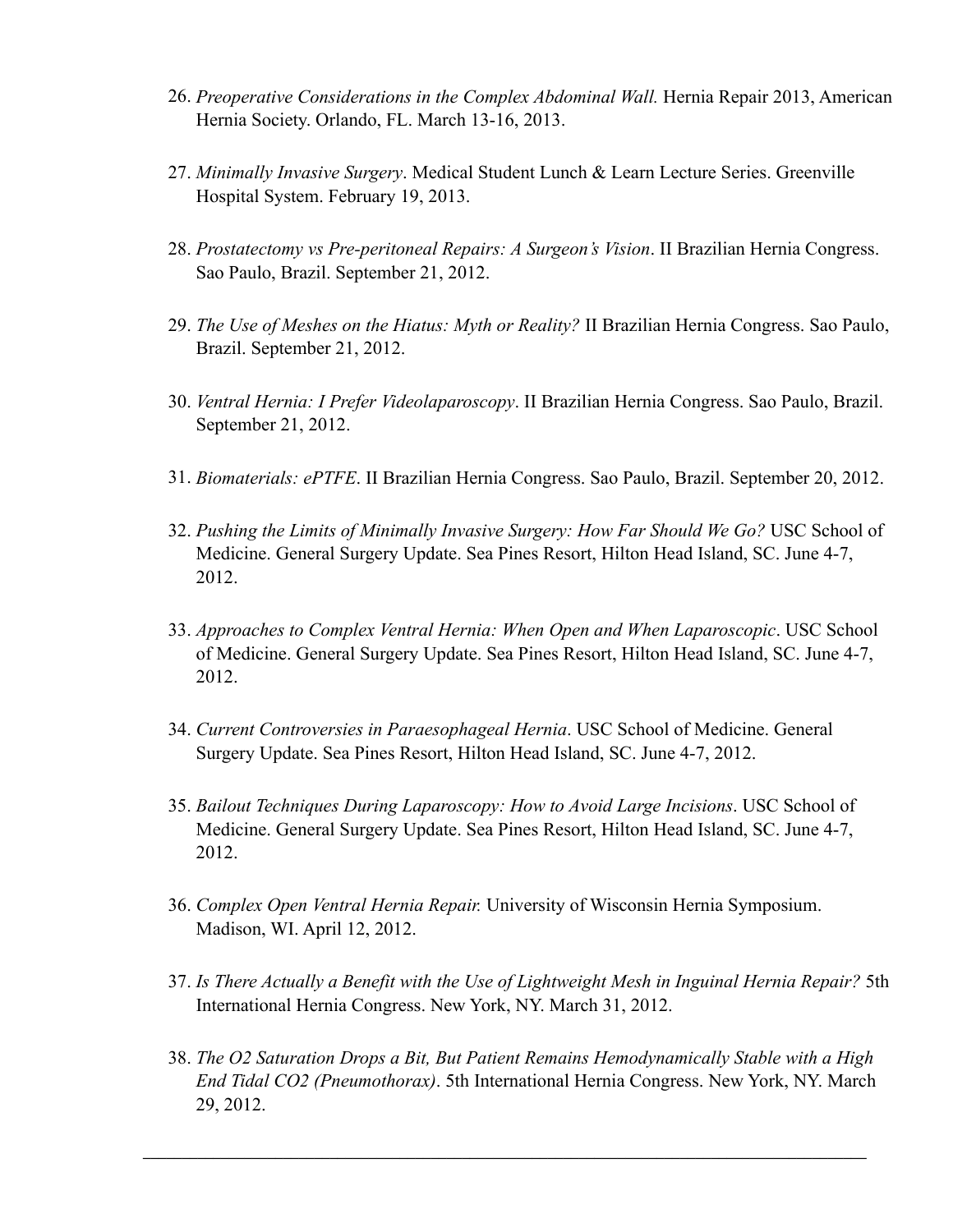- 26. *Preoperative Considerations in the Complex Abdominal Wall.* Hernia Repair 2013, American Hernia Society. Orlando, FL. March 13-16, 2013.
- 27. *Minimally Invasive Surgery*. Medical Student Lunch & Learn Lecture Series. Greenville Hospital System. February 19, 2013.
- 28. *Prostatectomy vs Pre-peritoneal Repairs: A Surgeon's Vision*. II Brazilian Hernia Congress. Sao Paulo, Brazil. September 21, 2012.
- 29. *The Use of Meshes on the Hiatus: Myth or Reality?* II Brazilian Hernia Congress. Sao Paulo, Brazil. September 21, 2012.
- 30. *Ventral Hernia: I Prefer Videolaparoscopy*. II Brazilian Hernia Congress. Sao Paulo, Brazil. September 21, 2012.
- 31. *Biomaterials: ePTFE*. II Brazilian Hernia Congress. Sao Paulo, Brazil. September 20, 2012.
- 32. *Pushing the Limits of Minimally Invasive Surgery: How Far Should We Go?* USC School of Medicine. General Surgery Update. Sea Pines Resort, Hilton Head Island, SC. June 4-7, 2012.
- 33. *Approaches to Complex Ventral Hernia: When Open and When Laparoscopic*. USC School of Medicine. General Surgery Update. Sea Pines Resort, Hilton Head Island, SC. June 4-7, 2012.
- 34. *Current Controversies in Paraesophageal Hernia*. USC School of Medicine. General Surgery Update. Sea Pines Resort, Hilton Head Island, SC. June 4-7, 2012.
- 35. *Bailout Techniques During Laparoscopy: How to Avoid Large Incisions*. USC School of Medicine. General Surgery Update. Sea Pines Resort, Hilton Head Island, SC. June 4-7, 2012.
- 36. *Complex Open Ventral Hernia Repair.* University of Wisconsin Hernia Symposium. Madison, WI. April 12, 2012.
- 37. *Is There Actually a Benefit with the Use of Lightweight Mesh in Inguinal Hernia Repair?* 5th International Hernia Congress. New York, NY. March 31, 2012.
- 38. *The O2 Saturation Drops a Bit, But Patient Remains Hemodynamically Stable with a High End Tidal CO2 (Pneumothorax)*. 5th International Hernia Congress. New York, NY. March 29, 2012.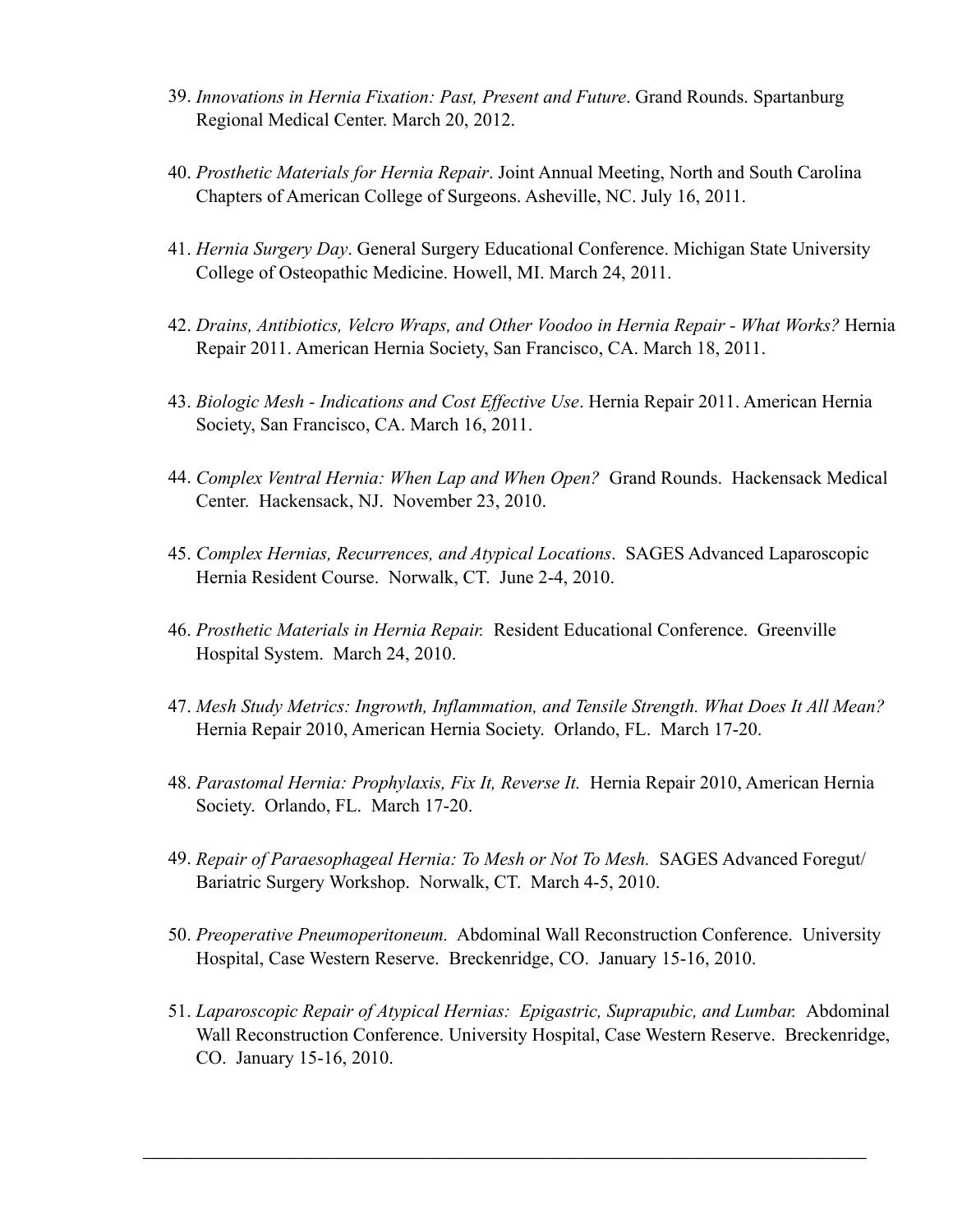- 39. *Innovations in Hernia Fixation: Past, Present and Future*. Grand Rounds. Spartanburg Regional Medical Center. March 20, 2012.
- 40. *Prosthetic Materials for Hernia Repair*. Joint Annual Meeting, North and South Carolina Chapters of American College of Surgeons. Asheville, NC. July 16, 2011.
- 41. *Hernia Surgery Day*. General Surgery Educational Conference. Michigan State University College of Osteopathic Medicine. Howell, MI. March 24, 2011.
- 42. *Drains, Antibiotics, Velcro Wraps, and Other Voodoo in Hernia Repair What Works?* Hernia Repair 2011. American Hernia Society, San Francisco, CA. March 18, 2011.
- 43. *Biologic Mesh Indications and Cost Effective Use*. Hernia Repair 2011. American Hernia Society, San Francisco, CA. March 16, 2011.
- 44. *Complex Ventral Hernia: When Lap and When Open?* Grand Rounds. Hackensack Medical Center. Hackensack, NJ. November 23, 2010.
- 45. *Complex Hernias, Recurrences, and Atypical Locations*. SAGES Advanced Laparoscopic Hernia Resident Course. Norwalk, CT. June 2-4, 2010.
- 46. *Prosthetic Materials in Hernia Repair.* Resident Educational Conference. Greenville Hospital System. March 24, 2010.
- 47. *Mesh Study Metrics: Ingrowth, Inflammation, and Tensile Strength. What Does It All Mean?* Hernia Repair 2010, American Hernia Society. Orlando, FL. March 17-20.
- 48. *Parastomal Hernia: Prophylaxis, Fix It, Reverse It.* Hernia Repair 2010, American Hernia Society. Orlando, FL. March 17-20.
- 49. *Repair of Paraesophageal Hernia: To Mesh or Not To Mesh.* SAGES Advanced Foregut/ Bariatric Surgery Workshop. Norwalk, CT. March 4-5, 2010.
- 50. *Preoperative Pneumoperitoneum.* Abdominal Wall Reconstruction Conference. University Hospital, Case Western Reserve. Breckenridge, CO. January 15-16, 2010.
- 51. *Laparoscopic Repair of Atypical Hernias: Epigastric, Suprapubic, and Lumbar.* Abdominal Wall Reconstruction Conference. University Hospital, Case Western Reserve. Breckenridge, CO. January 15-16, 2010.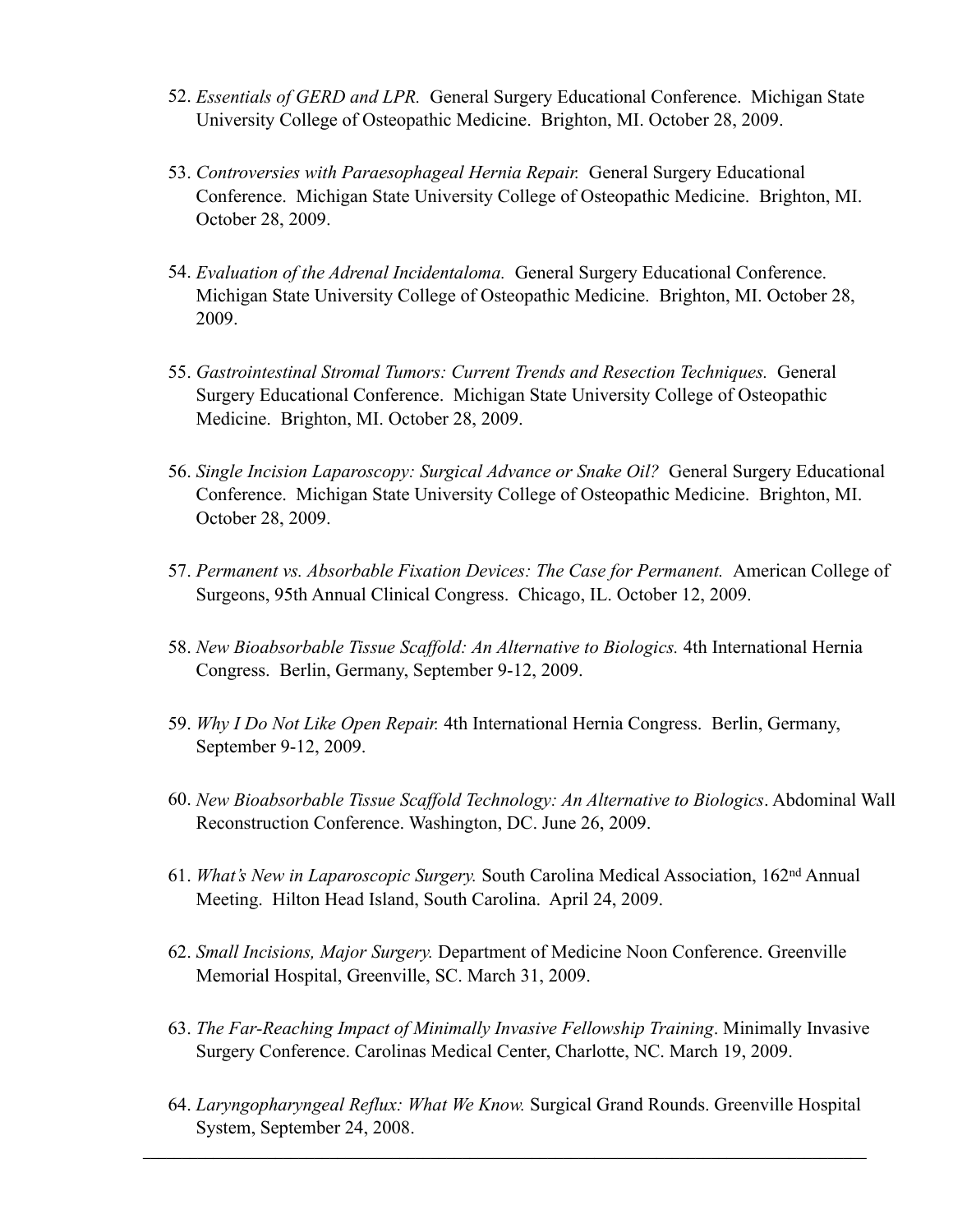- 52. *Essentials of GERD and LPR.* General Surgery Educational Conference. Michigan State University College of Osteopathic Medicine. Brighton, MI. October 28, 2009.
- 53. *Controversies with Paraesophageal Hernia Repair.* General Surgery Educational Conference. Michigan State University College of Osteopathic Medicine. Brighton, MI. October 28, 2009.
- 54. *Evaluation of the Adrenal Incidentaloma.* General Surgery Educational Conference. Michigan State University College of Osteopathic Medicine. Brighton, MI. October 28, 2009.
- 55. *Gastrointestinal Stromal Tumors: Current Trends and Resection Techniques.* General Surgery Educational Conference. Michigan State University College of Osteopathic Medicine. Brighton, MI. October 28, 2009.
- 56. *Single Incision Laparoscopy: Surgical Advance or Snake Oil?* General Surgery Educational Conference. Michigan State University College of Osteopathic Medicine. Brighton, MI. October 28, 2009.
- 57. *Permanent vs. Absorbable Fixation Devices: The Case for Permanent.* American College of Surgeons, 95th Annual Clinical Congress. Chicago, IL. October 12, 2009.
- 58. *New Bioabsorbable Tissue Scaffold: An Alternative to Biologics.* 4th International Hernia Congress. Berlin, Germany, September 9-12, 2009.
- 59. *Why I Do Not Like Open Repair.* 4th International Hernia Congress. Berlin, Germany, September 9-12, 2009.
- 60. *New Bioabsorbable Tissue Scaffold Technology: An Alternative to Biologics*. Abdominal Wall Reconstruction Conference. Washington, DC. June 26, 2009.
- 61. *What's New in Laparoscopic Surgery.* South Carolina Medical Association, 162nd Annual Meeting. Hilton Head Island, South Carolina. April 24, 2009.
- 62. *Small Incisions, Major Surgery.* Department of Medicine Noon Conference. Greenville Memorial Hospital, Greenville, SC. March 31, 2009.
- 63. *The Far-Reaching Impact of Minimally Invasive Fellowship Training*. Minimally Invasive Surgery Conference. Carolinas Medical Center, Charlotte, NC. March 19, 2009.
- 64. *Laryngopharyngeal Reflux: What We Know.* Surgical Grand Rounds. Greenville Hospital System, September 24, 2008.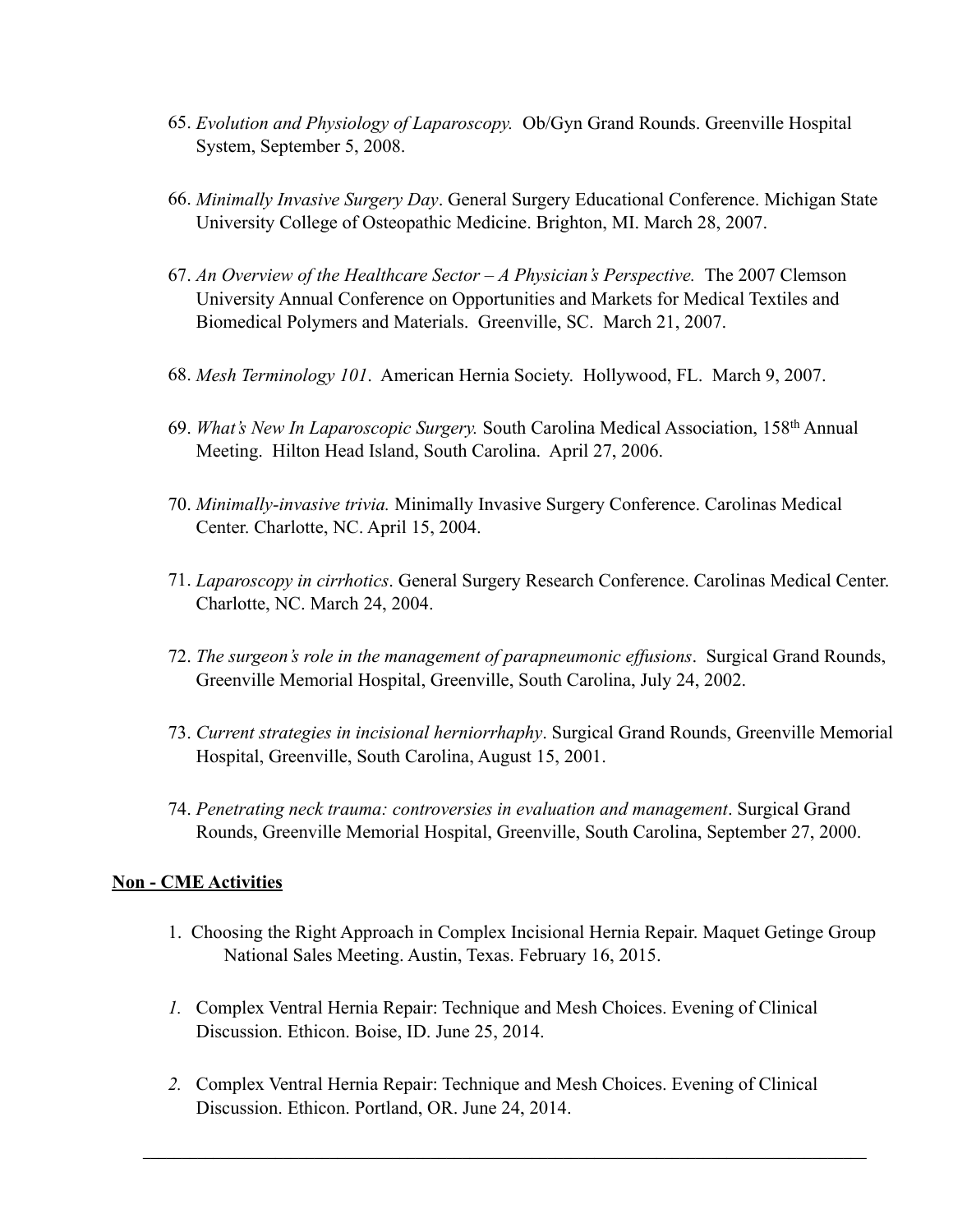- 65. *Evolution and Physiology of Laparoscopy.* Ob/Gyn Grand Rounds. Greenville Hospital System, September 5, 2008.
- 66. *Minimally Invasive Surgery Day*. General Surgery Educational Conference. Michigan State University College of Osteopathic Medicine. Brighton, MI. March 28, 2007.
- 67. *An Overview of the Healthcare Sector A Physician's Perspective.* The 2007 Clemson University Annual Conference on Opportunities and Markets for Medical Textiles and Biomedical Polymers and Materials. Greenville, SC. March 21, 2007.
- 68. *Mesh Terminology 101*. American Hernia Society. Hollywood, FL. March 9, 2007.
- 69. *What's New In Laparoscopic Surgery.* South Carolina Medical Association, 158th Annual Meeting. Hilton Head Island, South Carolina. April 27, 2006.
- 70. *Minimally-invasive trivia.* Minimally Invasive Surgery Conference. Carolinas Medical Center. Charlotte, NC. April 15, 2004.
- 71. *Laparoscopy in cirrhotics*. General Surgery Research Conference. Carolinas Medical Center. Charlotte, NC. March 24, 2004.
- 72. *The surgeon's role in the management of parapneumonic effusions*. Surgical Grand Rounds, Greenville Memorial Hospital, Greenville, South Carolina, July 24, 2002.
- 73. *Current strategies in incisional herniorrhaphy*. Surgical Grand Rounds, Greenville Memorial Hospital, Greenville, South Carolina, August 15, 2001.
- 74. *Penetrating neck trauma: controversies in evaluation and management*. Surgical Grand Rounds, Greenville Memorial Hospital, Greenville, South Carolina, September 27, 2000.

#### **Non - CME Activities**

- 1. Choosing the Right Approach in Complex Incisional Hernia Repair. Maquet Getinge Group National Sales Meeting. Austin, Texas. February 16, 2015.
- *1.* Complex Ventral Hernia Repair: Technique and Mesh Choices. Evening of Clinical Discussion. Ethicon. Boise, ID. June 25, 2014.
- *2.* Complex Ventral Hernia Repair: Technique and Mesh Choices. Evening of Clinical Discussion. Ethicon. Portland, OR. June 24, 2014.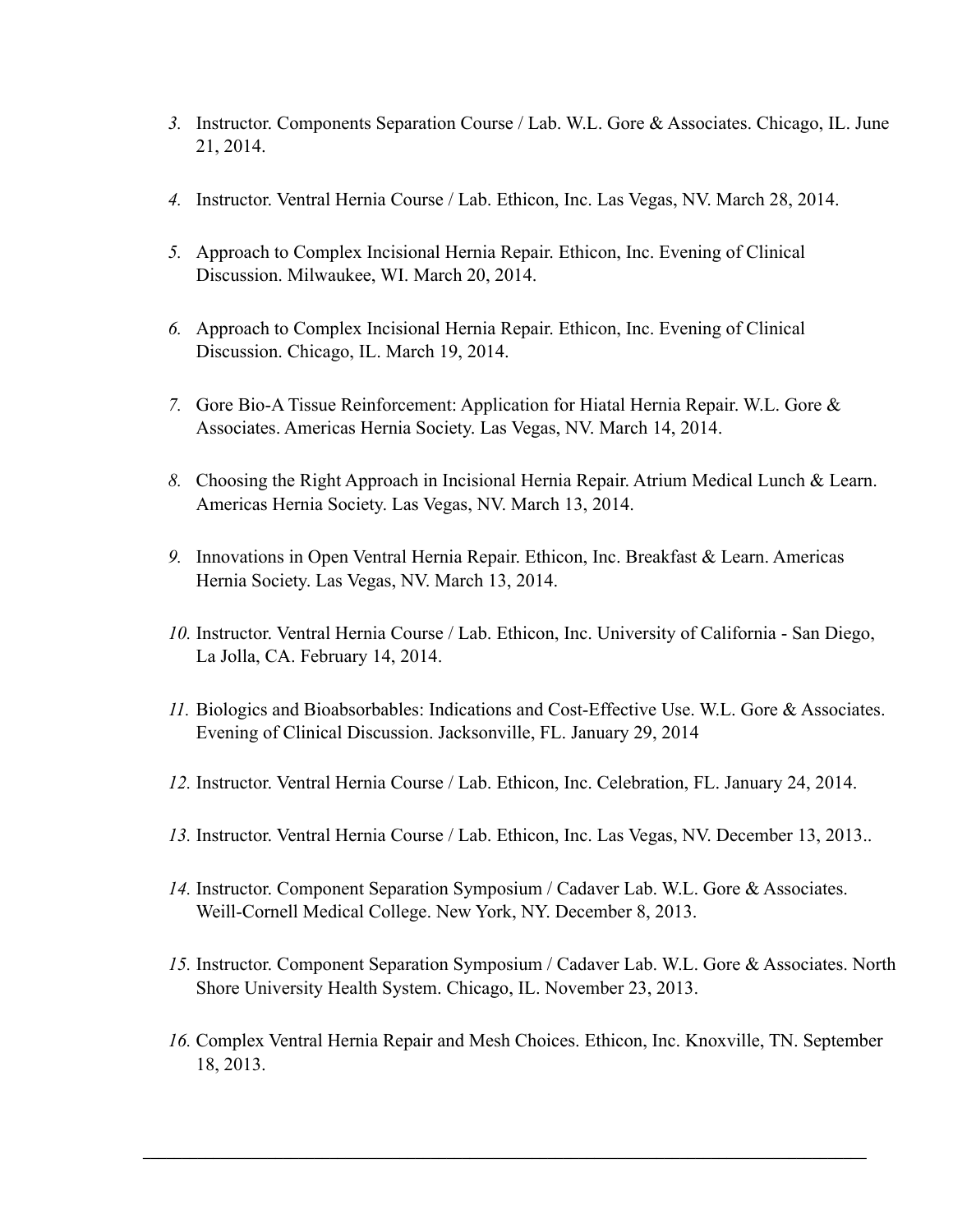- *3.* Instructor. Components Separation Course / Lab. W.L. Gore & Associates. Chicago, IL. June 21, 2014.
- *4.* Instructor. Ventral Hernia Course / Lab. Ethicon, Inc. Las Vegas, NV. March 28, 2014.
- *5.* Approach to Complex Incisional Hernia Repair. Ethicon, Inc. Evening of Clinical Discussion. Milwaukee, WI. March 20, 2014.
- *6.* Approach to Complex Incisional Hernia Repair. Ethicon, Inc. Evening of Clinical Discussion. Chicago, IL. March 19, 2014.
- *7.* Gore Bio-A Tissue Reinforcement: Application for Hiatal Hernia Repair. W.L. Gore & Associates. Americas Hernia Society. Las Vegas, NV. March 14, 2014.
- *8.* Choosing the Right Approach in Incisional Hernia Repair. Atrium Medical Lunch & Learn. Americas Hernia Society. Las Vegas, NV. March 13, 2014.
- *9.* Innovations in Open Ventral Hernia Repair. Ethicon, Inc. Breakfast & Learn. Americas Hernia Society. Las Vegas, NV. March 13, 2014.
- *10.* Instructor. Ventral Hernia Course / Lab. Ethicon, Inc. University of California San Diego, La Jolla, CA. February 14, 2014.
- *11.* Biologics and Bioabsorbables: Indications and Cost-Effective Use. W.L. Gore & Associates. Evening of Clinical Discussion. Jacksonville, FL. January 29, 2014
- *12.* Instructor. Ventral Hernia Course / Lab. Ethicon, Inc. Celebration, FL. January 24, 2014.
- *13.* Instructor. Ventral Hernia Course / Lab. Ethicon, Inc. Las Vegas, NV. December 13, 2013..
- *14.* Instructor. Component Separation Symposium / Cadaver Lab. W.L. Gore & Associates. Weill-Cornell Medical College. New York, NY. December 8, 2013.
- *15.* Instructor. Component Separation Symposium / Cadaver Lab. W.L. Gore & Associates. North Shore University Health System. Chicago, IL. November 23, 2013.
- *16.* Complex Ventral Hernia Repair and Mesh Choices. Ethicon, Inc. Knoxville, TN. September 18, 2013.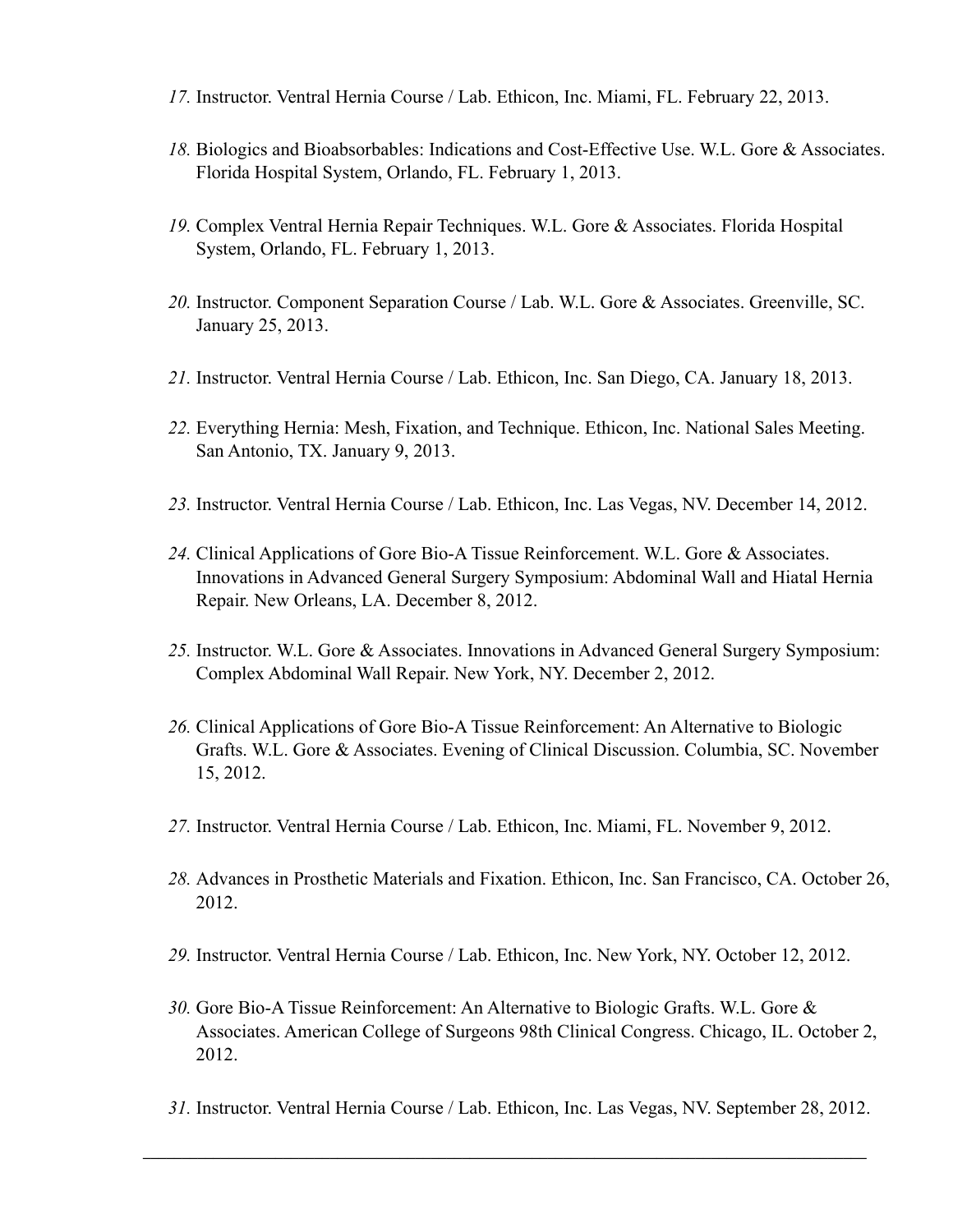- *17.* Instructor. Ventral Hernia Course / Lab. Ethicon, Inc. Miami, FL. February 22, 2013.
- *18.* Biologics and Bioabsorbables: Indications and Cost-Effective Use. W.L. Gore & Associates. Florida Hospital System, Orlando, FL. February 1, 2013.
- *19.* Complex Ventral Hernia Repair Techniques. W.L. Gore & Associates. Florida Hospital System, Orlando, FL. February 1, 2013.
- *20.* Instructor. Component Separation Course / Lab. W.L. Gore & Associates. Greenville, SC. January 25, 2013.
- *21.* Instructor. Ventral Hernia Course / Lab. Ethicon, Inc. San Diego, CA. January 18, 2013.
- *22.* Everything Hernia: Mesh, Fixation, and Technique. Ethicon, Inc. National Sales Meeting. San Antonio, TX. January 9, 2013.
- *23.* Instructor. Ventral Hernia Course / Lab. Ethicon, Inc. Las Vegas, NV. December 14, 2012.
- *24.* Clinical Applications of Gore Bio-A Tissue Reinforcement. W.L. Gore & Associates. Innovations in Advanced General Surgery Symposium: Abdominal Wall and Hiatal Hernia Repair. New Orleans, LA. December 8, 2012.
- *25.* Instructor. W.L. Gore & Associates. Innovations in Advanced General Surgery Symposium: Complex Abdominal Wall Repair. New York, NY. December 2, 2012.
- *26.* Clinical Applications of Gore Bio-A Tissue Reinforcement: An Alternative to Biologic Grafts. W.L. Gore & Associates. Evening of Clinical Discussion. Columbia, SC. November 15, 2012.
- *27.* Instructor. Ventral Hernia Course / Lab. Ethicon, Inc. Miami, FL. November 9, 2012.
- *28.* Advances in Prosthetic Materials and Fixation. Ethicon, Inc. San Francisco, CA. October 26, 2012.
- *29.* Instructor. Ventral Hernia Course / Lab. Ethicon, Inc. New York, NY. October 12, 2012.
- *30.* Gore Bio-A Tissue Reinforcement: An Alternative to Biologic Grafts. W.L. Gore & Associates. American College of Surgeons 98th Clinical Congress. Chicago, IL. October 2, 2012.
- *31.* Instructor. Ventral Hernia Course / Lab. Ethicon, Inc. Las Vegas, NV. September 28, 2012.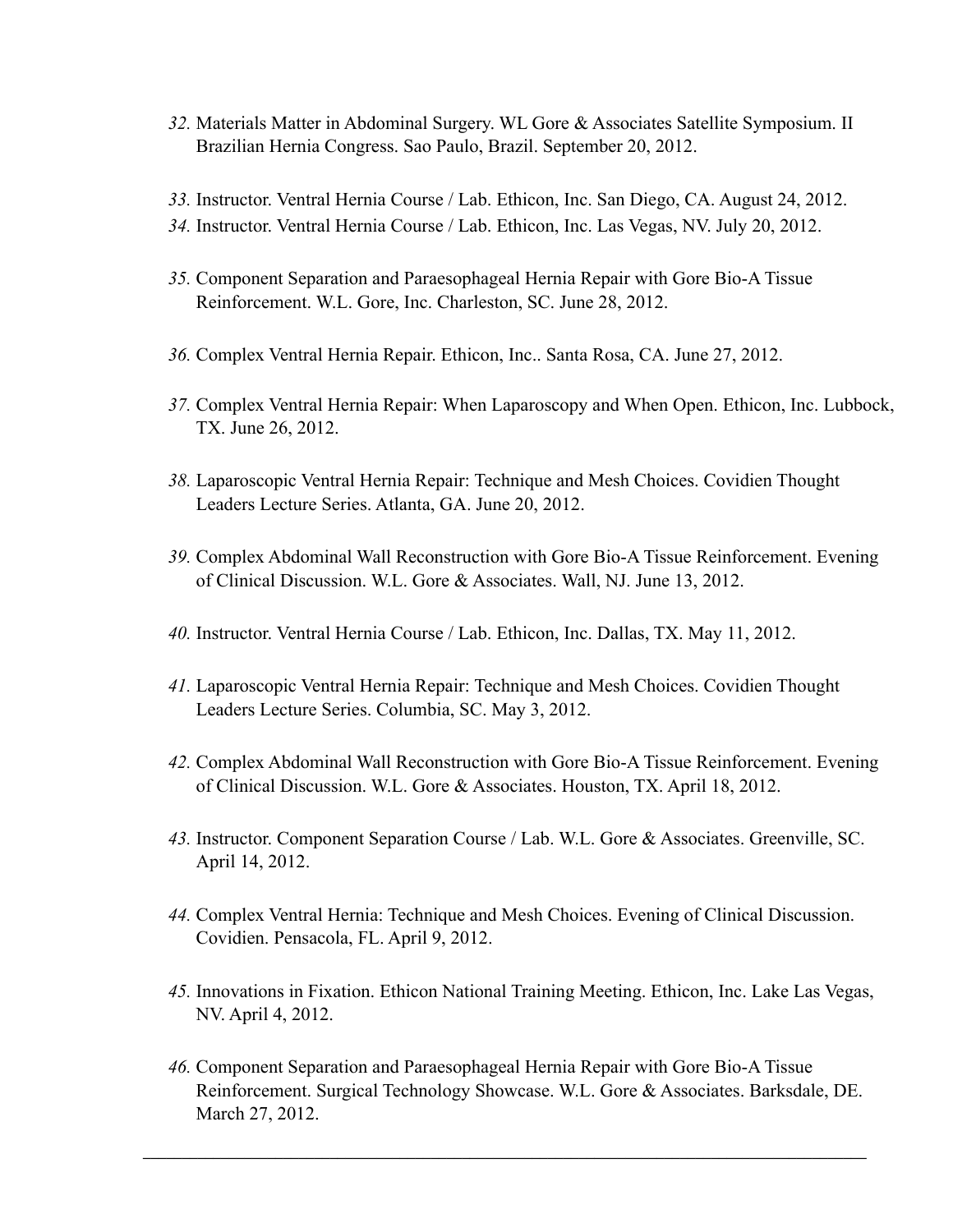- *32.* Materials Matter in Abdominal Surgery. WL Gore & Associates Satellite Symposium. II Brazilian Hernia Congress. Sao Paulo, Brazil. September 20, 2012.
- *33.* Instructor. Ventral Hernia Course / Lab. Ethicon, Inc. San Diego, CA. August 24, 2012.
- *34.* Instructor. Ventral Hernia Course / Lab. Ethicon, Inc. Las Vegas, NV. July 20, 2012.
- *35.* Component Separation and Paraesophageal Hernia Repair with Gore Bio-A Tissue Reinforcement. W.L. Gore, Inc. Charleston, SC. June 28, 2012.
- *36.* Complex Ventral Hernia Repair. Ethicon, Inc.. Santa Rosa, CA. June 27, 2012.
- *37.* Complex Ventral Hernia Repair: When Laparoscopy and When Open. Ethicon, Inc. Lubbock, TX. June 26, 2012.
- *38.* Laparoscopic Ventral Hernia Repair: Technique and Mesh Choices. Covidien Thought Leaders Lecture Series. Atlanta, GA. June 20, 2012.
- *39.* Complex Abdominal Wall Reconstruction with Gore Bio-A Tissue Reinforcement. Evening of Clinical Discussion. W.L. Gore & Associates. Wall, NJ. June 13, 2012.
- *40.* Instructor. Ventral Hernia Course / Lab. Ethicon, Inc. Dallas, TX. May 11, 2012.
- *41.* Laparoscopic Ventral Hernia Repair: Technique and Mesh Choices. Covidien Thought Leaders Lecture Series. Columbia, SC. May 3, 2012.
- *42.* Complex Abdominal Wall Reconstruction with Gore Bio-A Tissue Reinforcement. Evening of Clinical Discussion. W.L. Gore & Associates. Houston, TX. April 18, 2012.
- *43.* Instructor. Component Separation Course / Lab. W.L. Gore & Associates. Greenville, SC. April 14, 2012.
- *44.* Complex Ventral Hernia: Technique and Mesh Choices. Evening of Clinical Discussion. Covidien. Pensacola, FL. April 9, 2012.
- *45.* Innovations in Fixation. Ethicon National Training Meeting. Ethicon, Inc. Lake Las Vegas, NV. April 4, 2012.
- *46.* Component Separation and Paraesophageal Hernia Repair with Gore Bio-A Tissue Reinforcement. Surgical Technology Showcase. W.L. Gore & Associates. Barksdale, DE. March 27, 2012.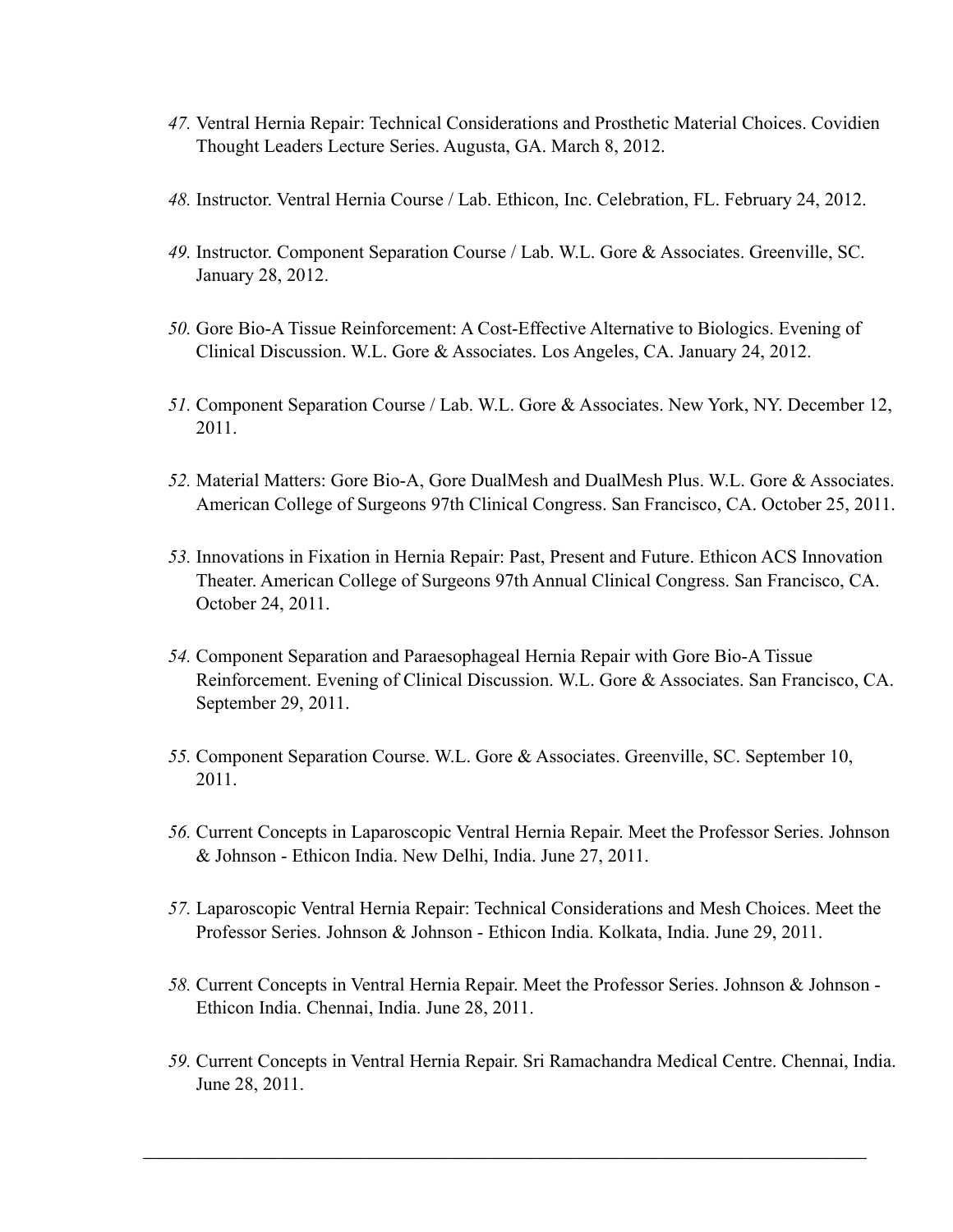- *47.* Ventral Hernia Repair: Technical Considerations and Prosthetic Material Choices. Covidien Thought Leaders Lecture Series. Augusta, GA. March 8, 2012.
- *48.* Instructor. Ventral Hernia Course / Lab. Ethicon, Inc. Celebration, FL. February 24, 2012.
- *49.* Instructor. Component Separation Course / Lab. W.L. Gore & Associates. Greenville, SC. January 28, 2012.
- *50.* Gore Bio-A Tissue Reinforcement: A Cost-Effective Alternative to Biologics. Evening of Clinical Discussion. W.L. Gore & Associates. Los Angeles, CA. January 24, 2012.
- *51.* Component Separation Course / Lab. W.L. Gore & Associates. New York, NY. December 12, 2011.
- *52.* Material Matters: Gore Bio-A, Gore DualMesh and DualMesh Plus. W.L. Gore & Associates. American College of Surgeons 97th Clinical Congress. San Francisco, CA. October 25, 2011.
- *53.* Innovations in Fixation in Hernia Repair: Past, Present and Future. Ethicon ACS Innovation Theater. American College of Surgeons 97th Annual Clinical Congress. San Francisco, CA. October 24, 2011.
- *54.* Component Separation and Paraesophageal Hernia Repair with Gore Bio-A Tissue Reinforcement. Evening of Clinical Discussion. W.L. Gore & Associates. San Francisco, CA. September 29, 2011.
- *55.* Component Separation Course. W.L. Gore & Associates. Greenville, SC. September 10, 2011.
- *56.* Current Concepts in Laparoscopic Ventral Hernia Repair. Meet the Professor Series. Johnson & Johnson - Ethicon India. New Delhi, India. June 27, 2011.
- *57.* Laparoscopic Ventral Hernia Repair: Technical Considerations and Mesh Choices. Meet the Professor Series. Johnson & Johnson - Ethicon India. Kolkata, India. June 29, 2011.
- *58.* Current Concepts in Ventral Hernia Repair. Meet the Professor Series. Johnson & Johnson Ethicon India. Chennai, India. June 28, 2011.
- *59.* Current Concepts in Ventral Hernia Repair. Sri Ramachandra Medical Centre. Chennai, India. June 28, 2011.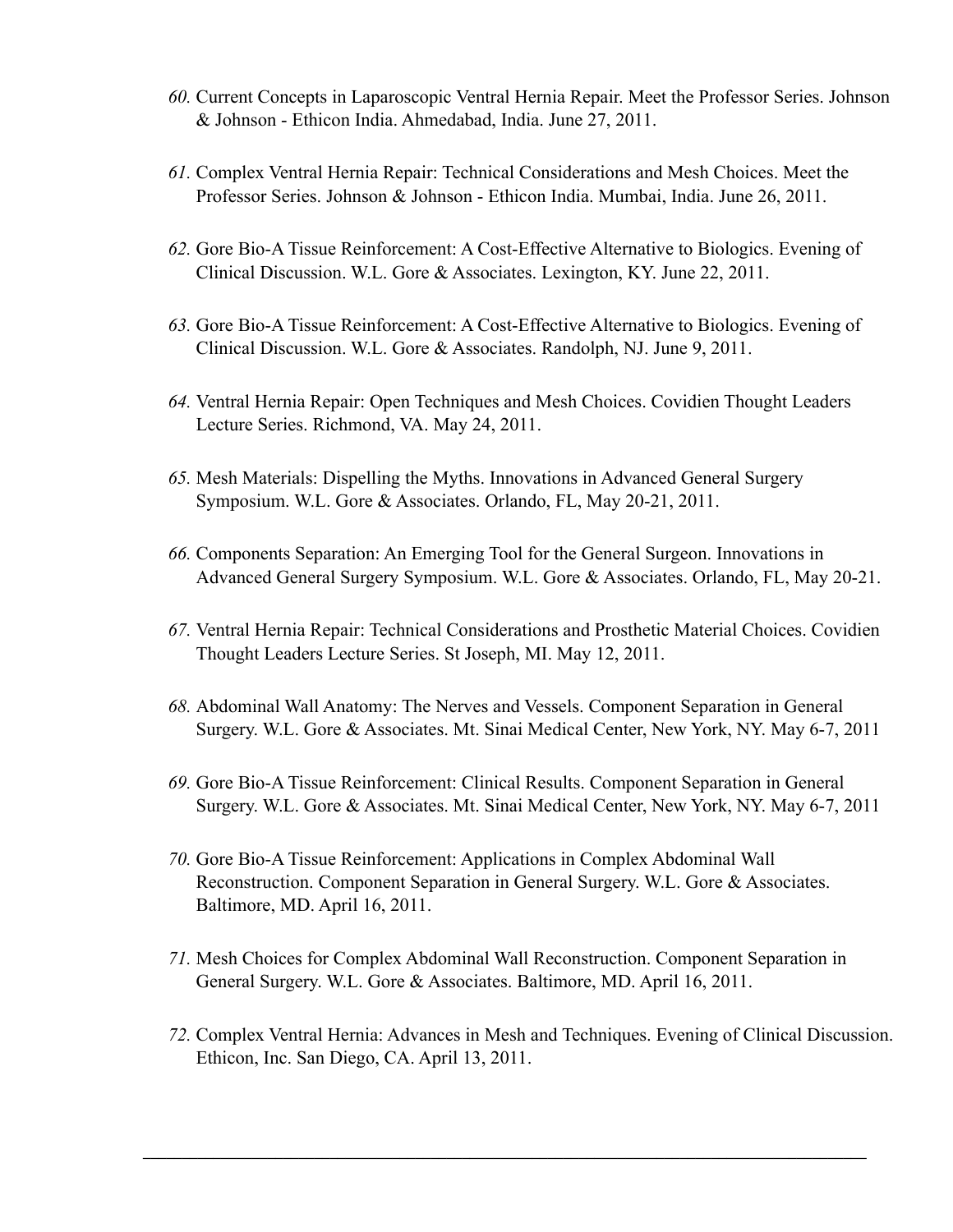- *60.* Current Concepts in Laparoscopic Ventral Hernia Repair. Meet the Professor Series. Johnson & Johnson - Ethicon India. Ahmedabad, India. June 27, 2011.
- *61.* Complex Ventral Hernia Repair: Technical Considerations and Mesh Choices. Meet the Professor Series. Johnson & Johnson - Ethicon India. Mumbai, India. June 26, 2011.
- *62.* Gore Bio-A Tissue Reinforcement: A Cost-Effective Alternative to Biologics. Evening of Clinical Discussion. W.L. Gore & Associates. Lexington, KY. June 22, 2011.
- *63.* Gore Bio-A Tissue Reinforcement: A Cost-Effective Alternative to Biologics. Evening of Clinical Discussion. W.L. Gore & Associates. Randolph, NJ. June 9, 2011.
- *64.* Ventral Hernia Repair: Open Techniques and Mesh Choices. Covidien Thought Leaders Lecture Series. Richmond, VA. May 24, 2011.
- *65.* Mesh Materials: Dispelling the Myths. Innovations in Advanced General Surgery Symposium. W.L. Gore & Associates. Orlando, FL, May 20-21, 2011.
- *66.* Components Separation: An Emerging Tool for the General Surgeon. Innovations in Advanced General Surgery Symposium. W.L. Gore & Associates. Orlando, FL, May 20-21.
- *67.* Ventral Hernia Repair: Technical Considerations and Prosthetic Material Choices. Covidien Thought Leaders Lecture Series. St Joseph, MI. May 12, 2011.
- *68.* Abdominal Wall Anatomy: The Nerves and Vessels. Component Separation in General Surgery. W.L. Gore & Associates. Mt. Sinai Medical Center, New York, NY. May 6-7, 2011
- *69.* Gore Bio-A Tissue Reinforcement: Clinical Results. Component Separation in General Surgery. W.L. Gore & Associates. Mt. Sinai Medical Center, New York, NY. May 6-7, 2011
- *70.* Gore Bio-A Tissue Reinforcement: Applications in Complex Abdominal Wall Reconstruction. Component Separation in General Surgery. W.L. Gore & Associates. Baltimore, MD. April 16, 2011.
- *71.* Mesh Choices for Complex Abdominal Wall Reconstruction. Component Separation in General Surgery. W.L. Gore & Associates. Baltimore, MD. April 16, 2011.
- *72.* Complex Ventral Hernia: Advances in Mesh and Techniques. Evening of Clinical Discussion. Ethicon, Inc. San Diego, CA. April 13, 2011.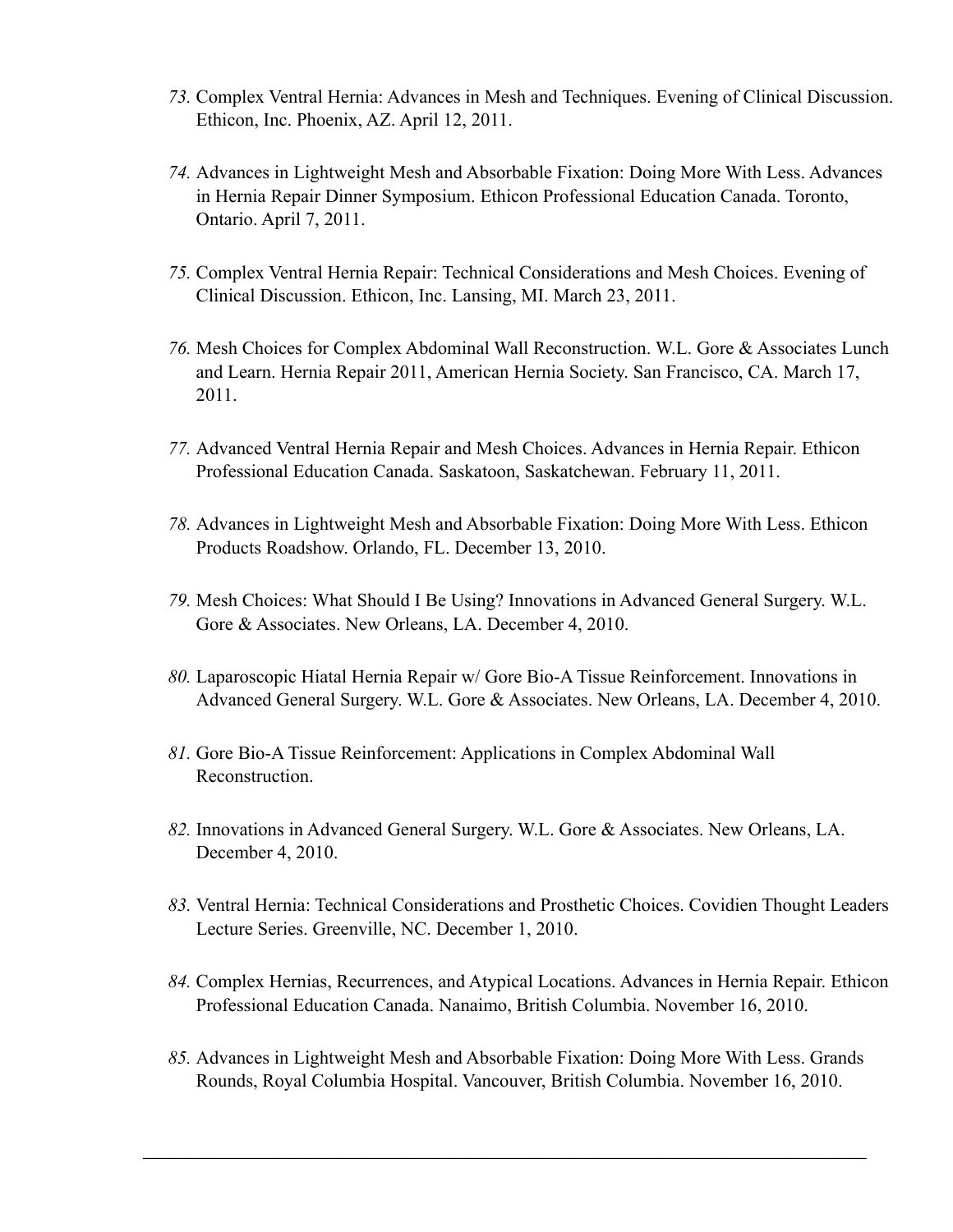- *73.* Complex Ventral Hernia: Advances in Mesh and Techniques. Evening of Clinical Discussion. Ethicon, Inc. Phoenix, AZ. April 12, 2011.
- *74.* Advances in Lightweight Mesh and Absorbable Fixation: Doing More With Less. Advances in Hernia Repair Dinner Symposium. Ethicon Professional Education Canada. Toronto, Ontario. April 7, 2011.
- *75.* Complex Ventral Hernia Repair: Technical Considerations and Mesh Choices. Evening of Clinical Discussion. Ethicon, Inc. Lansing, MI. March 23, 2011.
- *76.* Mesh Choices for Complex Abdominal Wall Reconstruction. W.L. Gore & Associates Lunch and Learn. Hernia Repair 2011, American Hernia Society. San Francisco, CA. March 17, 2011.
- *77.* Advanced Ventral Hernia Repair and Mesh Choices. Advances in Hernia Repair. Ethicon Professional Education Canada. Saskatoon, Saskatchewan. February 11, 2011.
- *78.* Advances in Lightweight Mesh and Absorbable Fixation: Doing More With Less. Ethicon Products Roadshow. Orlando, FL. December 13, 2010.
- *79.* Mesh Choices: What Should I Be Using? Innovations in Advanced General Surgery. W.L. Gore & Associates. New Orleans, LA. December 4, 2010.
- *80.* Laparoscopic Hiatal Hernia Repair w/ Gore Bio-A Tissue Reinforcement. Innovations in Advanced General Surgery. W.L. Gore & Associates. New Orleans, LA. December 4, 2010.
- *81.* Gore Bio-A Tissue Reinforcement: Applications in Complex Abdominal Wall Reconstruction.
- *82.* Innovations in Advanced General Surgery. W.L. Gore & Associates. New Orleans, LA. December 4, 2010.
- *83.* Ventral Hernia: Technical Considerations and Prosthetic Choices. Covidien Thought Leaders Lecture Series. Greenville, NC. December 1, 2010.
- *84.* Complex Hernias, Recurrences, and Atypical Locations. Advances in Hernia Repair. Ethicon Professional Education Canada. Nanaimo, British Columbia. November 16, 2010.
- *85.* Advances in Lightweight Mesh and Absorbable Fixation: Doing More With Less. Grands Rounds, Royal Columbia Hospital. Vancouver, British Columbia. November 16, 2010.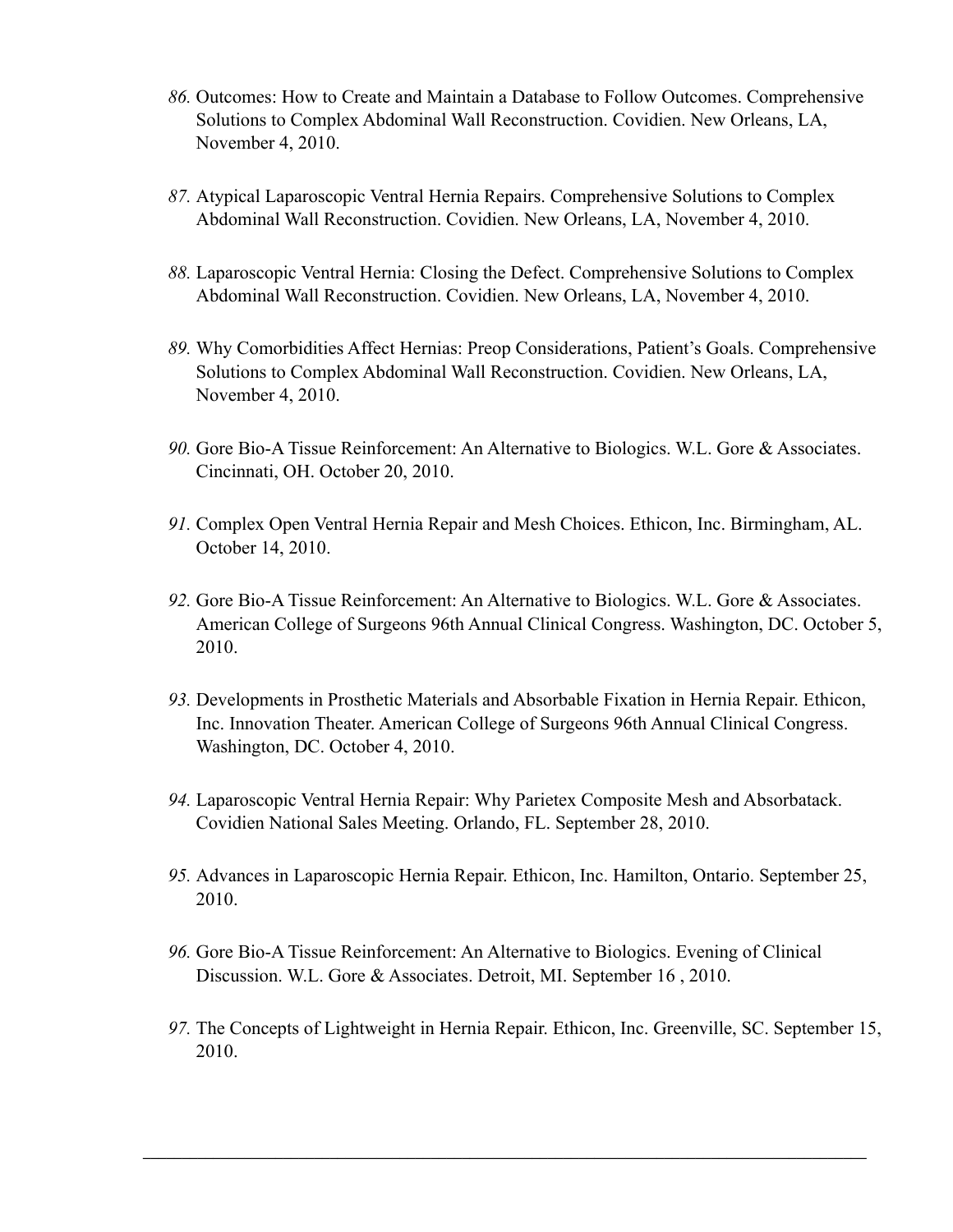- *86.* Outcomes: How to Create and Maintain a Database to Follow Outcomes. Comprehensive Solutions to Complex Abdominal Wall Reconstruction. Covidien. New Orleans, LA, November 4, 2010.
- *87.* Atypical Laparoscopic Ventral Hernia Repairs. Comprehensive Solutions to Complex Abdominal Wall Reconstruction. Covidien. New Orleans, LA, November 4, 2010.
- *88.* Laparoscopic Ventral Hernia: Closing the Defect. Comprehensive Solutions to Complex Abdominal Wall Reconstruction. Covidien. New Orleans, LA, November 4, 2010.
- *89.* Why Comorbidities Affect Hernias: Preop Considerations, Patient's Goals. Comprehensive Solutions to Complex Abdominal Wall Reconstruction. Covidien. New Orleans, LA, November 4, 2010.
- *90.* Gore Bio-A Tissue Reinforcement: An Alternative to Biologics. W.L. Gore & Associates. Cincinnati, OH. October 20, 2010.
- *91.* Complex Open Ventral Hernia Repair and Mesh Choices. Ethicon, Inc. Birmingham, AL. October 14, 2010.
- *92.* Gore Bio-A Tissue Reinforcement: An Alternative to Biologics. W.L. Gore & Associates. American College of Surgeons 96th Annual Clinical Congress. Washington, DC. October 5, 2010.
- *93.* Developments in Prosthetic Materials and Absorbable Fixation in Hernia Repair. Ethicon, Inc. Innovation Theater. American College of Surgeons 96th Annual Clinical Congress. Washington, DC. October 4, 2010.
- *94.* Laparoscopic Ventral Hernia Repair: Why Parietex Composite Mesh and Absorbatack. Covidien National Sales Meeting. Orlando, FL. September 28, 2010.
- *95.* Advances in Laparoscopic Hernia Repair. Ethicon, Inc. Hamilton, Ontario. September 25, 2010.
- *96.* Gore Bio-A Tissue Reinforcement: An Alternative to Biologics. Evening of Clinical Discussion. W.L. Gore & Associates. Detroit, MI. September 16 , 2010.
- *97.* The Concepts of Lightweight in Hernia Repair. Ethicon, Inc. Greenville, SC. September 15, 2010.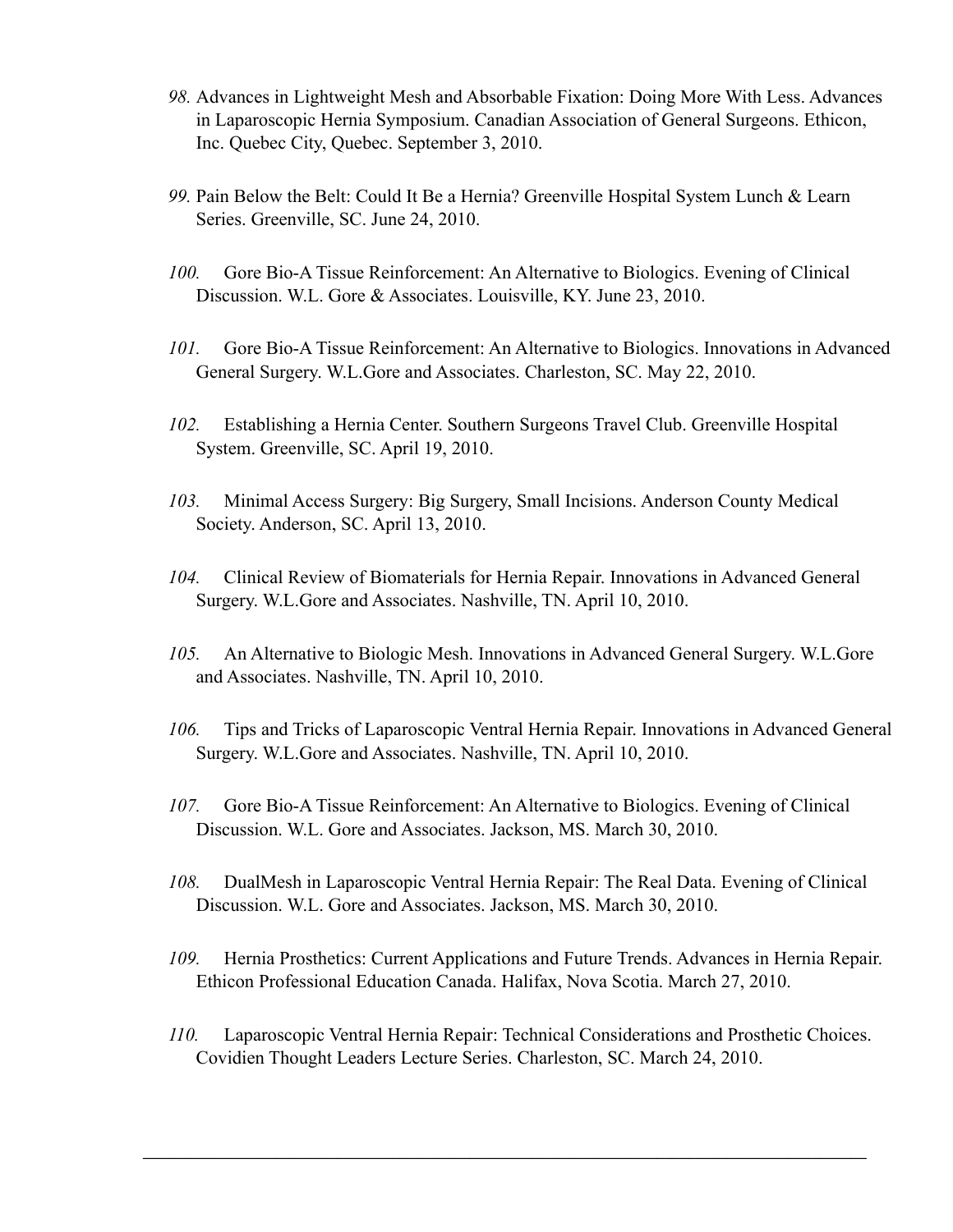- *98.* Advances in Lightweight Mesh and Absorbable Fixation: Doing More With Less. Advances in Laparoscopic Hernia Symposium. Canadian Association of General Surgeons. Ethicon, Inc. Quebec City, Quebec. September 3, 2010.
- *99.* Pain Below the Belt: Could It Be a Hernia? Greenville Hospital System Lunch & Learn Series. Greenville, SC. June 24, 2010.
- *100.* Gore Bio-A Tissue Reinforcement: An Alternative to Biologics. Evening of Clinical Discussion. W.L. Gore & Associates. Louisville, KY. June 23, 2010.
- *101.* Gore Bio-A Tissue Reinforcement: An Alternative to Biologics. Innovations in Advanced General Surgery. W.L.Gore and Associates. Charleston, SC. May 22, 2010.
- *102.* Establishing a Hernia Center. Southern Surgeons Travel Club. Greenville Hospital System. Greenville, SC. April 19, 2010.
- *103.* Minimal Access Surgery: Big Surgery, Small Incisions. Anderson County Medical Society. Anderson, SC. April 13, 2010.
- *104.* Clinical Review of Biomaterials for Hernia Repair. Innovations in Advanced General Surgery. W.L.Gore and Associates. Nashville, TN. April 10, 2010.
- *105.* An Alternative to Biologic Mesh. Innovations in Advanced General Surgery. W.L.Gore and Associates. Nashville, TN. April 10, 2010.
- *106.* Tips and Tricks of Laparoscopic Ventral Hernia Repair. Innovations in Advanced General Surgery. W.L.Gore and Associates. Nashville, TN. April 10, 2010.
- *107.* Gore Bio-A Tissue Reinforcement: An Alternative to Biologics. Evening of Clinical Discussion. W.L. Gore and Associates. Jackson, MS. March 30, 2010.
- *108.* DualMesh in Laparoscopic Ventral Hernia Repair: The Real Data. Evening of Clinical Discussion. W.L. Gore and Associates. Jackson, MS. March 30, 2010.
- *109.* Hernia Prosthetics: Current Applications and Future Trends. Advances in Hernia Repair. Ethicon Professional Education Canada. Halifax, Nova Scotia. March 27, 2010.
- *110.* Laparoscopic Ventral Hernia Repair: Technical Considerations and Prosthetic Choices. Covidien Thought Leaders Lecture Series. Charleston, SC. March 24, 2010.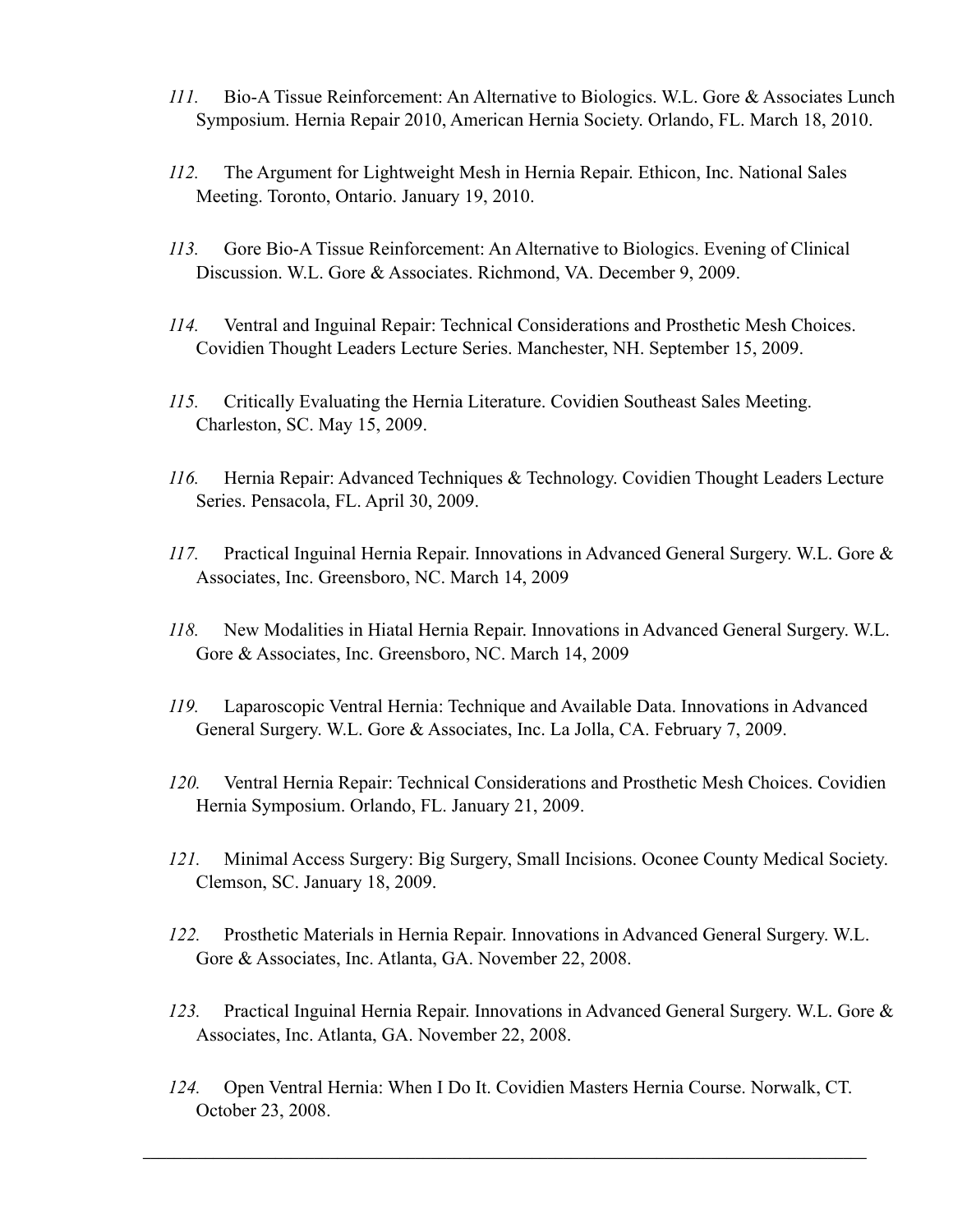- *111.* Bio-A Tissue Reinforcement: An Alternative to Biologics. W.L. Gore & Associates Lunch Symposium. Hernia Repair 2010, American Hernia Society. Orlando, FL. March 18, 2010.
- *112.* The Argument for Lightweight Mesh in Hernia Repair. Ethicon, Inc. National Sales Meeting. Toronto, Ontario. January 19, 2010.
- *113.* Gore Bio-A Tissue Reinforcement: An Alternative to Biologics. Evening of Clinical Discussion. W.L. Gore & Associates. Richmond, VA. December 9, 2009.
- *114.* Ventral and Inguinal Repair: Technical Considerations and Prosthetic Mesh Choices. Covidien Thought Leaders Lecture Series. Manchester, NH. September 15, 2009.
- *115.* Critically Evaluating the Hernia Literature. Covidien Southeast Sales Meeting. Charleston, SC. May 15, 2009.
- *116.* Hernia Repair: Advanced Techniques & Technology. Covidien Thought Leaders Lecture Series. Pensacola, FL. April 30, 2009.
- *117.* Practical Inguinal Hernia Repair. Innovations in Advanced General Surgery. W.L. Gore & Associates, Inc. Greensboro, NC. March 14, 2009
- *118.* New Modalities in Hiatal Hernia Repair. Innovations in Advanced General Surgery. W.L. Gore & Associates, Inc. Greensboro, NC. March 14, 2009
- *119.* Laparoscopic Ventral Hernia: Technique and Available Data. Innovations in Advanced General Surgery. W.L. Gore & Associates, Inc. La Jolla, CA. February 7, 2009.
- *120.* Ventral Hernia Repair: Technical Considerations and Prosthetic Mesh Choices. Covidien Hernia Symposium. Orlando, FL. January 21, 2009.
- *121.* Minimal Access Surgery: Big Surgery, Small Incisions. Oconee County Medical Society. Clemson, SC. January 18, 2009.
- *122.* Prosthetic Materials in Hernia Repair. Innovations in Advanced General Surgery. W.L. Gore & Associates, Inc. Atlanta, GA. November 22, 2008.
- *123.* Practical Inguinal Hernia Repair. Innovations in Advanced General Surgery. W.L. Gore & Associates, Inc. Atlanta, GA. November 22, 2008.
- *124.* Open Ventral Hernia: When I Do It. Covidien Masters Hernia Course. Norwalk, CT. October 23, 2008.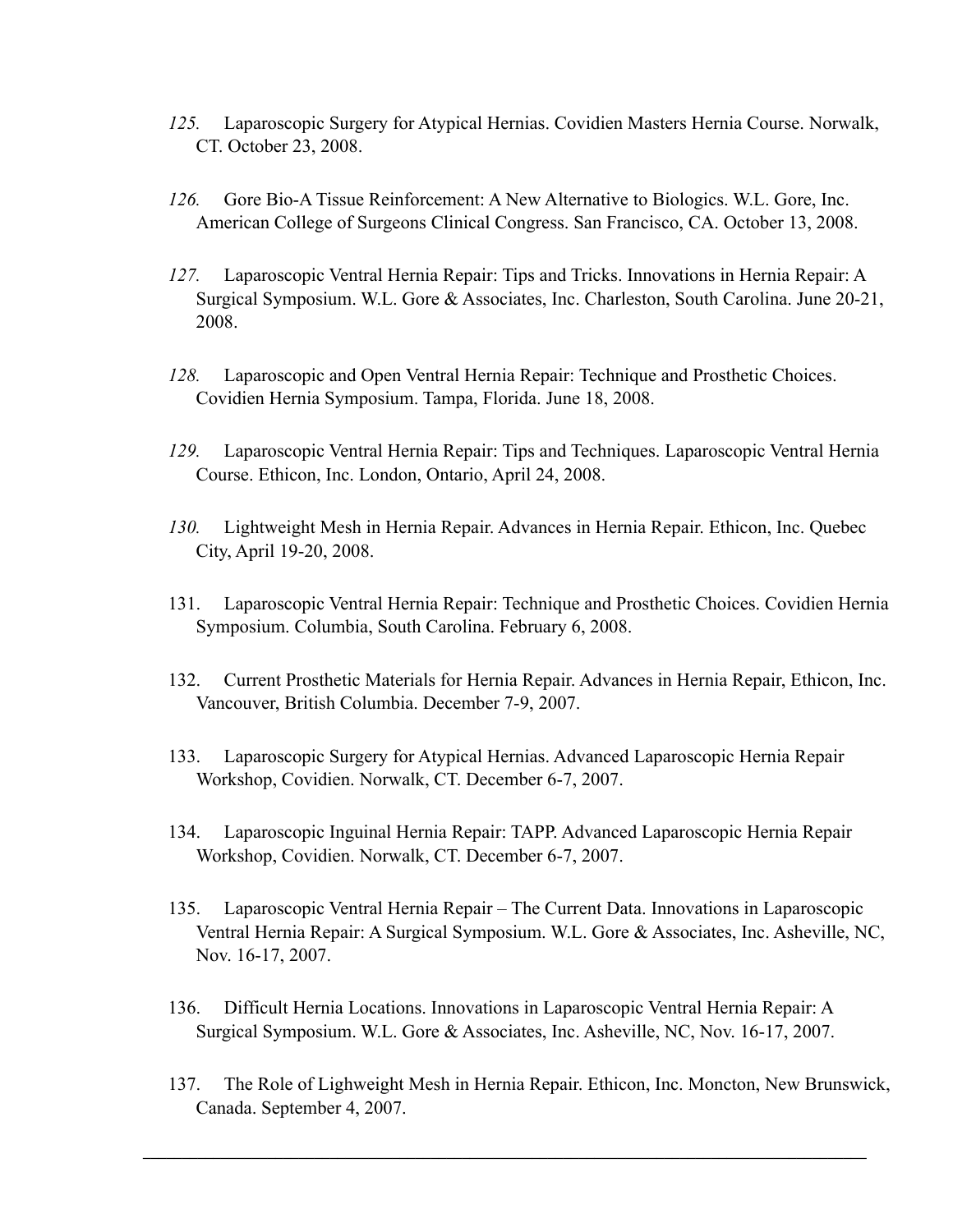- *125.* Laparoscopic Surgery for Atypical Hernias. Covidien Masters Hernia Course. Norwalk, CT. October 23, 2008.
- *126.* Gore Bio-A Tissue Reinforcement: A New Alternative to Biologics. W.L. Gore, Inc. American College of Surgeons Clinical Congress. San Francisco, CA. October 13, 2008.
- *127.* Laparoscopic Ventral Hernia Repair: Tips and Tricks. Innovations in Hernia Repair: A Surgical Symposium. W.L. Gore & Associates, Inc. Charleston, South Carolina. June 20-21, 2008.
- *128.* Laparoscopic and Open Ventral Hernia Repair: Technique and Prosthetic Choices. Covidien Hernia Symposium. Tampa, Florida. June 18, 2008.
- *129.* Laparoscopic Ventral Hernia Repair: Tips and Techniques. Laparoscopic Ventral Hernia Course. Ethicon, Inc. London, Ontario, April 24, 2008.
- *130.* Lightweight Mesh in Hernia Repair. Advances in Hernia Repair. Ethicon, Inc. Quebec City, April 19-20, 2008.
- 131. Laparoscopic Ventral Hernia Repair: Technique and Prosthetic Choices. Covidien Hernia Symposium. Columbia, South Carolina. February 6, 2008.
- 132. Current Prosthetic Materials for Hernia Repair. Advances in Hernia Repair, Ethicon, Inc. Vancouver, British Columbia. December 7-9, 2007.
- 133. Laparoscopic Surgery for Atypical Hernias. Advanced Laparoscopic Hernia Repair Workshop, Covidien. Norwalk, CT. December 6-7, 2007.
- 134. Laparoscopic Inguinal Hernia Repair: TAPP. Advanced Laparoscopic Hernia Repair Workshop, Covidien. Norwalk, CT. December 6-7, 2007.
- 135. Laparoscopic Ventral Hernia Repair The Current Data. Innovations in Laparoscopic Ventral Hernia Repair: A Surgical Symposium. W.L. Gore & Associates, Inc. Asheville, NC, Nov. 16-17, 2007.
- 136. Difficult Hernia Locations. Innovations in Laparoscopic Ventral Hernia Repair: A Surgical Symposium. W.L. Gore & Associates, Inc. Asheville, NC, Nov. 16-17, 2007.
- 137. The Role of Lighweight Mesh in Hernia Repair. Ethicon, Inc. Moncton, New Brunswick, Canada. September 4, 2007.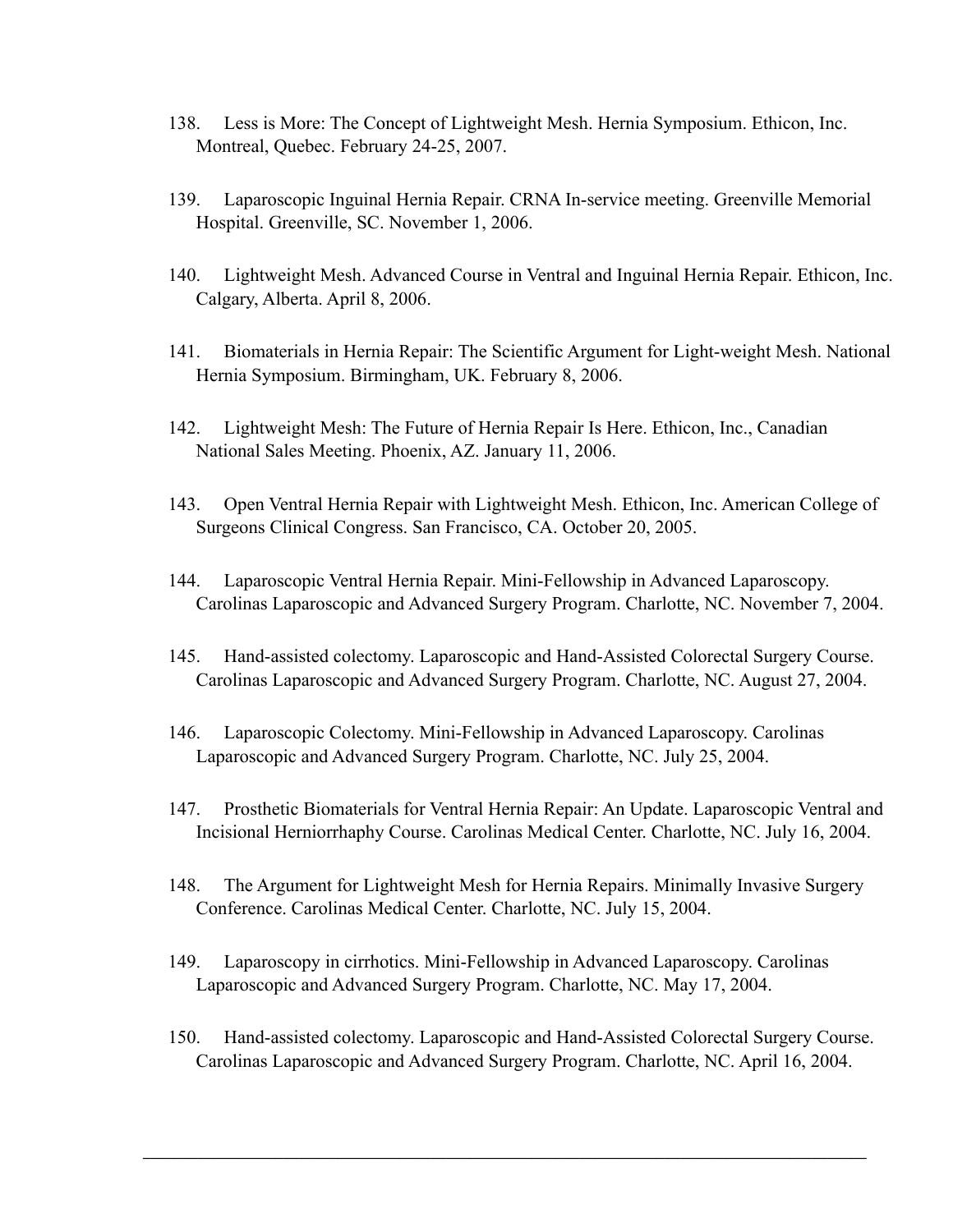- 138. Less is More: The Concept of Lightweight Mesh. Hernia Symposium. Ethicon, Inc. Montreal, Quebec. February 24-25, 2007.
- 139. Laparoscopic Inguinal Hernia Repair. CRNA In-service meeting. Greenville Memorial Hospital. Greenville, SC. November 1, 2006.
- 140. Lightweight Mesh. Advanced Course in Ventral and Inguinal Hernia Repair. Ethicon, Inc. Calgary, Alberta. April 8, 2006.
- 141. Biomaterials in Hernia Repair: The Scientific Argument for Light-weight Mesh. National Hernia Symposium. Birmingham, UK. February 8, 2006.
- 142. Lightweight Mesh: The Future of Hernia Repair Is Here. Ethicon, Inc., Canadian National Sales Meeting. Phoenix, AZ. January 11, 2006.
- 143. Open Ventral Hernia Repair with Lightweight Mesh. Ethicon, Inc. American College of Surgeons Clinical Congress. San Francisco, CA. October 20, 2005.
- 144. Laparoscopic Ventral Hernia Repair. Mini-Fellowship in Advanced Laparoscopy. Carolinas Laparoscopic and Advanced Surgery Program. Charlotte, NC. November 7, 2004.
- 145. Hand-assisted colectomy. Laparoscopic and Hand-Assisted Colorectal Surgery Course. Carolinas Laparoscopic and Advanced Surgery Program. Charlotte, NC. August 27, 2004.
- 146. Laparoscopic Colectomy. Mini-Fellowship in Advanced Laparoscopy. Carolinas Laparoscopic and Advanced Surgery Program. Charlotte, NC. July 25, 2004.
- 147. Prosthetic Biomaterials for Ventral Hernia Repair: An Update. Laparoscopic Ventral and Incisional Herniorrhaphy Course. Carolinas Medical Center. Charlotte, NC. July 16, 2004.
- 148. The Argument for Lightweight Mesh for Hernia Repairs. Minimally Invasive Surgery Conference. Carolinas Medical Center. Charlotte, NC. July 15, 2004.
- 149. Laparoscopy in cirrhotics. Mini-Fellowship in Advanced Laparoscopy. Carolinas Laparoscopic and Advanced Surgery Program. Charlotte, NC. May 17, 2004.
- 150. Hand-assisted colectomy. Laparoscopic and Hand-Assisted Colorectal Surgery Course. Carolinas Laparoscopic and Advanced Surgery Program. Charlotte, NC. April 16, 2004.